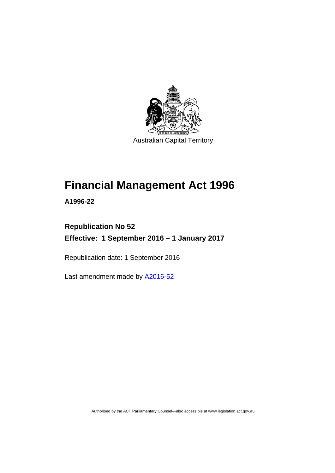

Australian Capital Territory

# **Financial Management Act 1996**

**A1996-22** 

# **Republication No 52 Effective: 1 September 2016 – 1 January 2017**

Republication date: 1 September 2016

Last amendment made by [A2016-52](http://www.legislation.act.gov.au/a/2016-52/default.asp)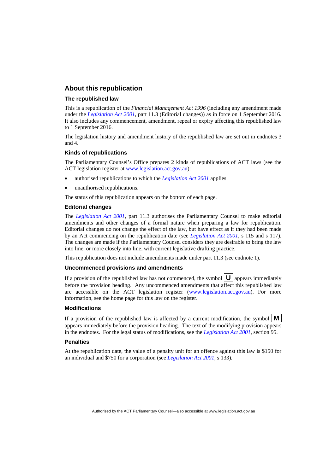#### **About this republication**

#### **The republished law**

This is a republication of the *Financial Management Act 1996* (including any amendment made under the *[Legislation Act 2001](http://www.legislation.act.gov.au/a/2001-14)*, part 11.3 (Editorial changes)) as in force on 1 September 2016*.*  It also includes any commencement, amendment, repeal or expiry affecting this republished law to 1 September 2016.

The legislation history and amendment history of the republished law are set out in endnotes 3 and 4.

#### **Kinds of republications**

The Parliamentary Counsel's Office prepares 2 kinds of republications of ACT laws (see the ACT legislation register at [www.legislation.act.gov.au](http://www.legislation.act.gov.au/)):

- authorised republications to which the *[Legislation Act 2001](http://www.legislation.act.gov.au/a/2001-14)* applies
- unauthorised republications.

The status of this republication appears on the bottom of each page.

#### **Editorial changes**

The *[Legislation Act 2001](http://www.legislation.act.gov.au/a/2001-14)*, part 11.3 authorises the Parliamentary Counsel to make editorial amendments and other changes of a formal nature when preparing a law for republication. Editorial changes do not change the effect of the law, but have effect as if they had been made by an Act commencing on the republication date (see *[Legislation Act 2001](http://www.legislation.act.gov.au/a/2001-14)*, s 115 and s 117). The changes are made if the Parliamentary Counsel considers they are desirable to bring the law into line, or more closely into line, with current legislative drafting practice.

This republication does not include amendments made under part 11.3 (see endnote 1).

#### **Uncommenced provisions and amendments**

If a provision of the republished law has not commenced, the symbol  $\mathbf{U}$  appears immediately before the provision heading. Any uncommenced amendments that affect this republished law are accessible on the ACT legislation register [\(www.legislation.act.gov.au\)](http://www.legislation.act.gov.au/). For more information, see the home page for this law on the register.

#### **Modifications**

If a provision of the republished law is affected by a current modification, the symbol  $\mathbf{M}$ appears immediately before the provision heading. The text of the modifying provision appears in the endnotes. For the legal status of modifications, see the *[Legislation Act 2001](http://www.legislation.act.gov.au/a/2001-14)*, section 95.

#### **Penalties**

At the republication date, the value of a penalty unit for an offence against this law is \$150 for an individual and \$750 for a corporation (see *[Legislation Act 2001](http://www.legislation.act.gov.au/a/2001-14)*, s 133).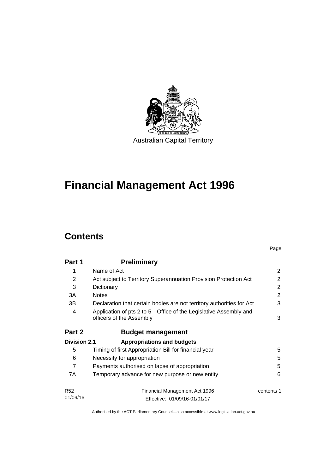

# **Financial Management Act 1996**

# **Contents**

|                     |                                                                                              | Page       |
|---------------------|----------------------------------------------------------------------------------------------|------------|
| Part 1              | Preliminary                                                                                  |            |
| 1                   | Name of Act                                                                                  | 2          |
| 2                   | Act subject to Territory Superannuation Provision Protection Act                             | 2          |
| 3                   | Dictionary                                                                                   | 2          |
| 3A                  | <b>Notes</b>                                                                                 | 2          |
| 3В                  | Declaration that certain bodies are not territory authorities for Act                        | 3          |
| 4                   | Application of pts 2 to 5—Office of the Legislative Assembly and<br>officers of the Assembly | 3          |
| Part 2              | <b>Budget management</b>                                                                     |            |
| <b>Division 2.1</b> | <b>Appropriations and budgets</b>                                                            |            |
| 5                   | Timing of first Appropriation Bill for financial year                                        | 5          |
| 6                   | Necessity for appropriation                                                                  | 5          |
| $\overline{7}$      | Payments authorised on lapse of appropriation                                                | 5          |
| 7A                  | Temporary advance for new purpose or new entity                                              | 6          |
| <b>R52</b>          | Financial Management Act 1996                                                                | contents 1 |
| 01/09/16            | Effective: 01/09/16-01/01/17                                                                 |            |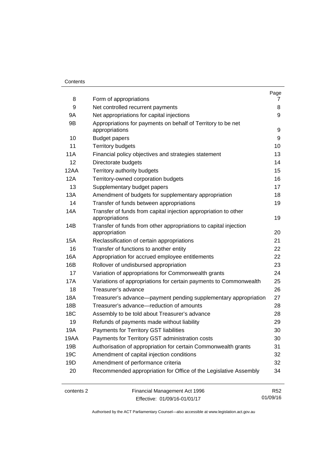#### **Contents**

|      |                                                                                | Page |
|------|--------------------------------------------------------------------------------|------|
| 8    | Form of appropriations                                                         | 7    |
| 9    | Net controlled recurrent payments                                              | 8    |
| 9Α   | Net appropriations for capital injections                                      | 9    |
| 9B   | Appropriations for payments on behalf of Territory to be net<br>appropriations | 9    |
| 10   | <b>Budget papers</b>                                                           | 9    |
| 11   | <b>Territory budgets</b>                                                       | 10   |
| 11A  | Financial policy objectives and strategies statement                           | 13   |
| 12   | Directorate budgets                                                            | 14   |
| 12AA | Territory authority budgets                                                    | 15   |
| 12A  | Territory-owned corporation budgets                                            | 16   |
| 13   | Supplementary budget papers                                                    | 17   |
| 13A  | Amendment of budgets for supplementary appropriation                           | 18   |
| 14   | Transfer of funds between appropriations                                       | 19   |
| 14A  | Transfer of funds from capital injection appropriation to other                |      |
|      | appropriations                                                                 | 19   |
| 14B  | Transfer of funds from other appropriations to capital injection               |      |
|      | appropriation                                                                  | 20   |
| 15A  | Reclassification of certain appropriations                                     | 21   |
| 16   | Transfer of functions to another entity                                        | 22   |
| 16A  | Appropriation for accrued employee entitlements                                | 22   |
| 16B  | Rollover of undisbursed appropriation                                          | 23   |
| 17   | Variation of appropriations for Commonwealth grants                            | 24   |
| 17A  | Variations of appropriations for certain payments to Commonwealth              | 25   |
| 18   | Treasurer's advance                                                            | 26   |
| 18A  | Treasurer's advance—payment pending supplementary appropriation                | 27   |
| 18B  | Treasurer's advance-reduction of amounts                                       | 28   |
| 18C  | Assembly to be told about Treasurer's advance                                  | 28   |
| 19   | Refunds of payments made without liability                                     | 29   |
| 19A  | Payments for Territory GST liabilities                                         | 30   |
| 19AA | Payments for Territory GST administration costs                                | 30   |
| 19B  | Authorisation of appropriation for certain Commonwealth grants                 | 31   |
| 19C  | Amendment of capital injection conditions                                      | 32   |
| 19D  | Amendment of performance criteria                                              | 32   |
| 20   | Recommended appropriation for Office of the Legislative Assembly               | 34   |
|      |                                                                                |      |

contents 2 Financial Management Act 1996 Effective: 01/09/16-01/01/17

R52 01/09/16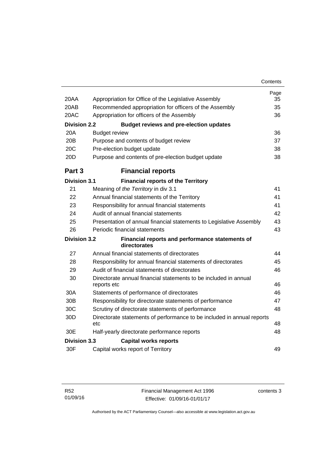| 20AA                | Appropriation for Office of the Legislative Assembly                            | Page<br>35 |
|---------------------|---------------------------------------------------------------------------------|------------|
| 20AB                | Recommended appropriation for officers of the Assembly                          | 35         |
| 20AC                | Appropriation for officers of the Assembly                                      | 36         |
| <b>Division 2.2</b> | <b>Budget reviews and pre-election updates</b>                                  |            |
| 20A                 | <b>Budget review</b>                                                            | 36         |
| 20B                 | Purpose and contents of budget review                                           | 37         |
| 20C                 | Pre-election budget update                                                      | 38         |
| 20D                 | Purpose and contents of pre-election budget update                              | 38         |
| Part 3              | <b>Financial reports</b>                                                        |            |
| <b>Division 3.1</b> | <b>Financial reports of the Territory</b>                                       |            |
| 21                  | Meaning of the Territory in div 3.1                                             | 41         |
| 22                  | Annual financial statements of the Territory                                    | 41         |
| 23                  | Responsibility for annual financial statements                                  | 41         |
| 24                  | Audit of annual financial statements                                            | 42         |
| 25                  | Presentation of annual financial statements to Legislative Assembly             | 43         |
| 26                  | Periodic financial statements                                                   | 43         |
| <b>Division 3.2</b> | Financial reports and performance statements of<br>directorates                 |            |
| 27                  | Annual financial statements of directorates                                     | 44         |
| 28                  | Responsibility for annual financial statements of directorates                  | 45         |
| 29                  | Audit of financial statements of directorates                                   | 46         |
| 30                  | Directorate annual financial statements to be included in annual<br>reports etc | 46         |
| 30A                 | Statements of performance of directorates                                       | 46         |
| 30 <sub>B</sub>     | Responsibility for directorate statements of performance                        | 47         |
| 30C                 | Scrutiny of directorate statements of performance                               | 48         |
| 30D                 | Directorate statements of performance to be included in annual reports<br>etc   | 48         |
| 30E                 | Half-yearly directorate performance reports                                     | 48         |
| <b>Division 3.3</b> | <b>Capital works reports</b>                                                    |            |
| 30F                 | Capital works report of Territory                                               | 49         |

contents 3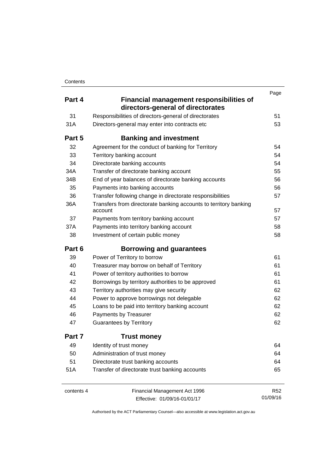|            |                                                                                      | Page       |
|------------|--------------------------------------------------------------------------------------|------------|
| Part 4     | <b>Financial management responsibilities of</b><br>directors-general of directorates |            |
| 31         | Responsibilities of directors-general of directorates                                | 51         |
| 31A        | Directors-general may enter into contracts etc                                       | 53         |
| Part 5     | <b>Banking and investment</b>                                                        |            |
| 32         | Agreement for the conduct of banking for Territory                                   | 54         |
| 33         | Territory banking account                                                            | 54         |
| 34         | Directorate banking accounts                                                         | 54         |
| 34A        | Transfer of directorate banking account                                              | 55         |
| 34B        | End of year balances of directorate banking accounts                                 | 56         |
| 35         | Payments into banking accounts                                                       | 56         |
| 36         | Transfer following change in directorate responsibilities                            | 57         |
| 36A        | Transfers from directorate banking accounts to territory banking<br>account          | 57         |
| 37         | Payments from territory banking account                                              | 57         |
| 37A        | Payments into territory banking account                                              | 58         |
| 38         | Investment of certain public money                                                   | 58         |
| Part 6     | <b>Borrowing and guarantees</b>                                                      |            |
| 39         | Power of Territory to borrow                                                         | 61         |
| 40         | Treasurer may borrow on behalf of Territory                                          | 61         |
| 41         | Power of territory authorities to borrow                                             | 61         |
| 42         | Borrowings by territory authorities to be approved                                   | 61         |
| 43         | Territory authorities may give security                                              | 62         |
| 44         | Power to approve borrowings not delegable                                            | 62         |
| 45         | Loans to be paid into territory banking account                                      | 62         |
| 46         | Payments by Treasurer                                                                | 62         |
| 47         | <b>Guarantees by Territory</b>                                                       | 62         |
| Part 7     | <b>Trust money</b>                                                                   |            |
| 49         | Identity of trust money                                                              | 64         |
| 50         | Administration of trust money                                                        | 64         |
| 51         | Directorate trust banking accounts                                                   | 64         |
| 51A        | Transfer of directorate trust banking accounts                                       | 65         |
| contents 4 | Financial Management Act 1996                                                        | <b>R52</b> |
|            | Effective: 01/09/16-01/01/17                                                         | 01/09/16   |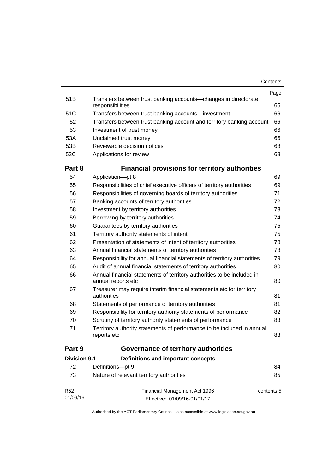| Contents |
|----------|
|----------|

| R52<br>01/09/16     | Financial Management Act 1996<br>Effective: 01/09/16-01/01/17                                | contents 5 |
|---------------------|----------------------------------------------------------------------------------------------|------------|
| 73                  | Nature of relevant territory authorities                                                     | 85         |
| 72                  | Definitions-pt 9                                                                             | 84         |
| <b>Division 9.1</b> | Definitions and important concepts                                                           |            |
| Part 9              | <b>Governance of territory authorities</b>                                                   |            |
| 71                  | Territory authority statements of performance to be included in annual<br>reports etc        | 83         |
| 70                  | Scrutiny of territory authority statements of performance                                    | 83         |
| 69                  | Responsibility for territory authority statements of performance                             | 82         |
| 68                  | Statements of performance of territory authorities                                           | 81         |
| 67                  | Treasurer may require interim financial statements etc for territory<br>authorities          | 81         |
| 66                  | Annual financial statements of territory authorities to be included in<br>annual reports etc | 80         |
| 65                  | Audit of annual financial statements of territory authorities                                | 80         |
| 64                  | Responsibility for annual financial statements of territory authorities                      | 79         |
| 63                  | Annual financial statements of territory authorities                                         | 78         |
| 62                  | Presentation of statements of intent of territory authorities                                | 78         |
| 61                  | Territory authority statements of intent                                                     | 75         |
| 60                  | Guarantees by territory authorities                                                          | 75         |
| 59                  | Borrowing by territory authorities                                                           | 74         |
| 58                  | Investment by territory authorities                                                          | 73         |
| 57                  | Banking accounts of territory authorities                                                    | 72         |
| 56                  | Responsibilities of governing boards of territory authorities                                | 71         |
| 55                  | Responsibilities of chief executive officers of territory authorities                        | 69         |
| 54                  | Application-pt 8                                                                             | 69         |
| Part 8              | <b>Financial provisions for territory authorities</b>                                        |            |
| 53C                 | Applications for review                                                                      | 68         |
| 53B                 | Reviewable decision notices                                                                  | 68         |
| 53A                 | Unclaimed trust money                                                                        | 66         |
| 53                  | Investment of trust money                                                                    | 66         |
| 52                  | Transfers between trust banking account and territory banking account                        | 66         |
| 51C                 | Transfers between trust banking accounts-investment                                          | 66         |
| 51B                 | Transfers between trust banking accounts-changes in directorate<br>responsibilities          | 65         |
|                     |                                                                                              | Page       |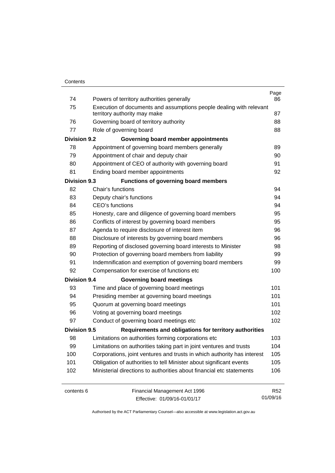| 74                  | Powers of territory authorities generally                               | Page<br>86 |
|---------------------|-------------------------------------------------------------------------|------------|
| 75                  | Execution of documents and assumptions people dealing with relevant     |            |
|                     | territory authority may make                                            | 87         |
| 76                  | Governing board of territory authority                                  | 88         |
| 77                  | Role of governing board                                                 | 88         |
| <b>Division 9.2</b> | Governing board member appointments                                     |            |
| 78                  | Appointment of governing board members generally                        | 89         |
| 79                  | Appointment of chair and deputy chair                                   | 90         |
| 80                  | Appointment of CEO of authority with governing board                    | 91         |
| 81                  | Ending board member appointments                                        | 92         |
| <b>Division 9.3</b> | <b>Functions of governing board members</b>                             |            |
| 82                  | Chair's functions                                                       | 94         |
| 83                  | Deputy chair's functions                                                | 94         |
| 84                  | <b>CEO's functions</b>                                                  | 94         |
| 85                  | Honesty, care and diligence of governing board members                  | 95         |
| 86                  | Conflicts of interest by governing board members                        | 95         |
| 87                  | Agenda to require disclosure of interest item                           | 96         |
| 88                  | Disclosure of interests by governing board members                      | 96         |
| 89                  | Reporting of disclosed governing board interests to Minister            | 98         |
| 90                  | Protection of governing board members from liability                    | 99         |
| 91                  | Indemnification and exemption of governing board members                | 99         |
| 92                  | Compensation for exercise of functions etc                              | 100        |
| <b>Division 9.4</b> | <b>Governing board meetings</b>                                         |            |
| 93                  | Time and place of governing board meetings                              | 101        |
| 94                  | Presiding member at governing board meetings                            | 101        |
| 95                  | Quorum at governing board meetings                                      | 101        |
| 96                  | Voting at governing board meetings                                      | 102        |
| 97                  | Conduct of governing board meetings etc                                 | 102        |
| <b>Division 9.5</b> | Requirements and obligations for territory authorities                  |            |
| 98                  | Limitations on authorities forming corporations etc                     | 103        |
| 99                  | Limitations on authorities taking part in joint ventures and trusts     | 104        |
| 100                 | Corporations, joint ventures and trusts in which authority has interest | 105        |
| 101                 | Obligation of authorities to tell Minister about significant events     | 105        |
| 102                 | Ministerial directions to authorities about financial etc statements    | 106        |
| contents 6          | Financial Management Act 1996                                           | <b>R52</b> |

Effective: 01/09/16-01/01/17

01/09/16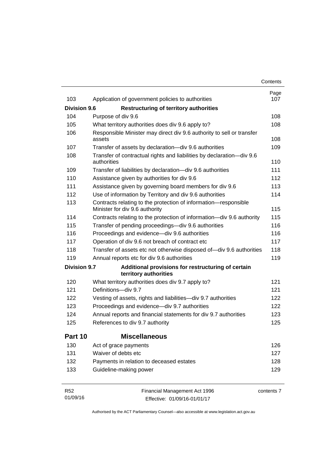|                     |                                                                                                   | Contents   |
|---------------------|---------------------------------------------------------------------------------------------------|------------|
|                     |                                                                                                   | Page       |
| 103                 | Application of government policies to authorities                                                 | 107        |
| <b>Division 9.6</b> | <b>Restructuring of territory authorities</b>                                                     |            |
| 104                 | Purpose of div 9.6                                                                                | 108        |
| 105                 | What territory authorities does div 9.6 apply to?                                                 | 108        |
| 106                 | Responsible Minister may direct div 9.6 authority to sell or transfer<br>assets                   | 108        |
| 107                 | Transfer of assets by declaration-div 9.6 authorities                                             | 109        |
| 108                 | Transfer of contractual rights and liabilities by declaration-div 9.6<br>authorities              | 110        |
| 109                 | Transfer of liabilities by declaration-div 9.6 authorities                                        | 111        |
| 110                 | Assistance given by authorities for div 9.6                                                       | 112        |
| 111                 | Assistance given by governing board members for div 9.6                                           | 113        |
| 112                 | Use of information by Territory and div 9.6 authorities                                           | 114        |
| 113                 | Contracts relating to the protection of information-responsible<br>Minister for div 9.6 authority | 115        |
| 114                 | Contracts relating to the protection of information-div 9.6 authority                             | 115        |
| 115                 | Transfer of pending proceedings-div 9.6 authorities                                               | 116        |
| 116                 | Proceedings and evidence-div 9.6 authorities                                                      | 116        |
| 117                 | Operation of div 9.6 not breach of contract etc                                                   | 117        |
| 118                 | Transfer of assets etc not otherwise disposed of-div 9.6 authorities                              | 118        |
| 119                 | Annual reports etc for div 9.6 authorities                                                        | 119        |
| <b>Division 9.7</b> | Additional provisions for restructuring of certain<br>territory authorities                       |            |
| 120                 | What territory authorities does div 9.7 apply to?                                                 | 121        |
| 121                 | Definitions-div 9.7                                                                               | 121        |
| 122                 | Vesting of assets, rights and liabilities-div 9.7 authorities                                     | 122        |
| 123                 | Proceedings and evidence-div 9.7 authorities                                                      | 122        |
| 124                 | Annual reports and financial statements for div 9.7 authorities                                   | 123        |
| 125                 | References to div 9.7 authority                                                                   | 125        |
| Part 10             | <b>Miscellaneous</b>                                                                              |            |
| 130                 | Act of grace payments                                                                             | 126        |
| 131                 | Waiver of debts etc                                                                               | 127        |
| 132                 | Payments in relation to deceased estates                                                          | 128        |
| 133                 | Guideline-making power                                                                            | 129        |
| R <sub>52</sub>     | Financial Management Act 1996                                                                     | contents 7 |

Effective: 01/09/16-01/01/17

01/09/16

contents 7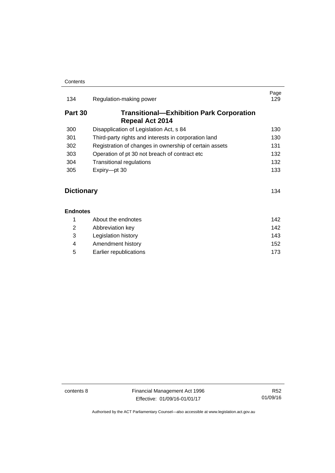| 134               | Regulation-making power                                                   | Page<br>129 |
|-------------------|---------------------------------------------------------------------------|-------------|
| Part 30           | <b>Transitional—Exhibition Park Corporation</b><br><b>Repeal Act 2014</b> |             |
| 300               | Disapplication of Legislation Act, s 84                                   | 130         |
| 301               | Third-party rights and interests in corporation land                      | 130         |
| 302               | Registration of changes in ownership of certain assets                    | 131         |
| 303               | Operation of pt 30 not breach of contract etc.                            | 132         |
| 304               | <b>Transitional regulations</b>                                           | 132         |
| 305               | Expiry-pt 30                                                              | 133         |
| <b>Dictionary</b> |                                                                           | 134         |
| <b>Endnotes</b>   |                                                                           |             |

#### **[Endnotes](#page-151-0)**

|   | About the endnotes     | 142 |
|---|------------------------|-----|
| 2 | Abbreviation key       | 142 |
| 3 | Legislation history    | 143 |
| 4 | Amendment history      | 152 |
| 5 | Earlier republications | 173 |
|   |                        |     |

contents 8 Financial Management Act 1996 Effective: 01/09/16-01/01/17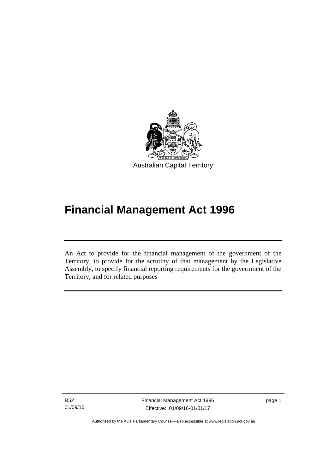

# **Financial Management Act 1996**

An Act to provide for the financial management of the government of the Territory, to provide for the scrutiny of that management by the Legislative Assembly, to specify financial reporting requirements for the government of the Territory, and for related purposes

R52 01/09/16

l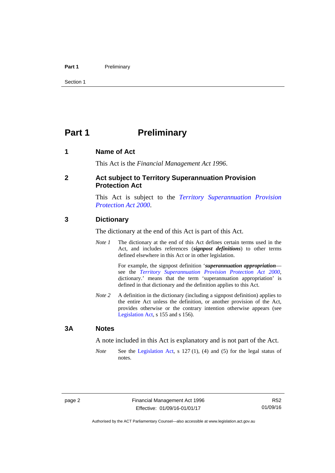#### Part 1 **Preliminary**

Section 1

# <span id="page-11-0"></span>**Part 1** Preliminary

#### <span id="page-11-1"></span>**1 Name of Act**

This Act is the *Financial Management Act 1996*.

#### <span id="page-11-2"></span>**2 Act subject to Territory Superannuation Provision Protection Act**

This Act is subject to the *[Territory Superannuation Provision](http://www.legislation.act.gov.au/a/2000-21)  [Protection Act 2000](http://www.legislation.act.gov.au/a/2000-21)*.

#### <span id="page-11-3"></span>**3 Dictionary**

The dictionary at the end of this Act is part of this Act.

*Note 1* The dictionary at the end of this Act defines certain terms used in the Act, and includes references (*signpost definitions*) to other terms defined elsewhere in this Act or in other legislation.

> For example, the signpost definition '*superannuation appropriation* see the *[Territory Superannuation Provision Protection Act 2000](http://www.legislation.act.gov.au/a/2000-21)*, dictionary.' means that the term 'superannuation appropriation' is defined in that dictionary and the definition applies to this Act.

*Note 2* A definition in the dictionary (including a signpost definition) applies to the entire Act unless the definition, or another provision of the Act, provides otherwise or the contrary intention otherwise appears (see [Legislation Act,](http://www.legislation.act.gov.au/a/2001-14) s 155 and s 156).

#### <span id="page-11-4"></span>**3A Notes**

A note included in this Act is explanatory and is not part of the Act.

*Note* See the [Legislation Act,](http://www.legislation.act.gov.au/a/2001-14) s 127 (1), (4) and (5) for the legal status of notes.

R52 01/09/16

Authorised by the ACT Parliamentary Counsel—also accessible at www.legislation.act.gov.au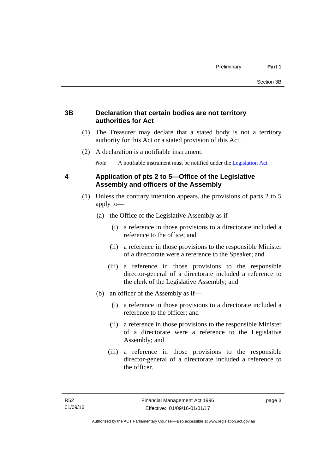### <span id="page-12-0"></span>**3B Declaration that certain bodies are not territory authorities for Act**

- (1) The Treasurer may declare that a stated body is not a territory authority for this Act or a stated provision of this Act.
- (2) A declaration is a notifiable instrument.

*Note* A notifiable instrument must be notified under the [Legislation Act](http://www.legislation.act.gov.au/a/2001-14).

## <span id="page-12-1"></span>**4 Application of pts 2 to 5—Office of the Legislative Assembly and officers of the Assembly**

- (1) Unless the contrary intention appears, the provisions of parts 2 to 5 apply to—
	- (a) the Office of the Legislative Assembly as if—
		- (i) a reference in those provisions to a directorate included a reference to the office; and
		- (ii) a reference in those provisions to the responsible Minister of a directorate were a reference to the Speaker; and
		- (iii) a reference in those provisions to the responsible director-general of a directorate included a reference to the clerk of the Legislative Assembly; and
	- (b) an officer of the Assembly as if—
		- (i) a reference in those provisions to a directorate included a reference to the officer; and
		- (ii) a reference in those provisions to the responsible Minister of a directorate were a reference to the Legislative Assembly; and
		- (iii) a reference in those provisions to the responsible director-general of a directorate included a reference to the officer.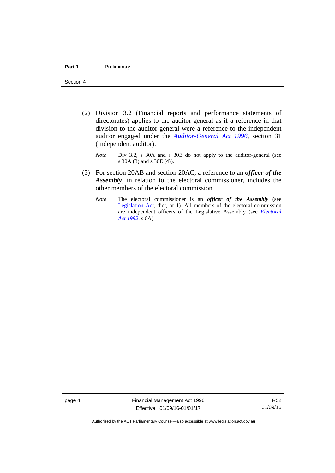- (2) Division 3.2 (Financial reports and performance statements of directorates) applies to the auditor-general as if a reference in that division to the auditor-general were a reference to the independent auditor engaged under the *[Auditor-General Act 1996](http://www.legislation.act.gov.au/a/1996-23)*, section 31 (Independent auditor).
	- *Note* Div 3.2, s 30A and s 30E do not apply to the auditor-general (see s 30A (3) and s 30E (4)).
- (3) For section 20AB and section 20AC, a reference to an *officer of the Assembly*, in relation to the electoral commissioner, includes the other members of the electoral commission.
	- *Note* The electoral commissioner is an *officer of the Assembly* (see [Legislation Act](http://www.legislation.act.gov.au/a/2001-14), dict, pt 1). All members of the electoral commission are independent officers of the Legislative Assembly (see *[Electoral](http://www.legislation.act.gov.au/a/1992-71)  [Act 1992](http://www.legislation.act.gov.au/a/1992-71)*, s 6A).

page 4 Financial Management Act 1996 Effective: 01/09/16-01/01/17

R52 01/09/16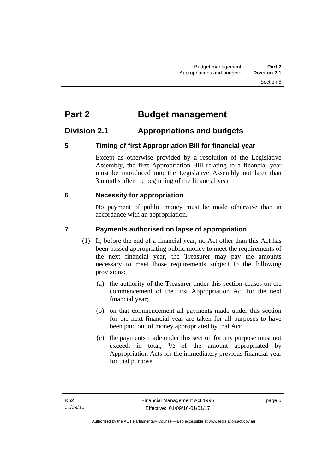# <span id="page-14-0"></span>**Part 2 Budget management**

# <span id="page-14-1"></span>**Division 2.1 Appropriations and budgets**

## <span id="page-14-2"></span>**5 Timing of first Appropriation Bill for financial year**

Except as otherwise provided by a resolution of the Legislative Assembly, the first Appropriation Bill relating to a financial year must be introduced into the Legislative Assembly not later than 3 months after the beginning of the financial year.

## <span id="page-14-3"></span> **6 Necessity for appropriation**

No payment of public money must be made otherwise than in accordance with an appropriation.

## <span id="page-14-4"></span>**7 Payments authorised on lapse of appropriation**

- (1) If, before the end of a financial year, no Act other than this Act has been passed appropriating public money to meet the requirements of the next financial year, the Treasurer may pay the amounts necessary to meet those requirements subject to the following provisions:
	- (a) the authority of the Treasurer under this section ceases on the commencement of the first Appropriation Act for the next financial year;
	- (b) on that commencement all payments made under this section for the next financial year are taken for all purposes to have been paid out of money appropriated by that Act;
	- (c) the payments made under this section for any purpose must not exceed, in total,  $\frac{1}{2}$  of the amount appropriated by Appropriation Acts for the immediately previous financial year for that purpose.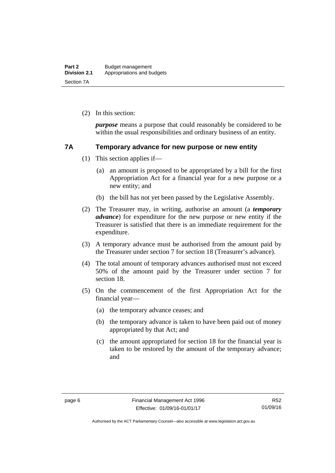(2) In this section:

*purpose* means a purpose that could reasonably be considered to be within the usual responsibilities and ordinary business of an entity.

#### <span id="page-15-0"></span>**7A Temporary advance for new purpose or new entity**

- (1) This section applies if—
	- (a) an amount is proposed to be appropriated by a bill for the first Appropriation Act for a financial year for a new purpose or a new entity; and
	- (b) the bill has not yet been passed by the Legislative Assembly.
- (2) The Treasurer may, in writing, authorise an amount (a *temporary advance*) for expenditure for the new purpose or new entity if the Treasurer is satisfied that there is an immediate requirement for the expenditure.
- (3) A temporary advance must be authorised from the amount paid by the Treasurer under section 7 for section 18 (Treasurer's advance).
- (4) The total amount of temporary advances authorised must not exceed 50% of the amount paid by the Treasurer under section 7 for section 18.
- (5) On the commencement of the first Appropriation Act for the financial year—
	- (a) the temporary advance ceases; and
	- (b) the temporary advance is taken to have been paid out of money appropriated by that Act; and
	- (c) the amount appropriated for section 18 for the financial year is taken to be restored by the amount of the temporary advance; and

R52 01/09/16

Authorised by the ACT Parliamentary Counsel—also accessible at www.legislation.act.gov.au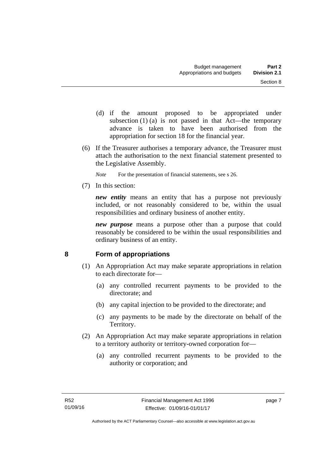- (d) if the amount proposed to be appropriated under subsection  $(1)$  (a) is not passed in that Act—the temporary advance is taken to have been authorised from the appropriation for section 18 for the financial year.
- (6) If the Treasurer authorises a temporary advance, the Treasurer must attach the authorisation to the next financial statement presented to the Legislative Assembly.
	- *Note* For the presentation of financial statements, see s 26.
- (7) In this section:

*new entity* means an entity that has a purpose not previously included, or not reasonably considered to be, within the usual responsibilities and ordinary business of another entity.

*new purpose* means a purpose other than a purpose that could reasonably be considered to be within the usual responsibilities and ordinary business of an entity.

## <span id="page-16-0"></span>**8 Form of appropriations**

- (1) An Appropriation Act may make separate appropriations in relation to each directorate for—
	- (a) any controlled recurrent payments to be provided to the directorate; and
	- (b) any capital injection to be provided to the directorate; and
	- (c) any payments to be made by the directorate on behalf of the Territory.
- (2) An Appropriation Act may make separate appropriations in relation to a territory authority or territory-owned corporation for—
	- (a) any controlled recurrent payments to be provided to the authority or corporation; and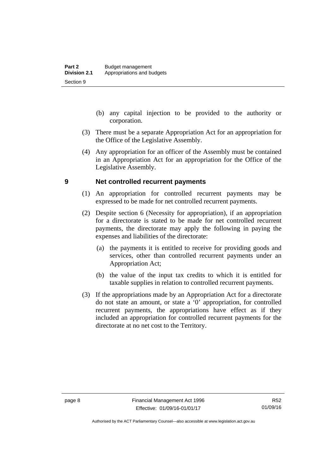- (b) any capital injection to be provided to the authority or corporation.
- (3) There must be a separate Appropriation Act for an appropriation for the Office of the Legislative Assembly.
- (4) Any appropriation for an officer of the Assembly must be contained in an Appropriation Act for an appropriation for the Office of the Legislative Assembly.

#### <span id="page-17-0"></span>**9 Net controlled recurrent payments**

- (1) An appropriation for controlled recurrent payments may be expressed to be made for net controlled recurrent payments.
- (2) Despite section 6 (Necessity for appropriation), if an appropriation for a directorate is stated to be made for net controlled recurrent payments, the directorate may apply the following in paying the expenses and liabilities of the directorate:
	- (a) the payments it is entitled to receive for providing goods and services, other than controlled recurrent payments under an Appropriation Act;
	- (b) the value of the input tax credits to which it is entitled for taxable supplies in relation to controlled recurrent payments.
- (3) If the appropriations made by an Appropriation Act for a directorate do not state an amount, or state a '0' appropriation, for controlled recurrent payments, the appropriations have effect as if they included an appropriation for controlled recurrent payments for the directorate at no net cost to the Territory.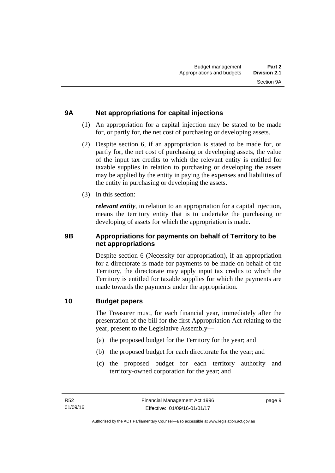# <span id="page-18-0"></span>**9A Net appropriations for capital injections**

- (1) An appropriation for a capital injection may be stated to be made for, or partly for, the net cost of purchasing or developing assets.
- (2) Despite section 6, if an appropriation is stated to be made for, or partly for, the net cost of purchasing or developing assets, the value of the input tax credits to which the relevant entity is entitled for taxable supplies in relation to purchasing or developing the assets may be applied by the entity in paying the expenses and liabilities of the entity in purchasing or developing the assets.
- (3) In this section:

*relevant entity*, in relation to an appropriation for a capital injection, means the territory entity that is to undertake the purchasing or developing of assets for which the appropriation is made.

### <span id="page-18-1"></span>**9B Appropriations for payments on behalf of Territory to be net appropriations**

Despite section 6 (Necessity for appropriation), if an appropriation for a directorate is made for payments to be made on behalf of the Territory, the directorate may apply input tax credits to which the Territory is entitled for taxable supplies for which the payments are made towards the payments under the appropriation.

### <span id="page-18-2"></span>**10 Budget papers**

The Treasurer must, for each financial year, immediately after the presentation of the bill for the first Appropriation Act relating to the year, present to the Legislative Assembly—

- (a) the proposed budget for the Territory for the year; and
- (b) the proposed budget for each directorate for the year; and
- (c) the proposed budget for each territory authority and territory-owned corporation for the year; and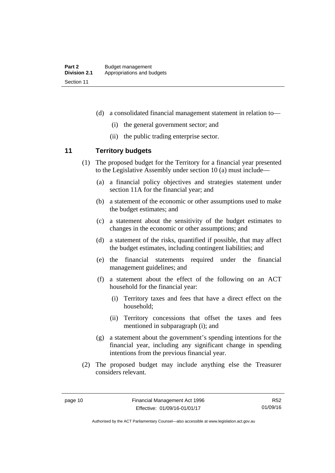- (d) a consolidated financial management statement in relation to—
	- (i) the general government sector; and
	- (ii) the public trading enterprise sector.

### <span id="page-19-0"></span>**11 Territory budgets**

- (1) The proposed budget for the Territory for a financial year presented to the Legislative Assembly under section 10 (a) must include—
	- (a) a financial policy objectives and strategies statement under section 11A for the financial year; and
	- (b) a statement of the economic or other assumptions used to make the budget estimates; and
	- (c) a statement about the sensitivity of the budget estimates to changes in the economic or other assumptions; and
	- (d) a statement of the risks, quantified if possible, that may affect the budget estimates, including contingent liabilities; and
	- (e) the financial statements required under the financial management guidelines; and
	- (f) a statement about the effect of the following on an ACT household for the financial year:
		- (i) Territory taxes and fees that have a direct effect on the household;
		- (ii) Territory concessions that offset the taxes and fees mentioned in subparagraph (i); and
	- (g) a statement about the government's spending intentions for the financial year, including any significant change in spending intentions from the previous financial year.
- (2) The proposed budget may include anything else the Treasurer considers relevant.

Authorised by the ACT Parliamentary Counsel—also accessible at www.legislation.act.gov.au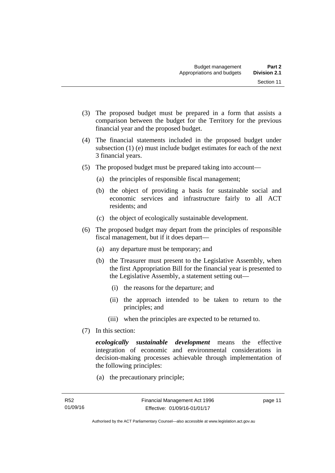- 
- (3) The proposed budget must be prepared in a form that assists a comparison between the budget for the Territory for the previous financial year and the proposed budget.
- (4) The financial statements included in the proposed budget under subsection (1) (e) must include budget estimates for each of the next 3 financial years.
- (5) The proposed budget must be prepared taking into account—
	- (a) the principles of responsible fiscal management;
	- (b) the object of providing a basis for sustainable social and economic services and infrastructure fairly to all ACT residents; and
	- (c) the object of ecologically sustainable development.
- (6) The proposed budget may depart from the principles of responsible fiscal management, but if it does depart—
	- (a) any departure must be temporary; and
	- (b) the Treasurer must present to the Legislative Assembly, when the first Appropriation Bill for the financial year is presented to the Legislative Assembly, a statement setting out—
		- (i) the reasons for the departure; and
		- (ii) the approach intended to be taken to return to the principles; and
		- (iii) when the principles are expected to be returned to.
- (7) In this section:

*ecologically sustainable development* means the effective integration of economic and environmental considerations in decision-making processes achievable through implementation of the following principles:

(a) the precautionary principle;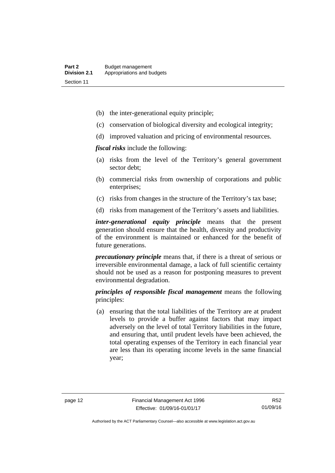- (b) the inter-generational equity principle;
- (c) conservation of biological diversity and ecological integrity;
- (d) improved valuation and pricing of environmental resources.

*fiscal risks* include the following:

- (a) risks from the level of the Territory's general government sector debt;
- (b) commercial risks from ownership of corporations and public enterprises;
- (c) risks from changes in the structure of the Territory's tax base;
- (d) risks from management of the Territory's assets and liabilities.

*inter-generational equity principle* means that the present generation should ensure that the health, diversity and productivity of the environment is maintained or enhanced for the benefit of future generations.

*precautionary principle* means that, if there is a threat of serious or irreversible environmental damage, a lack of full scientific certainty should not be used as a reason for postponing measures to prevent environmental degradation.

*principles of responsible fiscal management* means the following principles:

 (a) ensuring that the total liabilities of the Territory are at prudent levels to provide a buffer against factors that may impact adversely on the level of total Territory liabilities in the future, and ensuring that, until prudent levels have been achieved, the total operating expenses of the Territory in each financial year are less than its operating income levels in the same financial year;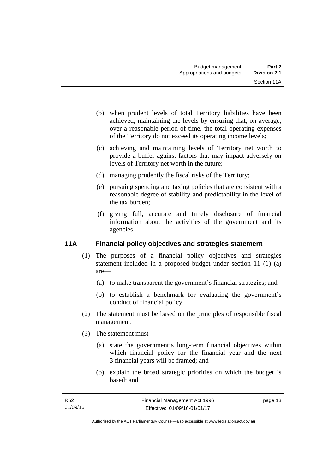- (b) when prudent levels of total Territory liabilities have been achieved, maintaining the levels by ensuring that, on average, over a reasonable period of time, the total operating expenses of the Territory do not exceed its operating income levels;
- (c) achieving and maintaining levels of Territory net worth to provide a buffer against factors that may impact adversely on levels of Territory net worth in the future;
- (d) managing prudently the fiscal risks of the Territory;
- (e) pursuing spending and taxing policies that are consistent with a reasonable degree of stability and predictability in the level of the tax burden;
- (f) giving full, accurate and timely disclosure of financial information about the activities of the government and its agencies.

### <span id="page-22-0"></span>**11A Financial policy objectives and strategies statement**

- (1) The purposes of a financial policy objectives and strategies statement included in a proposed budget under section 11 (1) (a) are—
	- (a) to make transparent the government's financial strategies; and
	- (b) to establish a benchmark for evaluating the government's conduct of financial policy.
- (2) The statement must be based on the principles of responsible fiscal management.
- (3) The statement must—
	- (a) state the government's long-term financial objectives within which financial policy for the financial year and the next 3 financial years will be framed; and
	- (b) explain the broad strategic priorities on which the budget is based; and

page 13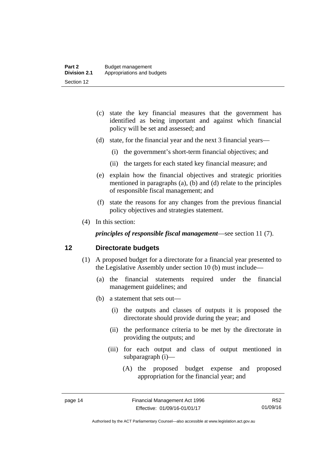- (c) state the key financial measures that the government has identified as being important and against which financial policy will be set and assessed; and
- (d) state, for the financial year and the next 3 financial years—
	- (i) the government's short-term financial objectives; and
	- (ii) the targets for each stated key financial measure; and
- (e) explain how the financial objectives and strategic priorities mentioned in paragraphs (a), (b) and (d) relate to the principles of responsible fiscal management; and
- (f) state the reasons for any changes from the previous financial policy objectives and strategies statement.
- (4) In this section:

*principles of responsible fiscal management*—see section 11 (7).

#### <span id="page-23-0"></span>**12 Directorate budgets**

- (1) A proposed budget for a directorate for a financial year presented to the Legislative Assembly under section 10 (b) must include—
	- (a) the financial statements required under the financial management guidelines; and
	- (b) a statement that sets out—
		- (i) the outputs and classes of outputs it is proposed the directorate should provide during the year; and
		- (ii) the performance criteria to be met by the directorate in providing the outputs; and
		- (iii) for each output and class of output mentioned in subparagraph (i)—
			- (A) the proposed budget expense and proposed appropriation for the financial year; and

R52 01/09/16

Authorised by the ACT Parliamentary Counsel—also accessible at www.legislation.act.gov.au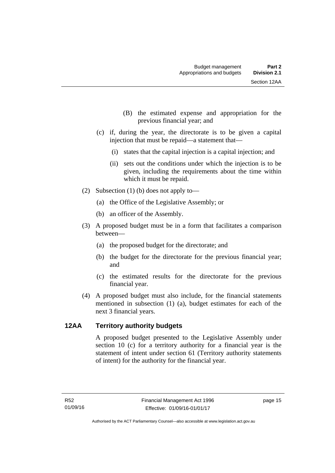- (B) the estimated expense and appropriation for the previous financial year; and
- (c) if, during the year, the directorate is to be given a capital injection that must be repaid—a statement that—
	- (i) states that the capital injection is a capital injection; and
	- (ii) sets out the conditions under which the injection is to be given, including the requirements about the time within which it must be repaid.
- (2) Subsection (1) (b) does not apply to—
	- (a) the Office of the Legislative Assembly; or
	- (b) an officer of the Assembly.
- (3) A proposed budget must be in a form that facilitates a comparison between—
	- (a) the proposed budget for the directorate; and
	- (b) the budget for the directorate for the previous financial year; and
	- (c) the estimated results for the directorate for the previous financial year.
- (4) A proposed budget must also include, for the financial statements mentioned in subsection (1) (a), budget estimates for each of the next 3 financial years.

#### <span id="page-24-0"></span>**12AA Territory authority budgets**

A proposed budget presented to the Legislative Assembly under section 10 (c) for a territory authority for a financial year is the statement of intent under section 61 (Territory authority statements of intent) for the authority for the financial year.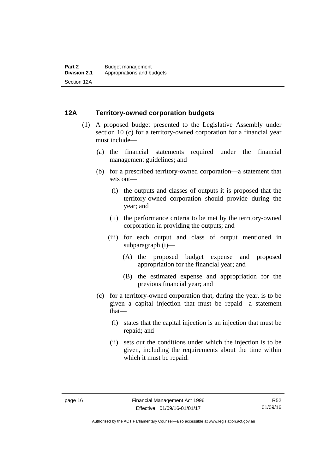#### <span id="page-25-0"></span>**12A Territory-owned corporation budgets**

- (1) A proposed budget presented to the Legislative Assembly under section 10 (c) for a territory-owned corporation for a financial year must include—
	- (a) the financial statements required under the financial management guidelines; and
	- (b) for a prescribed territory-owned corporation—a statement that sets out—
		- (i) the outputs and classes of outputs it is proposed that the territory-owned corporation should provide during the year; and
		- (ii) the performance criteria to be met by the territory-owned corporation in providing the outputs; and
		- (iii) for each output and class of output mentioned in subparagraph (i)—
			- (A) the proposed budget expense and proposed appropriation for the financial year; and
			- (B) the estimated expense and appropriation for the previous financial year; and
	- (c) for a territory-owned corporation that, during the year, is to be given a capital injection that must be repaid—a statement that—
		- (i) states that the capital injection is an injection that must be repaid; and
		- (ii) sets out the conditions under which the injection is to be given, including the requirements about the time within which it must be repaid.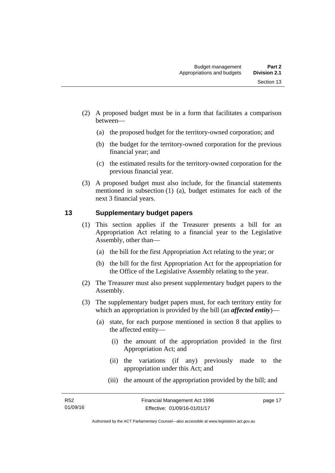- (2) A proposed budget must be in a form that facilitates a comparison between—
	- (a) the proposed budget for the territory-owned corporation; and
	- (b) the budget for the territory-owned corporation for the previous financial year; and
	- (c) the estimated results for the territory-owned corporation for the previous financial year.
- (3) A proposed budget must also include, for the financial statements mentioned in subsection (1) (a), budget estimates for each of the next 3 financial years.

### <span id="page-26-0"></span>**13 Supplementary budget papers**

- (1) This section applies if the Treasurer presents a bill for an Appropriation Act relating to a financial year to the Legislative Assembly, other than—
	- (a) the bill for the first Appropriation Act relating to the year; or
	- (b) the bill for the first Appropriation Act for the appropriation for the Office of the Legislative Assembly relating to the year.
- (2) The Treasurer must also present supplementary budget papers to the Assembly.
- (3) The supplementary budget papers must, for each territory entity for which an appropriation is provided by the bill (an *affected entity*)—
	- (a) state, for each purpose mentioned in section 8 that applies to the affected entity—
		- (i) the amount of the appropriation provided in the first Appropriation Act; and
		- (ii) the variations (if any) previously made to the appropriation under this Act; and
		- (iii) the amount of the appropriation provided by the bill; and

page 17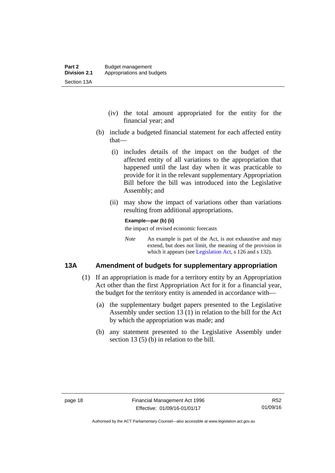- (iv) the total amount appropriated for the entity for the financial year; and
- (b) include a budgeted financial statement for each affected entity that—
	- (i) includes details of the impact on the budget of the affected entity of all variations to the appropriation that happened until the last day when it was practicable to provide for it in the relevant supplementary Appropriation Bill before the bill was introduced into the Legislative Assembly; and
	- (ii) may show the impact of variations other than variations resulting from additional appropriations.

#### **Example—par (b) (ii)**

the impact of revised economic forecasts

*Note* An example is part of the Act, is not exhaustive and may extend, but does not limit, the meaning of the provision in which it appears (see [Legislation Act,](http://www.legislation.act.gov.au/a/2001-14) s 126 and s 132).

#### <span id="page-27-0"></span>**13A Amendment of budgets for supplementary appropriation**

- (1) If an appropriation is made for a territory entity by an Appropriation Act other than the first Appropriation Act for it for a financial year, the budget for the territory entity is amended in accordance with—
	- (a) the supplementary budget papers presented to the Legislative Assembly under section 13 (1) in relation to the bill for the Act by which the appropriation was made; and
	- (b) any statement presented to the Legislative Assembly under section 13 (5) (b) in relation to the bill.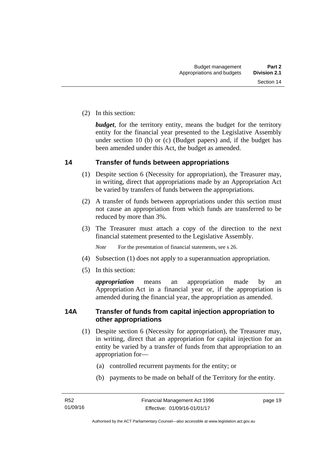(2) In this section:

*budget*, for the territory entity, means the budget for the territory entity for the financial year presented to the Legislative Assembly under section 10 (b) or (c) (Budget papers) and, if the budget has been amended under this Act, the budget as amended.

#### <span id="page-28-0"></span>**14 Transfer of funds between appropriations**

- (1) Despite section 6 (Necessity for appropriation), the Treasurer may, in writing, direct that appropriations made by an Appropriation Act be varied by transfers of funds between the appropriations.
- (2) A transfer of funds between appropriations under this section must not cause an appropriation from which funds are transferred to be reduced by more than 3%.
- (3) The Treasurer must attach a copy of the direction to the next financial statement presented to the Legislative Assembly.

*Note* For the presentation of financial statements, see s 26.

- (4) Subsection (1) does not apply to a superannuation appropriation.
- (5) In this section:

*appropriation* means an appropriation made by an Appropriation Act in a financial year or, if the appropriation is amended during the financial year, the appropriation as amended.

### <span id="page-28-1"></span>**14A Transfer of funds from capital injection appropriation to other appropriations**

- (1) Despite section 6 (Necessity for appropriation), the Treasurer may, in writing, direct that an appropriation for capital injection for an entity be varied by a transfer of funds from that appropriation to an appropriation for—
	- (a) controlled recurrent payments for the entity; or
	- (b) payments to be made on behalf of the Territory for the entity.

page 19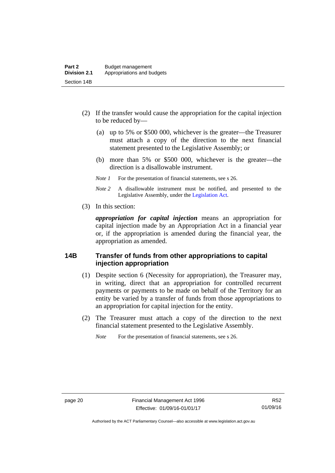- (2) If the transfer would cause the appropriation for the capital injection to be reduced by—
	- (a) up to 5% or \$500 000, whichever is the greater—the Treasurer must attach a copy of the direction to the next financial statement presented to the Legislative Assembly; or
	- (b) more than 5% or \$500 000, whichever is the greater—the direction is a disallowable instrument.
	- *Note 1* For the presentation of financial statements, see s 26.
	- *Note 2* A disallowable instrument must be notified, and presented to the Legislative Assembly, under the [Legislation Act.](http://www.legislation.act.gov.au/a/2001-14)
- (3) In this section:

*appropriation for capital injection* means an appropriation for capital injection made by an Appropriation Act in a financial year or, if the appropriation is amended during the financial year, the appropriation as amended.

#### <span id="page-29-0"></span>**14B Transfer of funds from other appropriations to capital injection appropriation**

- (1) Despite section 6 (Necessity for appropriation), the Treasurer may, in writing, direct that an appropriation for controlled recurrent payments or payments to be made on behalf of the Territory for an entity be varied by a transfer of funds from those appropriations to an appropriation for capital injection for the entity.
- (2) The Treasurer must attach a copy of the direction to the next financial statement presented to the Legislative Assembly.

*Note* For the presentation of financial statements, see s 26.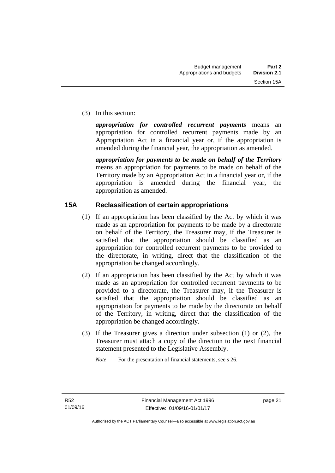(3) In this section:

*appropriation for controlled recurrent payments* means an appropriation for controlled recurrent payments made by an Appropriation Act in a financial year or, if the appropriation is amended during the financial year, the appropriation as amended.

*appropriation for payments to be made on behalf of the Territory* means an appropriation for payments to be made on behalf of the Territory made by an Appropriation Act in a financial year or, if the appropriation is amended during the financial year, the appropriation as amended.

### <span id="page-30-0"></span>**15A Reclassification of certain appropriations**

- (1) If an appropriation has been classified by the Act by which it was made as an appropriation for payments to be made by a directorate on behalf of the Territory, the Treasurer may, if the Treasurer is satisfied that the appropriation should be classified as an appropriation for controlled recurrent payments to be provided to the directorate, in writing, direct that the classification of the appropriation be changed accordingly.
- (2) If an appropriation has been classified by the Act by which it was made as an appropriation for controlled recurrent payments to be provided to a directorate, the Treasurer may, if the Treasurer is satisfied that the appropriation should be classified as an appropriation for payments to be made by the directorate on behalf of the Territory, in writing, direct that the classification of the appropriation be changed accordingly.
- (3) If the Treasurer gives a direction under subsection (1) or (2), the Treasurer must attach a copy of the direction to the next financial statement presented to the Legislative Assembly.

*Note* For the presentation of financial statements, see s 26.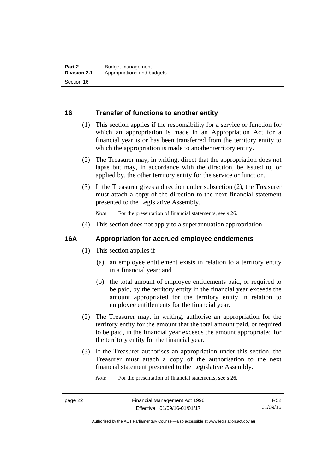#### <span id="page-31-0"></span>**16 Transfer of functions to another entity**

- (1) This section applies if the responsibility for a service or function for which an appropriation is made in an Appropriation Act for a financial year is or has been transferred from the territory entity to which the appropriation is made to another territory entity.
- (2) The Treasurer may, in writing, direct that the appropriation does not lapse but may, in accordance with the direction, be issued to, or applied by, the other territory entity for the service or function.
- (3) If the Treasurer gives a direction under subsection (2), the Treasurer must attach a copy of the direction to the next financial statement presented to the Legislative Assembly.

*Note* For the presentation of financial statements, see s 26.

(4) This section does not apply to a superannuation appropriation.

#### <span id="page-31-1"></span>**16A Appropriation for accrued employee entitlements**

- (1) This section applies if—
	- (a) an employee entitlement exists in relation to a territory entity in a financial year; and
	- (b) the total amount of employee entitlements paid, or required to be paid, by the territory entity in the financial year exceeds the amount appropriated for the territory entity in relation to employee entitlements for the financial year.
- (2) The Treasurer may, in writing, authorise an appropriation for the territory entity for the amount that the total amount paid, or required to be paid, in the financial year exceeds the amount appropriated for the territory entity for the financial year.
- (3) If the Treasurer authorises an appropriation under this section, the Treasurer must attach a copy of the authorisation to the next financial statement presented to the Legislative Assembly.

*Note* For the presentation of financial statements, see s 26.

R52 01/09/16

Authorised by the ACT Parliamentary Counsel—also accessible at www.legislation.act.gov.au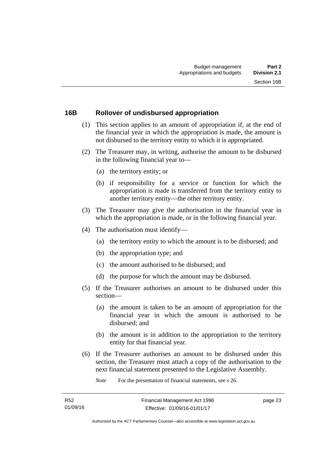#### <span id="page-32-0"></span>**16B Rollover of undisbursed appropriation**

- (1) This section applies to an amount of appropriation if, at the end of the financial year in which the appropriation is made, the amount is not disbursed to the territory entity to which it is appropriated.
- (2) The Treasurer may, in writing, authorise the amount to be disbursed in the following financial year to—
	- (a) the territory entity; or
	- (b) if responsibility for a service or function for which the appropriation is made is transferred from the territory entity to another territory entity—the other territory entity.
- (3) The Treasurer may give the authorisation in the financial year in which the appropriation is made, or in the following financial year.
- (4) The authorisation must identify—
	- (a) the territory entity to which the amount is to be disbursed; and
	- (b) the appropriation type; and
	- (c) the amount authorised to be disbursed; and
	- (d) the purpose for which the amount may be disbursed.
- (5) If the Treasurer authorises an amount to be disbursed under this section—
	- (a) the amount is taken to be an amount of appropriation for the financial year in which the amount is authorised to be disbursed; and
	- (b) the amount is in addition to the appropriation to the territory entity for that financial year.
- (6) If the Treasurer authorises an amount to be disbursed under this section, the Treasurer must attach a copy of the authorisation to the next financial statement presented to the Legislative Assembly.

*Note* For the presentation of financial statements, see s 26.

page 23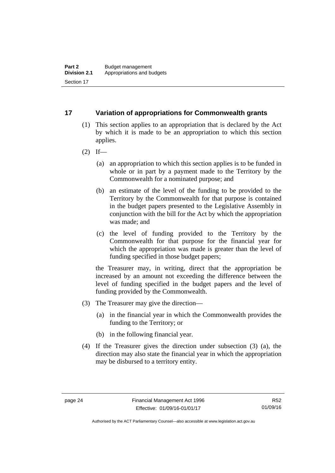### <span id="page-33-0"></span>**17 Variation of appropriations for Commonwealth grants**

- (1) This section applies to an appropriation that is declared by the Act by which it is made to be an appropriation to which this section applies.
- $(2)$  If—
	- (a) an appropriation to which this section applies is to be funded in whole or in part by a payment made to the Territory by the Commonwealth for a nominated purpose; and
	- (b) an estimate of the level of the funding to be provided to the Territory by the Commonwealth for that purpose is contained in the budget papers presented to the Legislative Assembly in conjunction with the bill for the Act by which the appropriation was made; and
	- (c) the level of funding provided to the Territory by the Commonwealth for that purpose for the financial year for which the appropriation was made is greater than the level of funding specified in those budget papers;

the Treasurer may, in writing, direct that the appropriation be increased by an amount not exceeding the difference between the level of funding specified in the budget papers and the level of funding provided by the Commonwealth.

- (3) The Treasurer may give the direction—
	- (a) in the financial year in which the Commonwealth provides the funding to the Territory; or
	- (b) in the following financial year.
- (4) If the Treasurer gives the direction under subsection (3) (a), the direction may also state the financial year in which the appropriation may be disbursed to a territory entity.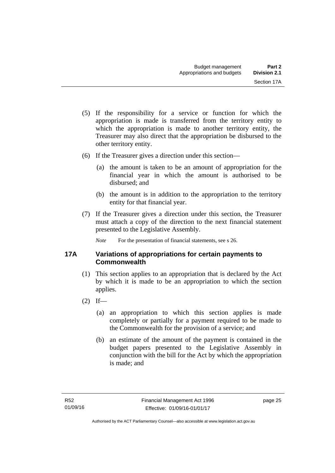- (5) If the responsibility for a service or function for which the appropriation is made is transferred from the territory entity to which the appropriation is made to another territory entity, the Treasurer may also direct that the appropriation be disbursed to the other territory entity.
- (6) If the Treasurer gives a direction under this section—
	- (a) the amount is taken to be an amount of appropriation for the financial year in which the amount is authorised to be disbursed; and
	- (b) the amount is in addition to the appropriation to the territory entity for that financial year.
- (7) If the Treasurer gives a direction under this section, the Treasurer must attach a copy of the direction to the next financial statement presented to the Legislative Assembly.

*Note* For the presentation of financial statements, see s 26.

### <span id="page-34-0"></span>**17A Variations of appropriations for certain payments to Commonwealth**

- (1) This section applies to an appropriation that is declared by the Act by which it is made to be an appropriation to which the section applies.
- $(2)$  If—
	- (a) an appropriation to which this section applies is made completely or partially for a payment required to be made to the Commonwealth for the provision of a service; and
	- (b) an estimate of the amount of the payment is contained in the budget papers presented to the Legislative Assembly in conjunction with the bill for the Act by which the appropriation is made; and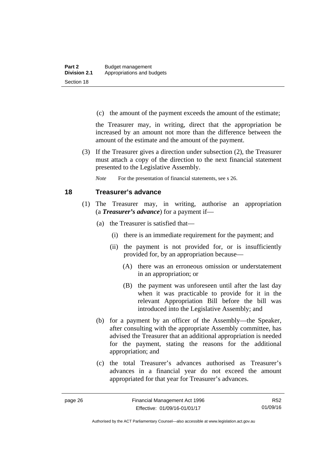(c) the amount of the payment exceeds the amount of the estimate;

the Treasurer may, in writing, direct that the appropriation be increased by an amount not more than the difference between the amount of the estimate and the amount of the payment.

 (3) If the Treasurer gives a direction under subsection (2), the Treasurer must attach a copy of the direction to the next financial statement presented to the Legislative Assembly.

*Note* For the presentation of financial statements, see s 26.

#### <span id="page-35-0"></span>**18 Treasurer's advance**

- (1) The Treasurer may, in writing, authorise an appropriation (a *Treasurer's advance*) for a payment if—
	- (a) the Treasurer is satisfied that—
		- (i) there is an immediate requirement for the payment; and
		- (ii) the payment is not provided for, or is insufficiently provided for, by an appropriation because—
			- (A) there was an erroneous omission or understatement in an appropriation; or
			- (B) the payment was unforeseen until after the last day when it was practicable to provide for it in the relevant Appropriation Bill before the bill was introduced into the Legislative Assembly; and
	- (b) for a payment by an officer of the Assembly—the Speaker, after consulting with the appropriate Assembly committee, has advised the Treasurer that an additional appropriation is needed for the payment, stating the reasons for the additional appropriation; and
	- (c) the total Treasurer's advances authorised as Treasurer's advances in a financial year do not exceed the amount appropriated for that year for Treasurer's advances.

R52 01/09/16

Authorised by the ACT Parliamentary Counsel—also accessible at www.legislation.act.gov.au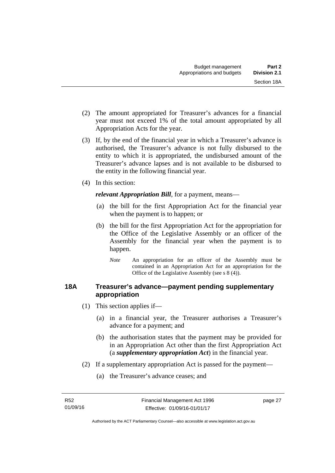- (2) The amount appropriated for Treasurer's advances for a financial year must not exceed 1% of the total amount appropriated by all Appropriation Acts for the year.
- (3) If, by the end of the financial year in which a Treasurer's advance is authorised, the Treasurer's advance is not fully disbursed to the entity to which it is appropriated, the undisbursed amount of the Treasurer's advance lapses and is not available to be disbursed to the entity in the following financial year.
- (4) In this section:

*relevant Appropriation Bill*, for a payment, means—

- (a) the bill for the first Appropriation Act for the financial year when the payment is to happen; or
- (b) the bill for the first Appropriation Act for the appropriation for the Office of the Legislative Assembly or an officer of the Assembly for the financial year when the payment is to happen.
	- *Note* An appropriation for an officer of the Assembly must be contained in an Appropriation Act for an appropriation for the Office of the Legislative Assembly (see s 8 (4)).

## **18A Treasurer's advance—payment pending supplementary appropriation**

- (1) This section applies if—
	- (a) in a financial year, the Treasurer authorises a Treasurer's advance for a payment; and
	- (b) the authorisation states that the payment may be provided for in an Appropriation Act other than the first Appropriation Act (a *supplementary appropriation Act*) in the financial year.
- (2) If a supplementary appropriation Act is passed for the payment—
	- (a) the Treasurer's advance ceases; and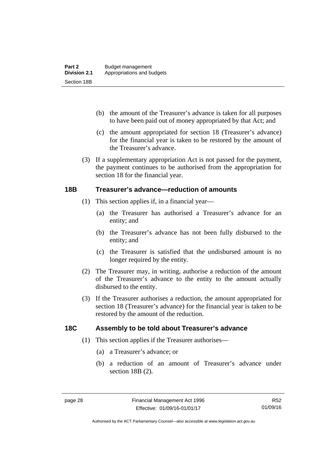- (b) the amount of the Treasurer's advance is taken for all purposes to have been paid out of money appropriated by that Act; and
- (c) the amount appropriated for section 18 (Treasurer's advance) for the financial year is taken to be restored by the amount of the Treasurer's advance.
- (3) If a supplementary appropriation Act is not passed for the payment, the payment continues to be authorised from the appropriation for section 18 for the financial year.

## **18B Treasurer's advance—reduction of amounts**

- (1) This section applies if, in a financial year—
	- (a) the Treasurer has authorised a Treasurer's advance for an entity; and
	- (b) the Treasurer's advance has not been fully disbursed to the entity; and
	- (c) the Treasurer is satisfied that the undisbursed amount is no longer required by the entity.
- (2) The Treasurer may, in writing, authorise a reduction of the amount of the Treasurer's advance to the entity to the amount actually disbursed to the entity.
- (3) If the Treasurer authorises a reduction, the amount appropriated for section 18 (Treasurer's advance) for the financial year is taken to be restored by the amount of the reduction.

## **18C Assembly to be told about Treasurer's advance**

- (1) This section applies if the Treasurer authorises—
	- (a) a Treasurer's advance; or
	- (b) a reduction of an amount of Treasurer's advance under section 18B (2).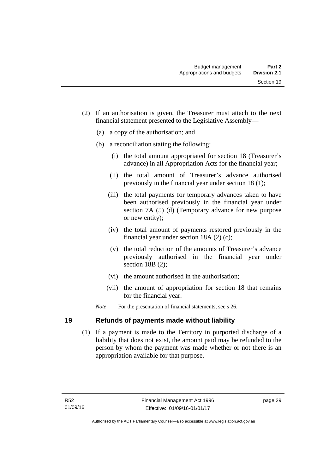- (2) If an authorisation is given, the Treasurer must attach to the next financial statement presented to the Legislative Assembly—
	- (a) a copy of the authorisation; and
	- (b) a reconciliation stating the following:
		- (i) the total amount appropriated for section 18 (Treasurer's advance) in all Appropriation Acts for the financial year;
		- (ii) the total amount of Treasurer's advance authorised previously in the financial year under section 18 (1);
		- (iii) the total payments for temporary advances taken to have been authorised previously in the financial year under section 7A (5) (d) (Temporary advance for new purpose or new entity);
		- (iv) the total amount of payments restored previously in the financial year under section 18A (2) (c);
		- (v) the total reduction of the amounts of Treasurer's advance previously authorised in the financial year under section 18B (2):
		- (vi) the amount authorised in the authorisation;
		- (vii) the amount of appropriation for section 18 that remains for the financial year.
	- *Note* For the presentation of financial statements, see s 26.

## **19 Refunds of payments made without liability**

 (1) If a payment is made to the Territory in purported discharge of a liability that does not exist, the amount paid may be refunded to the person by whom the payment was made whether or not there is an appropriation available for that purpose.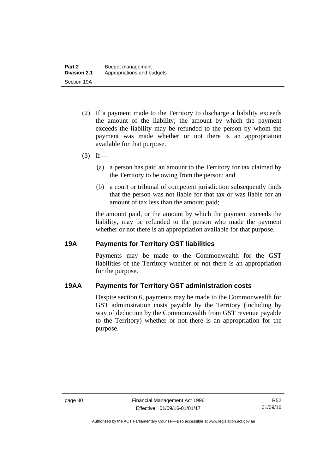- (2) If a payment made to the Territory to discharge a liability exceeds the amount of the liability, the amount by which the payment exceeds the liability may be refunded to the person by whom the payment was made whether or not there is an appropriation available for that purpose.
- $(3)$  If—
	- (a) a person has paid an amount to the Territory for tax claimed by the Territory to be owing from the person; and
	- (b) a court or tribunal of competent jurisdiction subsequently finds that the person was not liable for that tax or was liable for an amount of tax less than the amount paid;

the amount paid, or the amount by which the payment exceeds the liability, may be refunded to the person who made the payment whether or not there is an appropriation available for that purpose.

## **19A Payments for Territory GST liabilities**

Payments may be made to the Commonwealth for the GST liabilities of the Territory whether or not there is an appropriation for the purpose.

## **19AA Payments for Territory GST administration costs**

Despite section 6, payments may be made to the Commonwealth for GST administration costs payable by the Territory (including by way of deduction by the Commonwealth from GST revenue payable to the Territory) whether or not there is an appropriation for the purpose.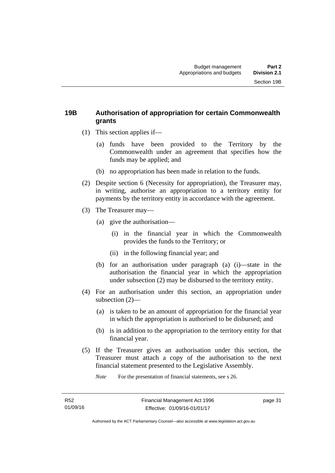## **19B Authorisation of appropriation for certain Commonwealth grants**

- (1) This section applies if—
	- (a) funds have been provided to the Territory by the Commonwealth under an agreement that specifies how the funds may be applied; and
	- (b) no appropriation has been made in relation to the funds.
- (2) Despite section 6 (Necessity for appropriation), the Treasurer may, in writing, authorise an appropriation to a territory entity for payments by the territory entity in accordance with the agreement.
- (3) The Treasurer may—
	- (a) give the authorisation—
		- (i) in the financial year in which the Commonwealth provides the funds to the Territory; or
		- (ii) in the following financial year; and
	- (b) for an authorisation under paragraph (a) (i)—state in the authorisation the financial year in which the appropriation under subsection (2) may be disbursed to the territory entity.
- (4) For an authorisation under this section, an appropriation under subsection (2)—
	- (a) is taken to be an amount of appropriation for the financial year in which the appropriation is authorised to be disbursed; and
	- (b) is in addition to the appropriation to the territory entity for that financial year.
- (5) If the Treasurer gives an authorisation under this section, the Treasurer must attach a copy of the authorisation to the next financial statement presented to the Legislative Assembly.

*Note* For the presentation of financial statements, see s 26.

page 31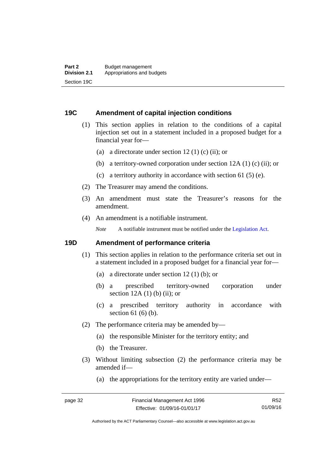## **19C Amendment of capital injection conditions**

- (1) This section applies in relation to the conditions of a capital injection set out in a statement included in a proposed budget for a financial year for—
	- (a) a directorate under section 12 (1) (c) (ii); or
	- (b) a territory-owned corporation under section 12A (1) (c) (ii); or
	- (c) a territory authority in accordance with section 61 (5) (e).
- (2) The Treasurer may amend the conditions.
- (3) An amendment must state the Treasurer's reasons for the amendment.
- (4) An amendment is a notifiable instrument.

*Note* A notifiable instrument must be notified under the [Legislation Act](http://www.legislation.act.gov.au/a/2001-14).

## **19D Amendment of performance criteria**

- (1) This section applies in relation to the performance criteria set out in a statement included in a proposed budget for a financial year for—
	- (a) a directorate under section 12 (1) (b); or
	- (b) a prescribed territory-owned corporation under section  $12A(1)$  (b) (ii); or
	- (c) a prescribed territory authority in accordance with section 61 (6) (b).
- (2) The performance criteria may be amended by—
	- (a) the responsible Minister for the territory entity; and
	- (b) the Treasurer.
- (3) Without limiting subsection (2) the performance criteria may be amended if—
	- (a) the appropriations for the territory entity are varied under—

R52 01/09/16

Authorised by the ACT Parliamentary Counsel—also accessible at www.legislation.act.gov.au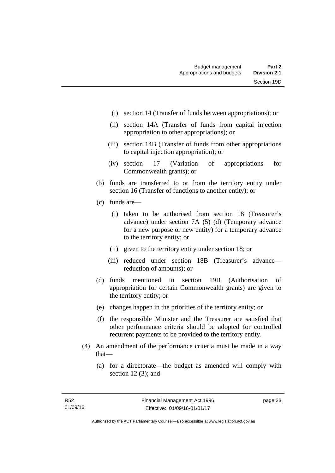- (i) section 14 (Transfer of funds between appropriations); or
- (ii) section 14A (Transfer of funds from capital injection appropriation to other appropriations); or
- (iii) section 14B (Transfer of funds from other appropriations to capital injection appropriation); or
- (iv) section 17 (Variation of appropriations for Commonwealth grants); or
- (b) funds are transferred to or from the territory entity under section 16 (Transfer of functions to another entity); or
- (c) funds are—
	- (i) taken to be authorised from section 18 (Treasurer's advance) under section 7A (5) (d) (Temporary advance for a new purpose or new entity) for a temporary advance to the territory entity; or
	- (ii) given to the territory entity under section 18; or
	- (iii) reduced under section 18B (Treasurer's advance reduction of amounts); or
- (d) funds mentioned in section 19B (Authorisation of appropriation for certain Commonwealth grants) are given to the territory entity; or
- (e) changes happen in the priorities of the territory entity; or
- (f) the responsible Minister and the Treasurer are satisfied that other performance criteria should be adopted for controlled recurrent payments to be provided to the territory entity.
- (4) An amendment of the performance criteria must be made in a way that—
	- (a) for a directorate—the budget as amended will comply with section 12 (3); and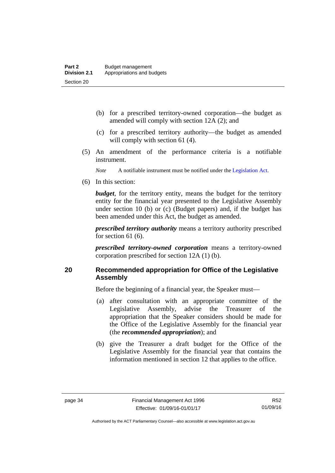- (b) for a prescribed territory-owned corporation—the budget as amended will comply with section 12A (2); and
- (c) for a prescribed territory authority—the budget as amended will comply with section 61 (4).
- (5) An amendment of the performance criteria is a notifiable instrument.

*Note* A notifiable instrument must be notified under the [Legislation Act](http://www.legislation.act.gov.au/a/2001-14).

(6) In this section:

*budget*, for the territory entity, means the budget for the territory entity for the financial year presented to the Legislative Assembly under section 10 (b) or (c) (Budget papers) and, if the budget has been amended under this Act, the budget as amended.

*prescribed territory authority* means a territory authority prescribed for section 61 (6).

*prescribed territory-owned corporation* means a territory-owned corporation prescribed for section 12A (1) (b).

## **20 Recommended appropriation for Office of the Legislative Assembly**

Before the beginning of a financial year, the Speaker must—

- (a) after consultation with an appropriate committee of the Legislative Assembly, advise the Treasurer of the appropriation that the Speaker considers should be made for the Office of the Legislative Assembly for the financial year (the *recommended appropriation*); and
- (b) give the Treasurer a draft budget for the Office of the Legislative Assembly for the financial year that contains the information mentioned in section 12 that applies to the office.

R52 01/09/16

Authorised by the ACT Parliamentary Counsel—also accessible at www.legislation.act.gov.au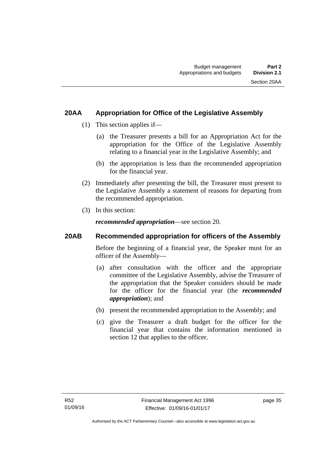## **20AA Appropriation for Office of the Legislative Assembly**

- (1) This section applies if—
	- (a) the Treasurer presents a bill for an Appropriation Act for the appropriation for the Office of the Legislative Assembly relating to a financial year in the Legislative Assembly; and
	- (b) the appropriation is less than the recommended appropriation for the financial year.
- (2) Immediately after presenting the bill, the Treasurer must present to the Legislative Assembly a statement of reasons for departing from the recommended appropriation.
- (3) In this section:

*recommended appropriation*—see section 20.

## **20AB Recommended appropriation for officers of the Assembly**

Before the beginning of a financial year, the Speaker must for an officer of the Assembly—

- (a) after consultation with the officer and the appropriate committee of the Legislative Assembly, advise the Treasurer of the appropriation that the Speaker considers should be made for the officer for the financial year (the *recommended appropriation*); and
- (b) present the recommended appropriation to the Assembly; and
- (c) give the Treasurer a draft budget for the officer for the financial year that contains the information mentioned in section 12 that applies to the officer.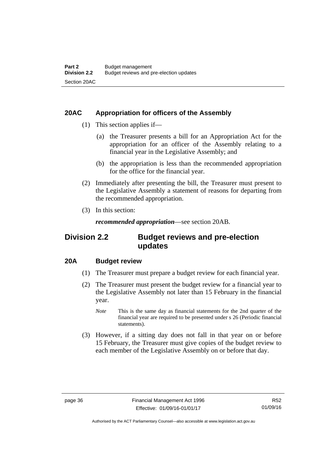## **20AC Appropriation for officers of the Assembly**

- (1) This section applies if—
	- (a) the Treasurer presents a bill for an Appropriation Act for the appropriation for an officer of the Assembly relating to a financial year in the Legislative Assembly; and
	- (b) the appropriation is less than the recommended appropriation for the office for the financial year.
- (2) Immediately after presenting the bill, the Treasurer must present to the Legislative Assembly a statement of reasons for departing from the recommended appropriation.
- (3) In this section:

*recommended appropriation*—see section 20AB.

## **Division 2.2 Budget reviews and pre-election updates**

## **20A Budget review**

- (1) The Treasurer must prepare a budget review for each financial year.
- (2) The Treasurer must present the budget review for a financial year to the Legislative Assembly not later than 15 February in the financial year.
	- *Note* This is the same day as financial statements for the 2nd quarter of the financial year are required to be presented under s 26 (Periodic financial statements).
- (3) However, if a sitting day does not fall in that year on or before 15 February, the Treasurer must give copies of the budget review to each member of the Legislative Assembly on or before that day.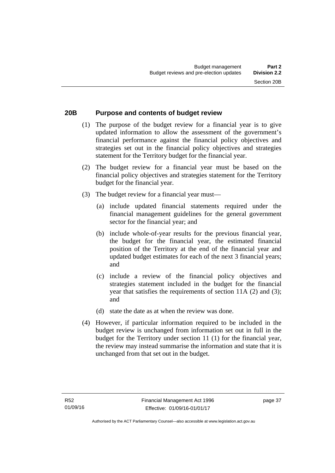# **20B Purpose and contents of budget review**

- (1) The purpose of the budget review for a financial year is to give updated information to allow the assessment of the government's financial performance against the financial policy objectives and strategies set out in the financial policy objectives and strategies statement for the Territory budget for the financial year.
- (2) The budget review for a financial year must be based on the financial policy objectives and strategies statement for the Territory budget for the financial year.
- (3) The budget review for a financial year must—
	- (a) include updated financial statements required under the financial management guidelines for the general government sector for the financial year; and
	- (b) include whole-of-year results for the previous financial year, the budget for the financial year, the estimated financial position of the Territory at the end of the financial year and updated budget estimates for each of the next 3 financial years; and
	- (c) include a review of the financial policy objectives and strategies statement included in the budget for the financial year that satisfies the requirements of section 11A (2) and (3); and
	- (d) state the date as at when the review was done.
- (4) However, if particular information required to be included in the budget review is unchanged from information set out in full in the budget for the Territory under section 11 (1) for the financial year, the review may instead summarise the information and state that it is unchanged from that set out in the budget.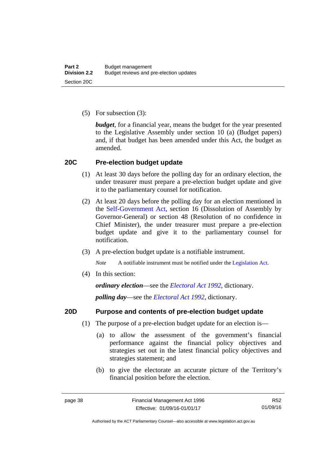(5) For subsection (3):

*budget*, for a financial year, means the budget for the year presented to the Legislative Assembly under section 10 (a) (Budget papers) and, if that budget has been amended under this Act, the budget as amended.

## **20C Pre-election budget update**

- (1) At least 30 days before the polling day for an ordinary election, the under treasurer must prepare a pre-election budget update and give it to the parliamentary counsel for notification.
- (2) At least 20 days before the polling day for an election mentioned in the [Self-Government Act,](http://www.comlaw.gov.au/Series/C2004A03699) section 16 (Dissolution of Assembly by Governor-General) or section 48 (Resolution of no confidence in Chief Minister), the under treasurer must prepare a pre-election budget update and give it to the parliamentary counsel for notification.
- (3) A pre-election budget update is a notifiable instrument.

*Note* A notifiable instrument must be notified under the [Legislation Act](http://www.legislation.act.gov.au/a/2001-14).

(4) In this section:

*ordinary election*—see the *[Electoral Act 1992](http://www.legislation.act.gov.au/a/1992-71)*, dictionary.

*polling day*—see the *[Electoral Act 1992](http://www.legislation.act.gov.au/a/1992-71)*, dictionary.

## **20D Purpose and contents of pre-election budget update**

- (1) The purpose of a pre-election budget update for an election is—
	- (a) to allow the assessment of the government's financial performance against the financial policy objectives and strategies set out in the latest financial policy objectives and strategies statement; and
	- (b) to give the electorate an accurate picture of the Territory's financial position before the election.

R52 01/09/16

Authorised by the ACT Parliamentary Counsel—also accessible at www.legislation.act.gov.au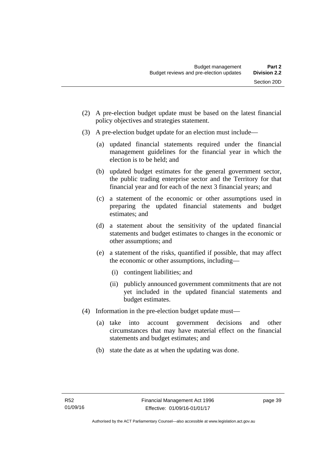- (2) A pre-election budget update must be based on the latest financial policy objectives and strategies statement.
- (3) A pre-election budget update for an election must include—
	- (a) updated financial statements required under the financial management guidelines for the financial year in which the election is to be held; and
	- (b) updated budget estimates for the general government sector, the public trading enterprise sector and the Territory for that financial year and for each of the next 3 financial years; and
	- (c) a statement of the economic or other assumptions used in preparing the updated financial statements and budget estimates; and
	- (d) a statement about the sensitivity of the updated financial statements and budget estimates to changes in the economic or other assumptions; and
	- (e) a statement of the risks, quantified if possible, that may affect the economic or other assumptions, including—
		- (i) contingent liabilities; and
		- (ii) publicly announced government commitments that are not yet included in the updated financial statements and budget estimates.
- (4) Information in the pre-election budget update must—
	- (a) take into account government decisions and other circumstances that may have material effect on the financial statements and budget estimates; and
	- (b) state the date as at when the updating was done.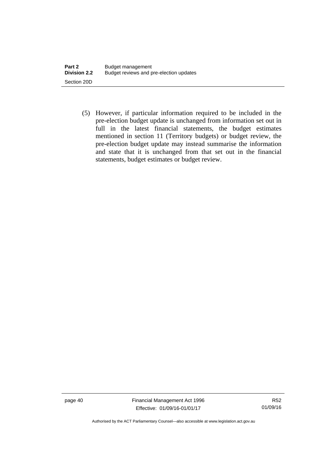(5) However, if particular information required to be included in the pre-election budget update is unchanged from information set out in full in the latest financial statements, the budget estimates mentioned in section 11 (Territory budgets) or budget review, the pre-election budget update may instead summarise the information and state that it is unchanged from that set out in the financial statements, budget estimates or budget review.

page 40 Financial Management Act 1996 Effective: 01/09/16-01/01/17

R52 01/09/16

Authorised by the ACT Parliamentary Counsel—also accessible at www.legislation.act.gov.au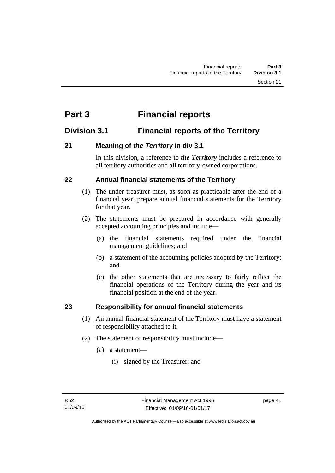# **Part 3 Financial reports**

## **Division 3.1 Financial reports of the Territory**

## **21 Meaning of** *the Territory* **in div 3.1**

In this division, a reference to *the Territory* includes a reference to all territory authorities and all territory-owned corporations.

## **22 Annual financial statements of the Territory**

- (1) The under treasurer must, as soon as practicable after the end of a financial year, prepare annual financial statements for the Territory for that year.
- (2) The statements must be prepared in accordance with generally accepted accounting principles and include—
	- (a) the financial statements required under the financial management guidelines; and
	- (b) a statement of the accounting policies adopted by the Territory; and
	- (c) the other statements that are necessary to fairly reflect the financial operations of the Territory during the year and its financial position at the end of the year.

## **23 Responsibility for annual financial statements**

- (1) An annual financial statement of the Territory must have a statement of responsibility attached to it.
- (2) The statement of responsibility must include—
	- (a) a statement—
		- (i) signed by the Treasurer; and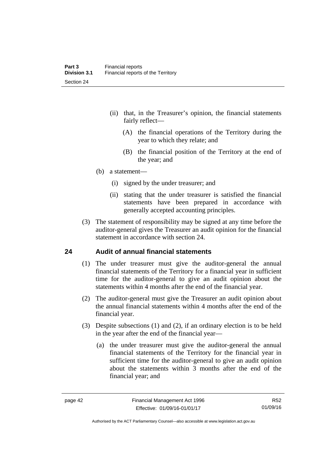- (ii) that, in the Treasurer's opinion, the financial statements fairly reflect—
	- (A) the financial operations of the Territory during the year to which they relate; and
	- (B) the financial position of the Territory at the end of the year; and
- (b) a statement—
	- (i) signed by the under treasurer; and
	- (ii) stating that the under treasurer is satisfied the financial statements have been prepared in accordance with generally accepted accounting principles.
- (3) The statement of responsibility may be signed at any time before the auditor-general gives the Treasurer an audit opinion for the financial statement in accordance with section 24.

## **24 Audit of annual financial statements**

- (1) The under treasurer must give the auditor-general the annual financial statements of the Territory for a financial year in sufficient time for the auditor-general to give an audit opinion about the statements within 4 months after the end of the financial year.
- (2) The auditor-general must give the Treasurer an audit opinion about the annual financial statements within 4 months after the end of the financial year.
- (3) Despite subsections (1) and (2), if an ordinary election is to be held in the year after the end of the financial year—
	- (a) the under treasurer must give the auditor-general the annual financial statements of the Territory for the financial year in sufficient time for the auditor-general to give an audit opinion about the statements within 3 months after the end of the financial year; and

R52 01/09/16

Authorised by the ACT Parliamentary Counsel—also accessible at www.legislation.act.gov.au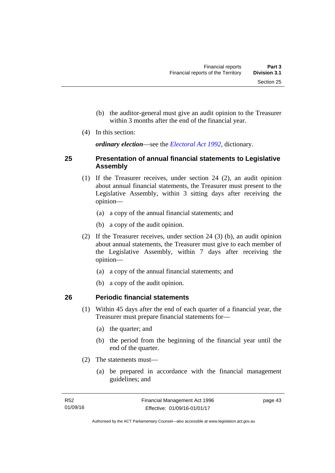- (b) the auditor-general must give an audit opinion to the Treasurer within 3 months after the end of the financial year.
- (4) In this section:

*ordinary election*—see the *[Electoral Act 1992](http://www.legislation.act.gov.au/a/1992-71)*, dictionary.

## **25 Presentation of annual financial statements to Legislative Assembly**

- (1) If the Treasurer receives, under section 24 (2), an audit opinion about annual financial statements, the Treasurer must present to the Legislative Assembly, within 3 sitting days after receiving the opinion—
	- (a) a copy of the annual financial statements; and
	- (b) a copy of the audit opinion.
- (2) If the Treasurer receives, under section 24 (3) (b), an audit opinion about annual statements, the Treasurer must give to each member of the Legislative Assembly, within 7 days after receiving the opinion—
	- (a) a copy of the annual financial statements; and
	- (b) a copy of the audit opinion.

## **26 Periodic financial statements**

- (1) Within 45 days after the end of each quarter of a financial year, the Treasurer must prepare financial statements for—
	- (a) the quarter; and
	- (b) the period from the beginning of the financial year until the end of the quarter.
- (2) The statements must—
	- (a) be prepared in accordance with the financial management guidelines; and

page 43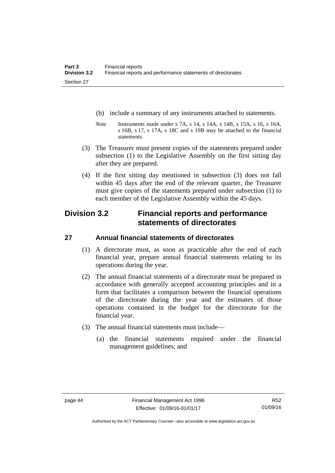- (b) include a summary of any instruments attached to statements.
- *Note* Instruments made under s 7A, s 14, s 14A, s 14B, s 15A, s 16, s 16A, s 16B, s 17, s 17A, s 18C and s 19B may be attached to the financial statements.
- (3) The Treasurer must present copies of the statements prepared under subsection (1) to the Legislative Assembly on the first sitting day after they are prepared.
- (4) If the first sitting day mentioned in subsection (3) does not fall within 45 days after the end of the relevant quarter, the Treasurer must give copies of the statements prepared under subsection (1) to each member of the Legislative Assembly within the 45 days.

## **Division 3.2 Financial reports and performance statements of directorates**

## **27 Annual financial statements of directorates**

- (1) A directorate must, as soon as practicable after the end of each financial year, prepare annual financial statements relating to its operations during the year.
- (2) The annual financial statements of a directorate must be prepared in accordance with generally accepted accounting principles and in a form that facilitates a comparison between the financial operations of the directorate during the year and the estimates of those operations contained in the budget for the directorate for the financial year.
- (3) The annual financial statements must include—
	- (a) the financial statements required under the financial management guidelines; and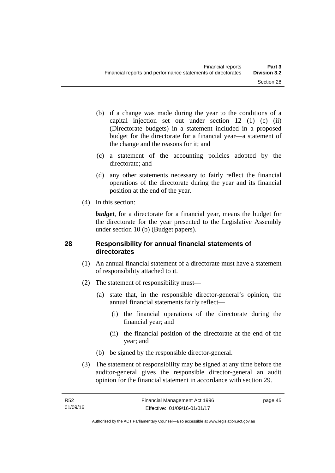- (b) if a change was made during the year to the conditions of a capital injection set out under section 12 (1) (c) (ii) (Directorate budgets) in a statement included in a proposed budget for the directorate for a financial year—a statement of the change and the reasons for it; and
- (c) a statement of the accounting policies adopted by the directorate; and
- (d) any other statements necessary to fairly reflect the financial operations of the directorate during the year and its financial position at the end of the year.
- (4) In this section:

*budget*, for a directorate for a financial year, means the budget for the directorate for the year presented to the Legislative Assembly under section 10 (b) (Budget papers).

## **28 Responsibility for annual financial statements of directorates**

- (1) An annual financial statement of a directorate must have a statement of responsibility attached to it.
- (2) The statement of responsibility must—
	- (a) state that, in the responsible director-general's opinion, the annual financial statements fairly reflect—
		- (i) the financial operations of the directorate during the financial year; and
		- (ii) the financial position of the directorate at the end of the year; and
	- (b) be signed by the responsible director-general.
- (3) The statement of responsibility may be signed at any time before the auditor-general gives the responsible director-general an audit opinion for the financial statement in accordance with section 29.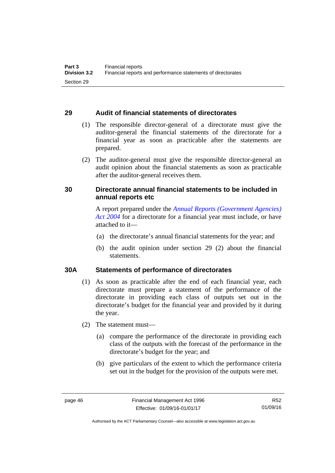## **29 Audit of financial statements of directorates**

- (1) The responsible director-general of a directorate must give the auditor-general the financial statements of the directorate for a financial year as soon as practicable after the statements are prepared.
- (2) The auditor-general must give the responsible director-general an audit opinion about the financial statements as soon as practicable after the auditor-general receives them.

## **30 Directorate annual financial statements to be included in annual reports etc**

A report prepared under the *[Annual Reports \(Government Agencies\)](http://www.legislation.act.gov.au/a/2004-8)  [Act 2004](http://www.legislation.act.gov.au/a/2004-8)* for a directorate for a financial year must include, or have attached to it—

- (a) the directorate's annual financial statements for the year; and
- (b) the audit opinion under section 29 (2) about the financial statements.

## **30A Statements of performance of directorates**

- (1) As soon as practicable after the end of each financial year, each directorate must prepare a statement of the performance of the directorate in providing each class of outputs set out in the directorate's budget for the financial year and provided by it during the year.
- (2) The statement must—
	- (a) compare the performance of the directorate in providing each class of the outputs with the forecast of the performance in the directorate's budget for the year; and
	- (b) give particulars of the extent to which the performance criteria set out in the budget for the provision of the outputs were met.

R52 01/09/16

Authorised by the ACT Parliamentary Counsel—also accessible at www.legislation.act.gov.au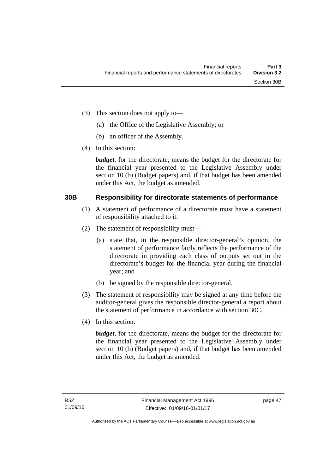- (3) This section does not apply to—
	- (a) the Office of the Legislative Assembly; or
	- (b) an officer of the Assembly.
- (4) In this section:

*budget*, for the directorate, means the budget for the directorate for the financial year presented to the Legislative Assembly under section 10 (b) (Budget papers) and, if that budget has been amended under this Act, the budget as amended.

## **30B Responsibility for directorate statements of performance**

- (1) A statement of performance of a directorate must have a statement of responsibility attached to it.
- (2) The statement of responsibility must—
	- (a) state that, in the responsible director-general's opinion, the statement of performance fairly reflects the performance of the directorate in providing each class of outputs set out in the directorate's budget for the financial year during the financial year; and
	- (b) be signed by the responsible director-general.
- (3) The statement of responsibility may be signed at any time before the auditor-general gives the responsible director-general a report about the statement of performance in accordance with section 30C.
- (4) In this section:

*budget*, for the directorate, means the budget for the directorate for the financial year presented to the Legislative Assembly under section 10 (b) (Budget papers) and, if that budget has been amended under this Act, the budget as amended.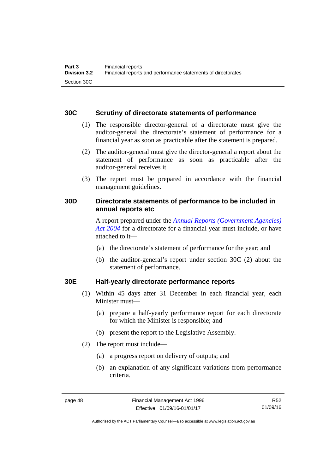## **30C Scrutiny of directorate statements of performance**

- (1) The responsible director-general of a directorate must give the auditor-general the directorate's statement of performance for a financial year as soon as practicable after the statement is prepared.
- (2) The auditor-general must give the director-general a report about the statement of performance as soon as practicable after the auditor-general receives it.
- (3) The report must be prepared in accordance with the financial management guidelines.

## **30D Directorate statements of performance to be included in annual reports etc**

A report prepared under the *[Annual Reports \(Government Agencies\)](http://www.legislation.act.gov.au/a/2004-8)  [Act 2004](http://www.legislation.act.gov.au/a/2004-8)* for a directorate for a financial year must include, or have attached to it—

- (a) the directorate's statement of performance for the year; and
- (b) the auditor-general's report under section 30C (2) about the statement of performance.

## **30E Half-yearly directorate performance reports**

- (1) Within 45 days after 31 December in each financial year, each Minister must—
	- (a) prepare a half-yearly performance report for each directorate for which the Minister is responsible; and
	- (b) present the report to the Legislative Assembly.
- (2) The report must include—
	- (a) a progress report on delivery of outputs; and
	- (b) an explanation of any significant variations from performance criteria.

R52 01/09/16

Authorised by the ACT Parliamentary Counsel—also accessible at www.legislation.act.gov.au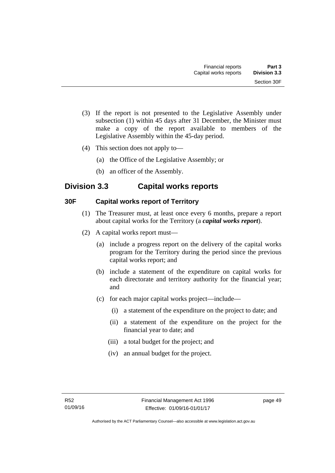- (3) If the report is not presented to the Legislative Assembly under subsection (1) within 45 days after 31 December, the Minister must make a copy of the report available to members of the Legislative Assembly within the 45-day period.
- (4) This section does not apply to—
	- (a) the Office of the Legislative Assembly; or
	- (b) an officer of the Assembly.

## **Division 3.3 Capital works reports**

## **30F Capital works report of Territory**

- (1) The Treasurer must, at least once every 6 months, prepare a report about capital works for the Territory (a *capital works report*).
- (2) A capital works report must—
	- (a) include a progress report on the delivery of the capital works program for the Territory during the period since the previous capital works report; and
	- (b) include a statement of the expenditure on capital works for each directorate and territory authority for the financial year; and
	- (c) for each major capital works project—include—
		- (i) a statement of the expenditure on the project to date; and
		- (ii) a statement of the expenditure on the project for the financial year to date; and
		- (iii) a total budget for the project; and
		- (iv) an annual budget for the project.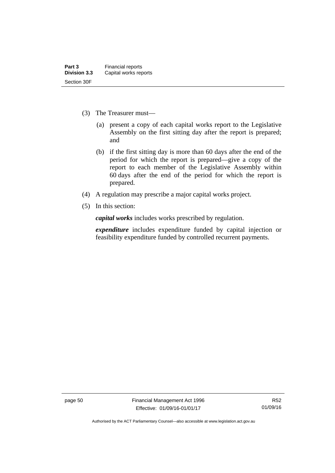- (3) The Treasurer must—
	- (a) present a copy of each capital works report to the Legislative Assembly on the first sitting day after the report is prepared; and
	- (b) if the first sitting day is more than 60 days after the end of the period for which the report is prepared—give a copy of the report to each member of the Legislative Assembly within 60 days after the end of the period for which the report is prepared.
- (4) A regulation may prescribe a major capital works project.
- (5) In this section:

*capital works* includes works prescribed by regulation.

*expenditure* includes expenditure funded by capital injection or feasibility expenditure funded by controlled recurrent payments.

page 50 Financial Management Act 1996 Effective: 01/09/16-01/01/17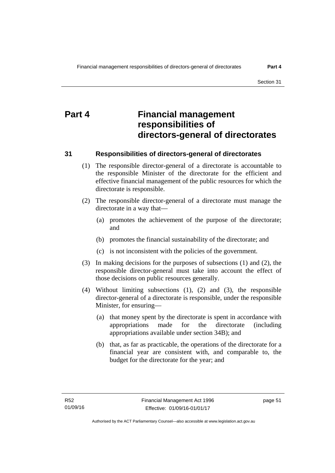# **Part 4 Financial management responsibilities of directors-general of directorates**

## **31 Responsibilities of directors-general of directorates**

- (1) The responsible director-general of a directorate is accountable to the responsible Minister of the directorate for the efficient and effective financial management of the public resources for which the directorate is responsible.
- (2) The responsible director-general of a directorate must manage the directorate in a way that—
	- (a) promotes the achievement of the purpose of the directorate; and
	- (b) promotes the financial sustainability of the directorate; and
	- (c) is not inconsistent with the policies of the government.
- (3) In making decisions for the purposes of subsections (1) and (2), the responsible director-general must take into account the effect of those decisions on public resources generally.
- (4) Without limiting subsections (1), (2) and (3), the responsible director-general of a directorate is responsible, under the responsible Minister, for ensuring—
	- (a) that money spent by the directorate is spent in accordance with appropriations made for the directorate (including appropriations available under section 34B); and
	- (b) that, as far as practicable, the operations of the directorate for a financial year are consistent with, and comparable to, the budget for the directorate for the year; and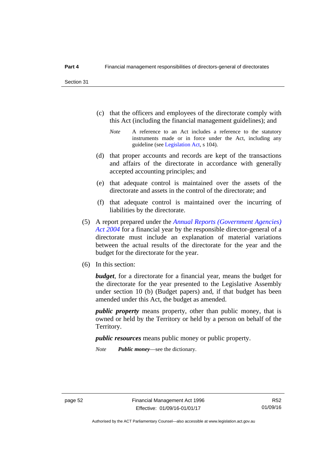- (c) that the officers and employees of the directorate comply with this Act (including the financial management guidelines); and
	- *Note* A reference to an Act includes a reference to the statutory instruments made or in force under the Act, including any guideline (see [Legislation Act](http://www.legislation.act.gov.au/a/2001-14), s 104).
- (d) that proper accounts and records are kept of the transactions and affairs of the directorate in accordance with generally accepted accounting principles; and
- (e) that adequate control is maintained over the assets of the directorate and assets in the control of the directorate; and
- (f) that adequate control is maintained over the incurring of liabilities by the directorate.
- (5) A report prepared under the *[Annual Reports \(Government Agencies\)](http://www.legislation.act.gov.au/a/2004-8)  [Act 2004](http://www.legislation.act.gov.au/a/2004-8)* for a financial year by the responsible director-general of a directorate must include an explanation of material variations between the actual results of the directorate for the year and the budget for the directorate for the year.
- (6) In this section:

*budget*, for a directorate for a financial year, means the budget for the directorate for the year presented to the Legislative Assembly under section 10 (b) (Budget papers) and, if that budget has been amended under this Act, the budget as amended.

*public property* means property, other than public money, that is owned or held by the Territory or held by a person on behalf of the Territory.

*public resources* means public money or public property.

*Note Public money*—see the dictionary.

R52 01/09/16

Authorised by the ACT Parliamentary Counsel—also accessible at www.legislation.act.gov.au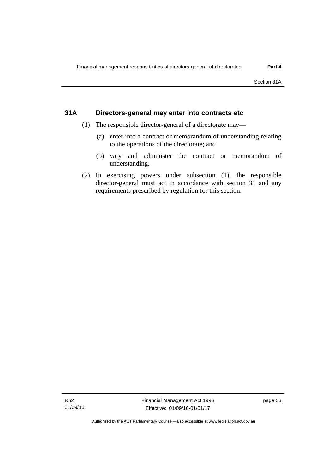## **31A Directors-general may enter into contracts etc**

- (1) The responsible director-general of a directorate may—
	- (a) enter into a contract or memorandum of understanding relating to the operations of the directorate; and
	- (b) vary and administer the contract or memorandum of understanding.
- (2) In exercising powers under subsection (1), the responsible director-general must act in accordance with section 31 and any requirements prescribed by regulation for this section.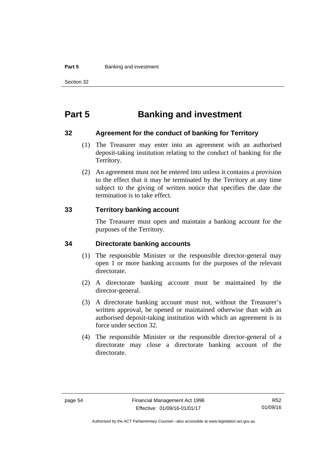#### **Part 5 Banking and investment**

Section 32

# **Part 5 Banking and investment**

## **32 Agreement for the conduct of banking for Territory**

- (1) The Treasurer may enter into an agreement with an authorised deposit-taking institution relating to the conduct of banking for the Territory.
- (2) An agreement must not be entered into unless it contains a provision to the effect that it may be terminated by the Territory at any time subject to the giving of written notice that specifies the date the termination is to take effect.

## **33 Territory banking account**

The Treasurer must open and maintain a banking account for the purposes of the Territory.

### **34 Directorate banking accounts**

- (1) The responsible Minister or the responsible director-general may open 1 or more banking accounts for the purposes of the relevant directorate.
- (2) A directorate banking account must be maintained by the director-general.
- (3) A directorate banking account must not, without the Treasurer's written approval, be opened or maintained otherwise than with an authorised deposit-taking institution with which an agreement is in force under section 32.
- (4) The responsible Minister or the responsible director-general of a directorate may close a directorate banking account of the directorate.

Authorised by the ACT Parliamentary Counsel—also accessible at www.legislation.act.gov.au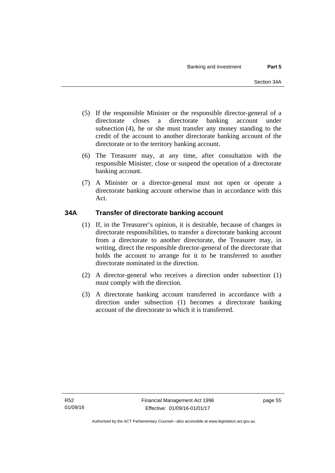- (5) If the responsible Minister or the responsible director-general of a directorate closes a directorate banking account under subsection (4), he or she must transfer any money standing to the credit of the account to another directorate banking account of the directorate or to the territory banking account.
- (6) The Treasurer may, at any time, after consultation with the responsible Minister, close or suspend the operation of a directorate banking account.
- (7) A Minister or a director-general must not open or operate a directorate banking account otherwise than in accordance with this Act.

## **34A Transfer of directorate banking account**

- (1) If, in the Treasurer's opinion, it is desirable, because of changes in directorate responsibilities, to transfer a directorate banking account from a directorate to another directorate, the Treasurer may, in writing, direct the responsible director-general of the directorate that holds the account to arrange for it to be transferred to another directorate nominated in the direction.
- (2) A director-general who receives a direction under subsection (1) must comply with the direction.
- (3) A directorate banking account transferred in accordance with a direction under subsection (1) becomes a directorate banking account of the directorate to which it is transferred.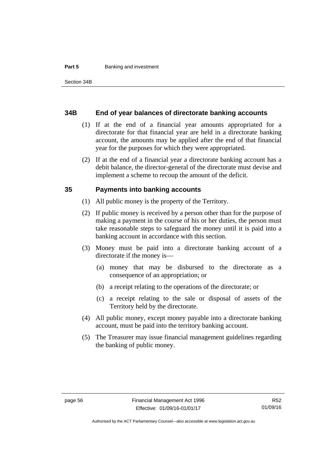#### **Part 5 Banking and investment**

### **34B End of year balances of directorate banking accounts**

- (1) If at the end of a financial year amounts appropriated for a directorate for that financial year are held in a directorate banking account, the amounts may be applied after the end of that financial year for the purposes for which they were appropriated.
- (2) If at the end of a financial year a directorate banking account has a debit balance, the director-general of the directorate must devise and implement a scheme to recoup the amount of the deficit.

## **35 Payments into banking accounts**

- (1) All public money is the property of the Territory.
- (2) If public money is received by a person other than for the purpose of making a payment in the course of his or her duties, the person must take reasonable steps to safeguard the money until it is paid into a banking account in accordance with this section.
- (3) Money must be paid into a directorate banking account of a directorate if the money is—
	- (a) money that may be disbursed to the directorate as a consequence of an appropriation; or
	- (b) a receipt relating to the operations of the directorate; or
	- (c) a receipt relating to the sale or disposal of assets of the Territory held by the directorate.
- (4) All public money, except money payable into a directorate banking account, must be paid into the territory banking account.
- (5) The Treasurer may issue financial management guidelines regarding the banking of public money.

Authorised by the ACT Parliamentary Counsel—also accessible at www.legislation.act.gov.au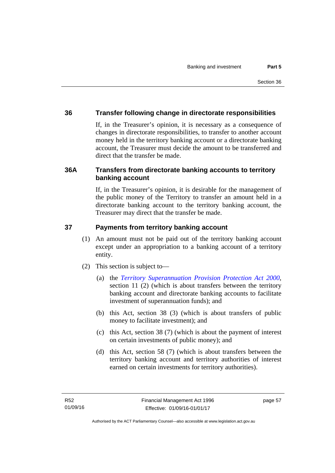## **36 Transfer following change in directorate responsibilities**

If, in the Treasurer's opinion, it is necessary as a consequence of changes in directorate responsibilities, to transfer to another account money held in the territory banking account or a directorate banking account, the Treasurer must decide the amount to be transferred and direct that the transfer be made.

## **36A Transfers from directorate banking accounts to territory banking account**

If, in the Treasurer's opinion, it is desirable for the management of the public money of the Territory to transfer an amount held in a directorate banking account to the territory banking account, the Treasurer may direct that the transfer be made.

## **37 Payments from territory banking account**

- (1) An amount must not be paid out of the territory banking account except under an appropriation to a banking account of a territory entity.
- (2) This section is subject to—
	- (a) the *[Territory Superannuation Provision Protection Act 2000](http://www.legislation.act.gov.au/a/2000-21)*, section 11 (2) (which is about transfers between the territory banking account and directorate banking accounts to facilitate investment of superannuation funds); and
	- (b) this Act, section 38 (3) (which is about transfers of public money to facilitate investment); and
	- (c) this Act, section 38 (7) (which is about the payment of interest on certain investments of public money); and
	- (d) this Act, section 58 (7) (which is about transfers between the territory banking account and territory authorities of interest earned on certain investments for territory authorities).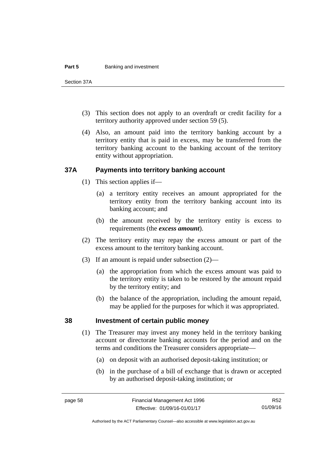#### **Part 5 Banking and investment**

Section 37A

- (3) This section does not apply to an overdraft or credit facility for a territory authority approved under section 59 (5).
- (4) Also, an amount paid into the territory banking account by a territory entity that is paid in excess, may be transferred from the territory banking account to the banking account of the territory entity without appropriation.

## **37A Payments into territory banking account**

- (1) This section applies if—
	- (a) a territory entity receives an amount appropriated for the territory entity from the territory banking account into its banking account; and
	- (b) the amount received by the territory entity is excess to requirements (the *excess amount*).
- (2) The territory entity may repay the excess amount or part of the excess amount to the territory banking account.
- (3) If an amount is repaid under subsection (2)—
	- (a) the appropriation from which the excess amount was paid to the territory entity is taken to be restored by the amount repaid by the territory entity; and
	- (b) the balance of the appropriation, including the amount repaid, may be applied for the purposes for which it was appropriated.

## **38 Investment of certain public money**

- (1) The Treasurer may invest any money held in the territory banking account or directorate banking accounts for the period and on the terms and conditions the Treasurer considers appropriate—
	- (a) on deposit with an authorised deposit-taking institution; or
	- (b) in the purchase of a bill of exchange that is drawn or accepted by an authorised deposit-taking institution; or

R52 01/09/16

Authorised by the ACT Parliamentary Counsel—also accessible at www.legislation.act.gov.au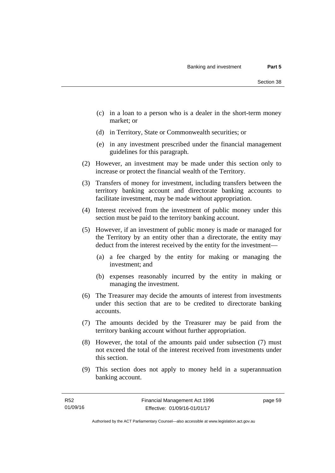- (c) in a loan to a person who is a dealer in the short-term money market; or
- (d) in Territory, State or Commonwealth securities; or
- (e) in any investment prescribed under the financial management guidelines for this paragraph.
- (2) However, an investment may be made under this section only to increase or protect the financial wealth of the Territory.
- (3) Transfers of money for investment, including transfers between the territory banking account and directorate banking accounts to facilitate investment, may be made without appropriation.
- (4) Interest received from the investment of public money under this section must be paid to the territory banking account.
- (5) However, if an investment of public money is made or managed for the Territory by an entity other than a directorate, the entity may deduct from the interest received by the entity for the investment—
	- (a) a fee charged by the entity for making or managing the investment; and
	- (b) expenses reasonably incurred by the entity in making or managing the investment.
- (6) The Treasurer may decide the amounts of interest from investments under this section that are to be credited to directorate banking accounts.
- (7) The amounts decided by the Treasurer may be paid from the territory banking account without further appropriation.
- (8) However, the total of the amounts paid under subsection (7) must not exceed the total of the interest received from investments under this section.
- (9) This section does not apply to money held in a superannuation banking account.

page 59

Authorised by the ACT Parliamentary Counsel—also accessible at www.legislation.act.gov.au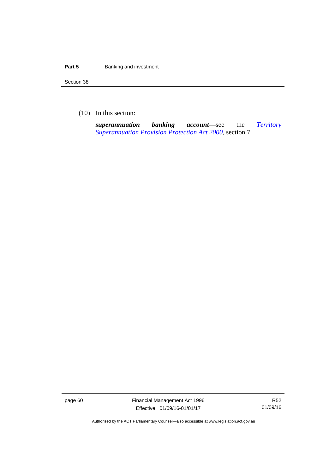#### **Part 5 Banking and investment**

Section 38

(10) In this section:

*superannuation banking account*—see the *[Territory](http://www.legislation.act.gov.au/a/2000-21)  [Superannuation Provision Protection Act 2000](http://www.legislation.act.gov.au/a/2000-21)*, section 7.

page 60 Financial Management Act 1996 Effective: 01/09/16-01/01/17

R52 01/09/16

Authorised by the ACT Parliamentary Counsel—also accessible at www.legislation.act.gov.au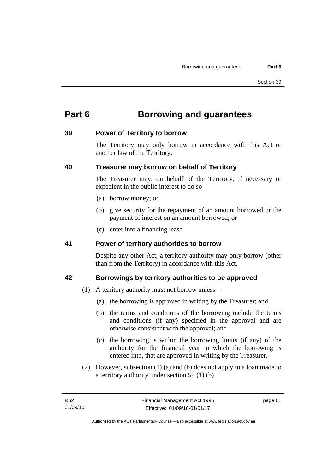# **Part 6 Borrowing and guarantees**

## **39 Power of Territory to borrow**

The Territory may only borrow in accordance with this Act or another law of the Territory.

## **40 Treasurer may borrow on behalf of Territory**

The Treasurer may, on behalf of the Territory, if necessary or expedient in the public interest to do so—

- (a) borrow money; or
- (b) give security for the repayment of an amount borrowed or the payment of interest on an amount borrowed; or
- (c) enter into a financing lease.

## **41 Power of territory authorities to borrow**

Despite any other Act, a territory authority may only borrow (other than from the Territory) in accordance with this Act.

## **42 Borrowings by territory authorities to be approved**

- (1) A territory authority must not borrow unless—
	- (a) the borrowing is approved in writing by the Treasurer; and
	- (b) the terms and conditions of the borrowing include the terms and conditions (if any) specified in the approval and are otherwise consistent with the approval; and
	- (c) the borrowing is within the borrowing limits (if any) of the authority for the financial year in which the borrowing is entered into, that are approved in writing by the Treasurer.
- (2) However, subsection (1) (a) and (b) does not apply to a loan made to a territory authority under section 59 (1) (b).

page 61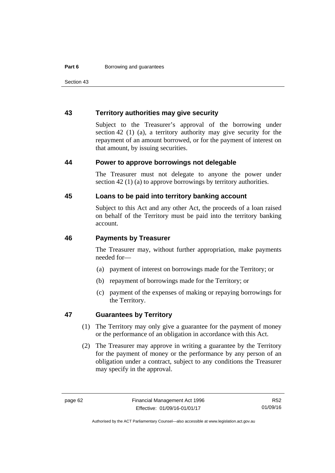Section 43

## **43 Territory authorities may give security**

Subject to the Treasurer's approval of the borrowing under section 42 (1) (a), a territory authority may give security for the repayment of an amount borrowed, or for the payment of interest on that amount, by issuing securities.

#### **44 Power to approve borrowings not delegable**

The Treasurer must not delegate to anyone the power under section 42 (1) (a) to approve borrowings by territory authorities.

## **45 Loans to be paid into territory banking account**

Subject to this Act and any other Act, the proceeds of a loan raised on behalf of the Territory must be paid into the territory banking account.

#### **46 Payments by Treasurer**

The Treasurer may, without further appropriation, make payments needed for—

- (a) payment of interest on borrowings made for the Territory; or
- (b) repayment of borrowings made for the Territory; or
- (c) payment of the expenses of making or repaying borrowings for the Territory.

## **47 Guarantees by Territory**

- (1) The Territory may only give a guarantee for the payment of money or the performance of an obligation in accordance with this Act.
- (2) The Treasurer may approve in writing a guarantee by the Territory for the payment of money or the performance by any person of an obligation under a contract, subject to any conditions the Treasurer may specify in the approval.

R52 01/09/16

Authorised by the ACT Parliamentary Counsel—also accessible at www.legislation.act.gov.au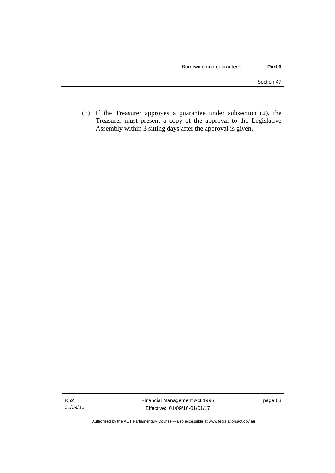(3) If the Treasurer approves a guarantee under subsection (2), the Treasurer must present a copy of the approval to the Legislative Assembly within 3 sitting days after the approval is given.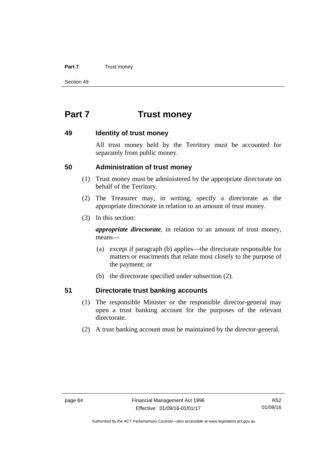#### **Part 7** Trust money

Section 49

# **Part 7 Trust money**

### **49 Identity of trust money**

All trust money held by the Territory must be accounted for separately from public money.

### **50 Administration of trust money**

- (1) Trust money must be administered by the appropriate directorate on behalf of the Territory.
- (2) The Treasurer may, in writing, specify a directorate as the appropriate directorate in relation to an amount of trust money.
- (3) In this section:

*appropriate directorate*, in relation to an amount of trust money, means—

- (a) except if paragraph (b) applies—the directorate responsible for matters or enactments that relate most closely to the purpose of the payment; or
- (b) the directorate specified under subsection (2).

### **51 Directorate trust banking accounts**

- (1) The responsible Minister or the responsible director-general may open a trust banking account for the purposes of the relevant directorate.
- (2) A trust banking account must be maintained by the director-general.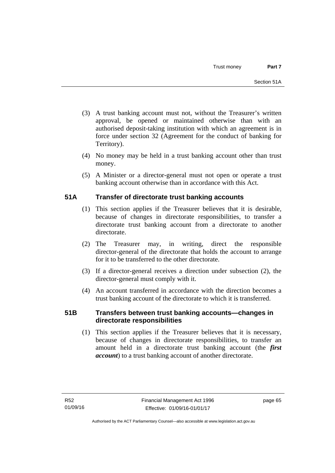- (3) A trust banking account must not, without the Treasurer's written approval, be opened or maintained otherwise than with an authorised deposit-taking institution with which an agreement is in force under section 32 (Agreement for the conduct of banking for Territory).
- (4) No money may be held in a trust banking account other than trust money.
- (5) A Minister or a director-general must not open or operate a trust banking account otherwise than in accordance with this Act.

# **51A Transfer of directorate trust banking accounts**

- (1) This section applies if the Treasurer believes that it is desirable, because of changes in directorate responsibilities, to transfer a directorate trust banking account from a directorate to another directorate.
- (2) The Treasurer may, in writing, direct the responsible director-general of the directorate that holds the account to arrange for it to be transferred to the other directorate.
- (3) If a director-general receives a direction under subsection (2), the director-general must comply with it.
- (4) An account transferred in accordance with the direction becomes a trust banking account of the directorate to which it is transferred.

# **51B Transfers between trust banking accounts—changes in directorate responsibilities**

 (1) This section applies if the Treasurer believes that it is necessary, because of changes in directorate responsibilities, to transfer an amount held in a directorate trust banking account (the *first account*) to a trust banking account of another directorate.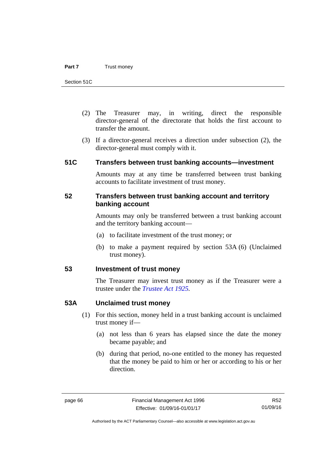- (2) The Treasurer may, in writing, direct the responsible director-general of the directorate that holds the first account to transfer the amount.
- (3) If a director-general receives a direction under subsection (2), the director-general must comply with it.

### **51C Transfers between trust banking accounts—investment**

Amounts may at any time be transferred between trust banking accounts to facilitate investment of trust money.

### **52 Transfers between trust banking account and territory banking account**

Amounts may only be transferred between a trust banking account and the territory banking account—

- (a) to facilitate investment of the trust money; or
- (b) to make a payment required by section 53A (6) (Unclaimed trust money).

# **53 Investment of trust money**

The Treasurer may invest trust money as if the Treasurer were a trustee under the *[Trustee Act 1925](http://www.legislation.act.gov.au/a/1925-14).*

### **53A Unclaimed trust money**

- (1) For this section, money held in a trust banking account is unclaimed trust money if—
	- (a) not less than 6 years has elapsed since the date the money became payable; and
	- (b) during that period, no-one entitled to the money has requested that the money be paid to him or her or according to his or her direction.

Authorised by the ACT Parliamentary Counsel—also accessible at www.legislation.act.gov.au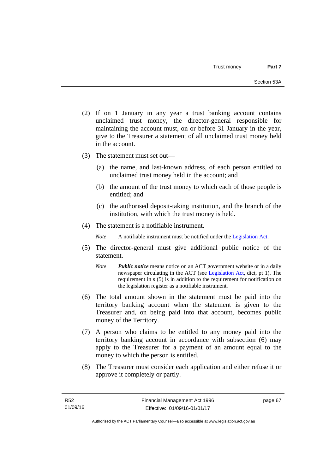- (2) If on 1 January in any year a trust banking account contains unclaimed trust money, the director-general responsible for maintaining the account must, on or before 31 January in the year, give to the Treasurer a statement of all unclaimed trust money held in the account.
- (3) The statement must set out—
	- (a) the name, and last-known address, of each person entitled to unclaimed trust money held in the account; and
	- (b) the amount of the trust money to which each of those people is entitled; and
	- (c) the authorised deposit-taking institution, and the branch of the institution, with which the trust money is held.
- (4) The statement is a notifiable instrument.

*Note* A notifiable instrument must be notified under the [Legislation Act](http://www.legislation.act.gov.au/a/2001-14).

- (5) The director-general must give additional public notice of the statement.
	- *Note Public notice* means notice on an ACT government website or in a daily newspaper circulating in the ACT (see [Legislation Act,](http://www.legislation.act.gov.au/a/2001-14) dict, pt 1). The requirement in s (5) is in addition to the requirement for notification on the legislation register as a notifiable instrument.
- (6) The total amount shown in the statement must be paid into the territory banking account when the statement is given to the Treasurer and, on being paid into that account, becomes public money of the Territory.
- (7) A person who claims to be entitled to any money paid into the territory banking account in accordance with subsection (6) may apply to the Treasurer for a payment of an amount equal to the money to which the person is entitled.
- (8) The Treasurer must consider each application and either refuse it or approve it completely or partly.

page 67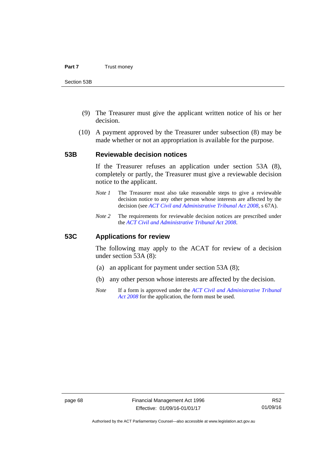- (9) The Treasurer must give the applicant written notice of his or her decision.
- (10) A payment approved by the Treasurer under subsection (8) may be made whether or not an appropriation is available for the purpose.

### **53B Reviewable decision notices**

If the Treasurer refuses an application under section 53A (8), completely or partly, the Treasurer must give a reviewable decision notice to the applicant.

- *Note 1* The Treasurer must also take reasonable steps to give a reviewable decision notice to any other person whose interests are affected by the decision (see *[ACT Civil and Administrative Tribunal Act 2008](http://www.legislation.act.gov.au/a/2008-35)*, s 67A).
- *Note 2* The requirements for reviewable decision notices are prescribed under the *[ACT Civil and Administrative Tribunal Act 2008](http://www.legislation.act.gov.au/a/2008-35)*.

### **53C Applications for review**

The following may apply to the ACAT for review of a decision under section 53A (8):

- (a) an applicant for payment under section 53A (8);
- (b) any other person whose interests are affected by the decision.
- *Note* If a form is approved under the *[ACT Civil and Administrative Tribunal](http://www.legislation.act.gov.au/a/2008-35)  [Act 2008](http://www.legislation.act.gov.au/a/2008-35)* for the application, the form must be used.

Authorised by the ACT Parliamentary Counsel—also accessible at www.legislation.act.gov.au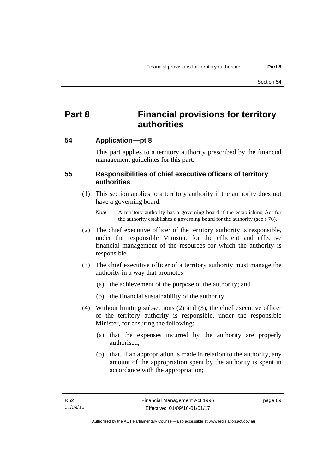# **Part 8 Financial provisions for territory authorities**

### **54 Application––pt 8**

This part applies to a territory authority prescribed by the financial management guidelines for this part.

## **55 Responsibilities of chief executive officers of territory authorities**

- (1) This section applies to a territory authority if the authority does not have a governing board.
	- *Note* A territory authority has a governing board if the establishing Act for the authority establishes a governing board for the authority (see s 76).
- (2) The chief executive officer of the territory authority is responsible, under the responsible Minister, for the efficient and effective financial management of the resources for which the authority is responsible.
- (3) The chief executive officer of a territory authority must manage the authority in a way that promotes—
	- (a) the achievement of the purpose of the authority; and
	- (b) the financial sustainability of the authority.
- (4) Without limiting subsections (2) and (3), the chief executive officer of the territory authority is responsible, under the responsible Minister, for ensuring the following:
	- (a) that the expenses incurred by the authority are properly authorised;
	- (b) that, if an appropriation is made in relation to the authority, any amount of the appropriation spent by the authority is spent in accordance with the appropriation;

page 69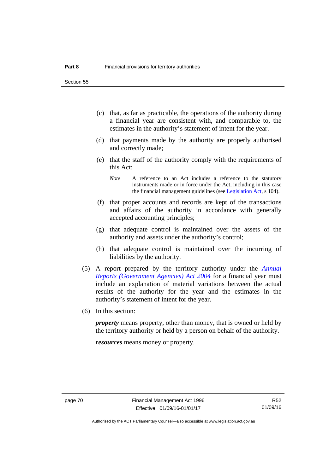Section 55

- (c) that, as far as practicable, the operations of the authority during a financial year are consistent with, and comparable to, the estimates in the authority's statement of intent for the year.
- (d) that payments made by the authority are properly authorised and correctly made;
- (e) that the staff of the authority comply with the requirements of this Act;
	- *Note* A reference to an Act includes a reference to the statutory instruments made or in force under the Act, including in this case the financial management guidelines (see [Legislation Act,](http://www.legislation.act.gov.au/a/2001-14) s 104).
- (f) that proper accounts and records are kept of the transactions and affairs of the authority in accordance with generally accepted accounting principles;
- (g) that adequate control is maintained over the assets of the authority and assets under the authority's control;
- (h) that adequate control is maintained over the incurring of liabilities by the authority.
- (5) A report prepared by the territory authority under the *[Annual](http://www.legislation.act.gov.au/a/2004-8)  [Reports \(Government Agencies\) Act 2004](http://www.legislation.act.gov.au/a/2004-8)* for a financial year must include an explanation of material variations between the actual results of the authority for the year and the estimates in the authority's statement of intent for the year.
- (6) In this section:

*property* means property, other than money, that is owned or held by the territory authority or held by a person on behalf of the authority.

*resources* means money or property.

Authorised by the ACT Parliamentary Counsel—also accessible at www.legislation.act.gov.au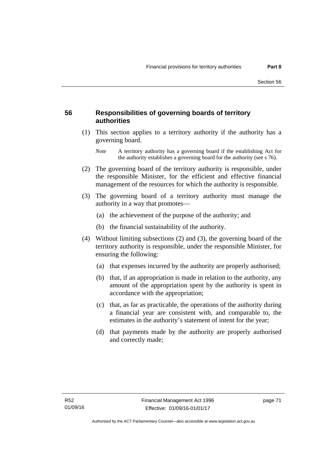## **56 Responsibilities of governing boards of territory authorities**

 (1) This section applies to a territory authority if the authority has a governing board.

- (2) The governing board of the territory authority is responsible, under the responsible Minister, for the efficient and effective financial management of the resources for which the authority is responsible.
- (3) The governing board of a territory authority must manage the authority in a way that promotes—
	- (a) the achievement of the purpose of the authority; and
	- (b) the financial sustainability of the authority.
- (4) Without limiting subsections (2) and (3), the governing board of the territory authority is responsible, under the responsible Minister, for ensuring the following:
	- (a) that expenses incurred by the authority are properly authorised;
	- (b) that, if an appropriation is made in relation to the authority, any amount of the appropriation spent by the authority is spent in accordance with the appropriation;
	- (c) that, as far as practicable, the operations of the authority during a financial year are consistent with, and comparable to, the estimates in the authority's statement of intent for the year;
	- (d) that payments made by the authority are properly authorised and correctly made;

*Note* A territory authority has a governing board if the establishing Act for the authority establishes a governing board for the authority (see s 76).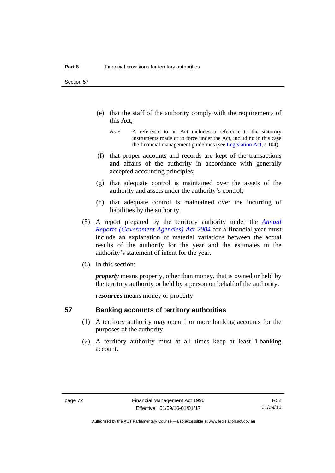Section 57

- (e) that the staff of the authority comply with the requirements of this Act;
	- *Note* A reference to an Act includes a reference to the statutory instruments made or in force under the Act, including in this case the financial management guidelines (see [Legislation Act,](http://www.legislation.act.gov.au/a/2001-14) s 104).
- (f) that proper accounts and records are kept of the transactions and affairs of the authority in accordance with generally accepted accounting principles;
- (g) that adequate control is maintained over the assets of the authority and assets under the authority's control;
- (h) that adequate control is maintained over the incurring of liabilities by the authority.
- (5) A report prepared by the territory authority under the *[Annual](http://www.legislation.act.gov.au/a/2004-8)  [Reports \(Government Agencies\) Act 2004](http://www.legislation.act.gov.au/a/2004-8)* for a financial year must include an explanation of material variations between the actual results of the authority for the year and the estimates in the authority's statement of intent for the year.
- (6) In this section:

*property* means property, other than money, that is owned or held by the territory authority or held by a person on behalf of the authority.

*resources* means money or property.

### **57 Banking accounts of territory authorities**

- (1) A territory authority may open 1 or more banking accounts for the purposes of the authority.
- (2) A territory authority must at all times keep at least 1 banking account.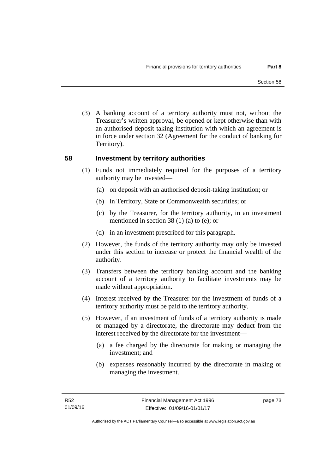(3) A banking account of a territory authority must not, without the Treasurer's written approval, be opened or kept otherwise than with an authorised deposit-taking institution with which an agreement is in force under section 32 (Agreement for the conduct of banking for Territory).

### **58 Investment by territory authorities**

- (1) Funds not immediately required for the purposes of a territory authority may be invested—
	- (a) on deposit with an authorised deposit-taking institution; or
	- (b) in Territory, State or Commonwealth securities; or
	- (c) by the Treasurer, for the territory authority, in an investment mentioned in section 38 (1) (a) to (e); or
	- (d) in an investment prescribed for this paragraph.
- (2) However, the funds of the territory authority may only be invested under this section to increase or protect the financial wealth of the authority.
- (3) Transfers between the territory banking account and the banking account of a territory authority to facilitate investments may be made without appropriation.
- (4) Interest received by the Treasurer for the investment of funds of a territory authority must be paid to the territory authority.
- (5) However, if an investment of funds of a territory authority is made or managed by a directorate, the directorate may deduct from the interest received by the directorate for the investment—
	- (a) a fee charged by the directorate for making or managing the investment; and
	- (b) expenses reasonably incurred by the directorate in making or managing the investment.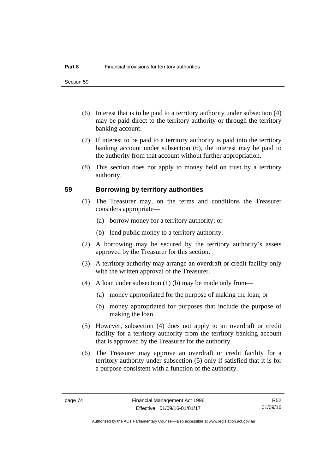- (6) Interest that is to be paid to a territory authority under subsection (4) may be paid direct to the territory authority or through the territory banking account.
- (7) If interest to be paid to a territory authority is paid into the territory banking account under subsection (6), the interest may be paid to the authority from that account without further appropriation.
- (8) This section does not apply to money held on trust by a territory authority.

### **59 Borrowing by territory authorities**

- (1) The Treasurer may, on the terms and conditions the Treasurer considers appropriate—
	- (a) borrow money for a territory authority; or
	- (b) lend public money to a territory authority.
- (2) A borrowing may be secured by the territory authority's assets approved by the Treasurer for this section.
- (3) A territory authority may arrange an overdraft or credit facility only with the written approval of the Treasurer.
- (4) A loan under subsection (1) (b) may be made only from—
	- (a) money appropriated for the purpose of making the loan; or
	- (b) money appropriated for purposes that include the purpose of making the loan.
- (5) However, subsection (4) does not apply to an overdraft or credit facility for a territory authority from the territory banking account that is approved by the Treasurer for the authority.
- (6) The Treasurer may approve an overdraft or credit facility for a territory authority under subsection (5) only if satisfied that it is for a purpose consistent with a function of the authority.

R52 01/09/16

Authorised by the ACT Parliamentary Counsel—also accessible at www.legislation.act.gov.au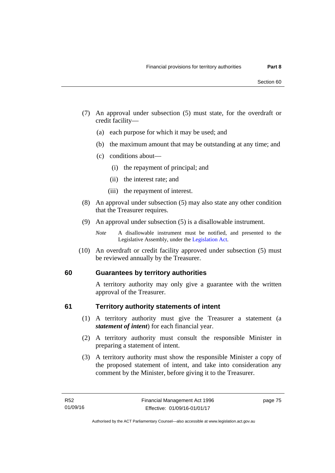- (7) An approval under subsection (5) must state, for the overdraft or credit facility—
	- (a) each purpose for which it may be used; and
	- (b) the maximum amount that may be outstanding at any time; and
	- (c) conditions about—
		- (i) the repayment of principal; and
		- (ii) the interest rate; and
		- (iii) the repayment of interest.
- (8) An approval under subsection (5) may also state any other condition that the Treasurer requires.
- (9) An approval under subsection (5) is a disallowable instrument.

 (10) An overdraft or credit facility approved under subsection (5) must be reviewed annually by the Treasurer.

# **60 Guarantees by territory authorities**

A territory authority may only give a guarantee with the written approval of the Treasurer.

### **61 Territory authority statements of intent**

- (1) A territory authority must give the Treasurer a statement (a *statement of intent*) for each financial year.
- (2) A territory authority must consult the responsible Minister in preparing a statement of intent.
- (3) A territory authority must show the responsible Minister a copy of the proposed statement of intent, and take into consideration any comment by the Minister, before giving it to the Treasurer.

*Note* A disallowable instrument must be notified, and presented to the Legislative Assembly, under the [Legislation Act.](http://www.legislation.act.gov.au/a/2001-14)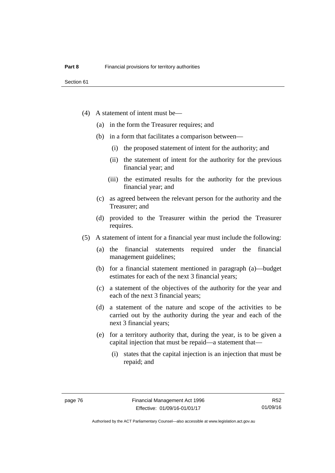- (4) A statement of intent must be—
	- (a) in the form the Treasurer requires; and
	- (b) in a form that facilitates a comparison between—
		- (i) the proposed statement of intent for the authority; and
		- (ii) the statement of intent for the authority for the previous financial year; and
		- (iii) the estimated results for the authority for the previous financial year; and
	- (c) as agreed between the relevant person for the authority and the Treasurer; and
	- (d) provided to the Treasurer within the period the Treasurer requires.
- (5) A statement of intent for a financial year must include the following:
	- (a) the financial statements required under the financial management guidelines;
	- (b) for a financial statement mentioned in paragraph (a)—budget estimates for each of the next 3 financial years;
	- (c) a statement of the objectives of the authority for the year and each of the next 3 financial years;
	- (d) a statement of the nature and scope of the activities to be carried out by the authority during the year and each of the next 3 financial years;
	- (e) for a territory authority that, during the year, is to be given a capital injection that must be repaid—a statement that—
		- (i) states that the capital injection is an injection that must be repaid; and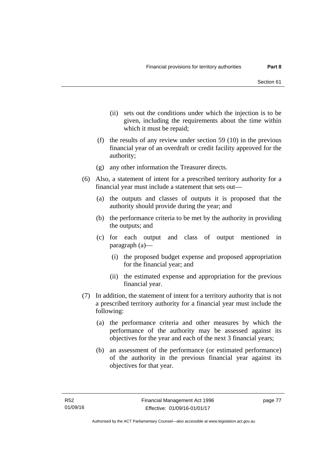- (ii) sets out the conditions under which the injection is to be given, including the requirements about the time within which it must be repaid;
- (f) the results of any review under section 59 (10) in the previous financial year of an overdraft or credit facility approved for the authority;
- (g) any other information the Treasurer directs.
- (6) Also, a statement of intent for a prescribed territory authority for a financial year must include a statement that sets out—
	- (a) the outputs and classes of outputs it is proposed that the authority should provide during the year; and
	- (b) the performance criteria to be met by the authority in providing the outputs; and
	- (c) for each output and class of output mentioned in paragraph (a)—
		- (i) the proposed budget expense and proposed appropriation for the financial year; and
		- (ii) the estimated expense and appropriation for the previous financial year.
- (7) In addition, the statement of intent for a territory authority that is not a prescribed territory authority for a financial year must include the following:
	- (a) the performance criteria and other measures by which the performance of the authority may be assessed against its objectives for the year and each of the next 3 financial years;
	- (b) an assessment of the performance (or estimated performance) of the authority in the previous financial year against its objectives for that year.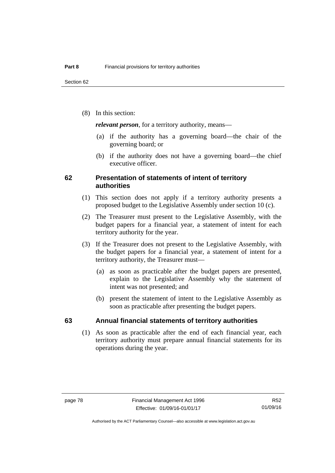(8) In this section:

*relevant person*, for a territory authority, means—

- (a) if the authority has a governing board—the chair of the governing board; or
- (b) if the authority does not have a governing board—the chief executive officer.

### **62 Presentation of statements of intent of territory authorities**

- (1) This section does not apply if a territory authority presents a proposed budget to the Legislative Assembly under section 10 (c).
- (2) The Treasurer must present to the Legislative Assembly, with the budget papers for a financial year, a statement of intent for each territory authority for the year.
- (3) If the Treasurer does not present to the Legislative Assembly, with the budget papers for a financial year, a statement of intent for a territory authority, the Treasurer must—
	- (a) as soon as practicable after the budget papers are presented, explain to the Legislative Assembly why the statement of intent was not presented; and
	- (b) present the statement of intent to the Legislative Assembly as soon as practicable after presenting the budget papers.

### **63 Annual financial statements of territory authorities**

 (1) As soon as practicable after the end of each financial year, each territory authority must prepare annual financial statements for its operations during the year.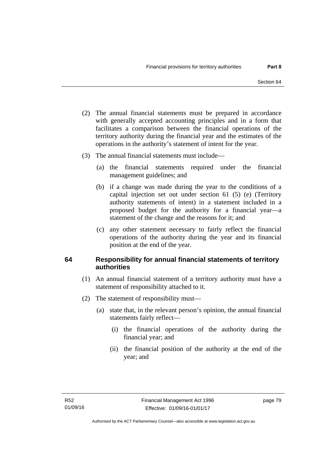- (2) The annual financial statements must be prepared in accordance with generally accepted accounting principles and in a form that facilitates a comparison between the financial operations of the territory authority during the financial year and the estimates of the operations in the authority's statement of intent for the year.
- (3) The annual financial statements must include—
	- (a) the financial statements required under the financial management guidelines; and
	- (b) if a change was made during the year to the conditions of a capital injection set out under section 61 (5) (e) (Territory authority statements of intent) in a statement included in a proposed budget for the authority for a financial year—a statement of the change and the reasons for it; and
	- (c) any other statement necessary to fairly reflect the financial operations of the authority during the year and its financial position at the end of the year.

# **64 Responsibility for annual financial statements of territory authorities**

- (1) An annual financial statement of a territory authority must have a statement of responsibility attached to it.
- (2) The statement of responsibility must—
	- (a) state that, in the relevant person's opinion, the annual financial statements fairly reflect—
		- (i) the financial operations of the authority during the financial year; and
		- (ii) the financial position of the authority at the end of the year; and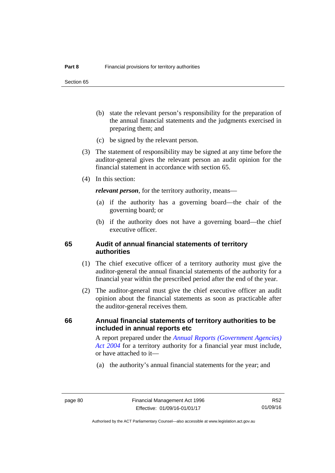Section 65

- (b) state the relevant person's responsibility for the preparation of the annual financial statements and the judgments exercised in preparing them; and
- (c) be signed by the relevant person.
- (3) The statement of responsibility may be signed at any time before the auditor-general gives the relevant person an audit opinion for the financial statement in accordance with section 65.
- (4) In this section:

*relevant person*, for the territory authority, means—

- (a) if the authority has a governing board—the chair of the governing board; or
- (b) if the authority does not have a governing board—the chief executive officer.

### **65 Audit of annual financial statements of territory authorities**

- (1) The chief executive officer of a territory authority must give the auditor-general the annual financial statements of the authority for a financial year within the prescribed period after the end of the year.
- (2) The auditor-general must give the chief executive officer an audit opinion about the financial statements as soon as practicable after the auditor-general receives them.

### **66 Annual financial statements of territory authorities to be included in annual reports etc**

A report prepared under the *[Annual Reports \(Government Agencies\)](http://www.legislation.act.gov.au/a/2004-8)  [Act 2004](http://www.legislation.act.gov.au/a/2004-8)* for a territory authority for a financial year must include, or have attached to it—

(a) the authority's annual financial statements for the year; and

R52 01/09/16

Authorised by the ACT Parliamentary Counsel—also accessible at www.legislation.act.gov.au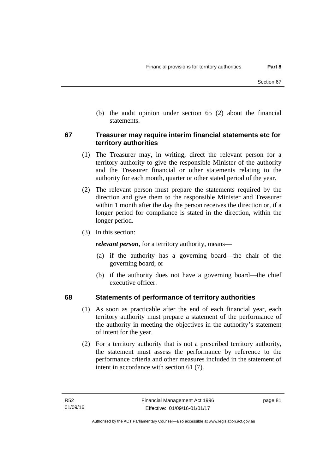(b) the audit opinion under section 65 (2) about the financial statements.

### **67 Treasurer may require interim financial statements etc for territory authorities**

- (1) The Treasurer may, in writing, direct the relevant person for a territory authority to give the responsible Minister of the authority and the Treasurer financial or other statements relating to the authority for each month, quarter or other stated period of the year.
- (2) The relevant person must prepare the statements required by the direction and give them to the responsible Minister and Treasurer within 1 month after the day the person receives the direction or, if a longer period for compliance is stated in the direction, within the longer period.
- (3) In this section:

*relevant person*, for a territory authority, means—

- (a) if the authority has a governing board—the chair of the governing board; or
- (b) if the authority does not have a governing board—the chief executive officer.

# **68 Statements of performance of territory authorities**

- (1) As soon as practicable after the end of each financial year, each territory authority must prepare a statement of the performance of the authority in meeting the objectives in the authority's statement of intent for the year.
- (2) For a territory authority that is not a prescribed territory authority, the statement must assess the performance by reference to the performance criteria and other measures included in the statement of intent in accordance with section 61 (7).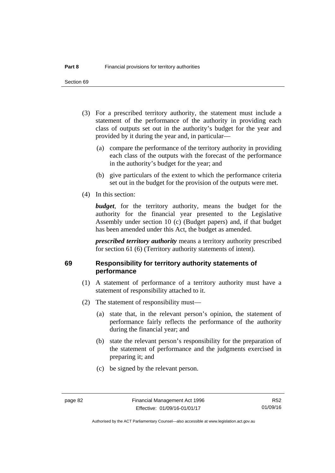Section 69

- (3) For a prescribed territory authority, the statement must include a statement of the performance of the authority in providing each class of outputs set out in the authority's budget for the year and provided by it during the year and, in particular—
	- (a) compare the performance of the territory authority in providing each class of the outputs with the forecast of the performance in the authority's budget for the year; and
	- (b) give particulars of the extent to which the performance criteria set out in the budget for the provision of the outputs were met.
- (4) In this section:

*budget*, for the territory authority, means the budget for the authority for the financial year presented to the Legislative Assembly under section 10 (c) (Budget papers) and, if that budget has been amended under this Act, the budget as amended.

*prescribed territory authority* means a territory authority prescribed for section 61 (6) (Territory authority statements of intent).

# **69 Responsibility for territory authority statements of performance**

- (1) A statement of performance of a territory authority must have a statement of responsibility attached to it.
- (2) The statement of responsibility must—
	- (a) state that, in the relevant person's opinion, the statement of performance fairly reflects the performance of the authority during the financial year; and
	- (b) state the relevant person's responsibility for the preparation of the statement of performance and the judgments exercised in preparing it; and
	- (c) be signed by the relevant person.

Authorised by the ACT Parliamentary Counsel—also accessible at www.legislation.act.gov.au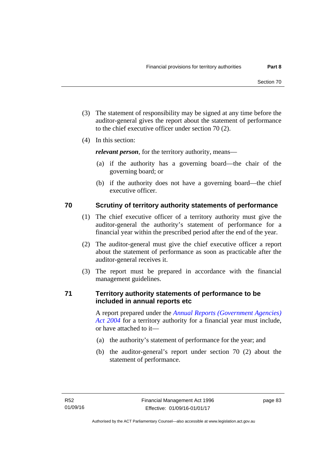- (3) The statement of responsibility may be signed at any time before the auditor-general gives the report about the statement of performance to the chief executive officer under section 70 (2).
- (4) In this section:

*relevant person*, for the territory authority, means—

- (a) if the authority has a governing board—the chair of the governing board; or
- (b) if the authority does not have a governing board—the chief executive officer.

# **70 Scrutiny of territory authority statements of performance**

- (1) The chief executive officer of a territory authority must give the auditor-general the authority's statement of performance for a financial year within the prescribed period after the end of the year.
- (2) The auditor-general must give the chief executive officer a report about the statement of performance as soon as practicable after the auditor-general receives it.
- (3) The report must be prepared in accordance with the financial management guidelines.

# **71 Territory authority statements of performance to be included in annual reports etc**

A report prepared under the *[Annual Reports \(Government Agencies\)](http://www.legislation.act.gov.au/a/2004-8)  [Act 2004](http://www.legislation.act.gov.au/a/2004-8)* for a territory authority for a financial year must include, or have attached to it—

- (a) the authority's statement of performance for the year; and
- (b) the auditor-general's report under section 70 (2) about the statement of performance.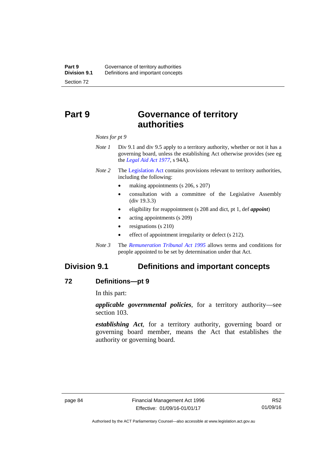# **Part 9 Governance of territory authorities**

*Notes for pt 9* 

- *Note 1* Div 9.1 and div 9.5 apply to a territory authority, whether or not it has a governing board, unless the establishing Act otherwise provides (see eg the *[Legal Aid Act 1977](http://www.legislation.act.gov.au/a/1977-31)*, s 94A).
- *Note 2* The [Legislation Act](http://www.legislation.act.gov.au/a/2001-14) contains provisions relevant to territory authorities, including the following:
	- making appointments (s 206, s 207)
	- consultation with a committee of the Legislative Assembly (div 19.3.3)
	- eligibility for reappointment (s 208 and dict, pt 1, def *appoint*)
	- acting appointments (s 209)
	- resignations (s 210)
	- effect of appointment irregularity or defect (s 212).
- *Note 3* The *[Remuneration Tribunal Act 1995](http://www.legislation.act.gov.au/a/1995-55)* allows terms and conditions for people appointed to be set by determination under that Act.

# **Division 9.1 Definitions and important concepts**

### **72 Definitions—pt 9**

In this part:

*applicable governmental policies*, for a territory authority—see section 103.

*establishing Act*, for a territory authority, governing board or governing board member, means the Act that establishes the authority or governing board.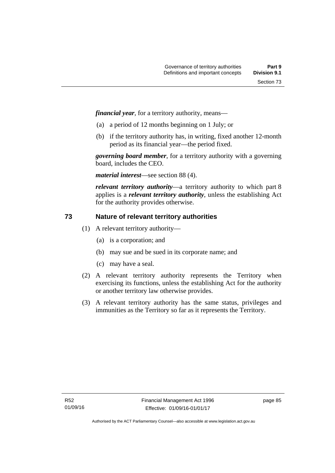*financial year*, for a territory authority, means—

- (a) a period of 12 months beginning on 1 July; or
- (b) if the territory authority has, in writing, fixed another 12-month period as its financial year—the period fixed.

*governing board member*, for a territory authority with a governing board, includes the CEO.

*material interest*—see section 88 (4).

*relevant territory authority*—a territory authority to which part 8 applies is a *relevant territory authority*, unless the establishing Act for the authority provides otherwise.

# **73 Nature of relevant territory authorities**

- (1) A relevant territory authority—
	- (a) is a corporation; and
	- (b) may sue and be sued in its corporate name; and
	- (c) may have a seal.
- (2) A relevant territory authority represents the Territory when exercising its functions, unless the establishing Act for the authority or another territory law otherwise provides.
- (3) A relevant territory authority has the same status, privileges and immunities as the Territory so far as it represents the Territory.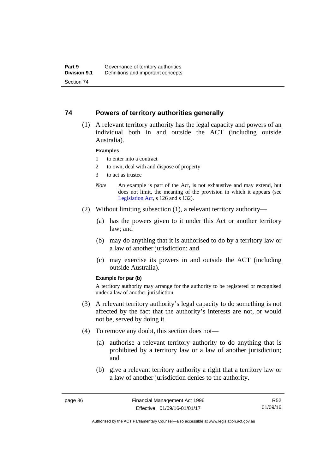### **74 Powers of territory authorities generally**

 (1) A relevant territory authority has the legal capacity and powers of an individual both in and outside the ACT (including outside Australia).

#### **Examples**

- 1 to enter into a contract
- 2 to own, deal with and dispose of property
- 3 to act as trustee
- *Note* An example is part of the Act, is not exhaustive and may extend, but does not limit, the meaning of the provision in which it appears (see [Legislation Act,](http://www.legislation.act.gov.au/a/2001-14) s 126 and s 132).
- (2) Without limiting subsection (1), a relevant territory authority—
	- (a) has the powers given to it under this Act or another territory law; and
	- (b) may do anything that it is authorised to do by a territory law or a law of another jurisdiction; and
	- (c) may exercise its powers in and outside the ACT (including outside Australia).

#### **Example for par (b)**

A territory authority may arrange for the authority to be registered or recognised under a law of another jurisdiction.

- (3) A relevant territory authority's legal capacity to do something is not affected by the fact that the authority's interests are not, or would not be, served by doing it.
- (4) To remove any doubt, this section does not—
	- (a) authorise a relevant territory authority to do anything that is prohibited by a territory law or a law of another jurisdiction; and
	- (b) give a relevant territory authority a right that a territory law or a law of another jurisdiction denies to the authority.

R52 01/09/16

Authorised by the ACT Parliamentary Counsel—also accessible at www.legislation.act.gov.au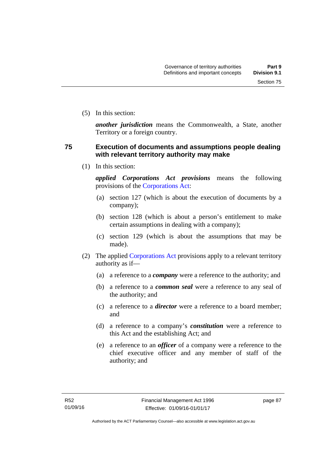(5) In this section:

*another jurisdiction* means the Commonwealth, a State, another Territory or a foreign country.

## **75 Execution of documents and assumptions people dealing with relevant territory authority may make**

(1) In this section:

*applied Corporations Act provisions* means the following provisions of the [Corporations Act:](http://www.comlaw.gov.au/Series/C2004A00818)

- (a) section 127 (which is about the execution of documents by a company);
- (b) section 128 (which is about a person's entitlement to make certain assumptions in dealing with a company);
- (c) section 129 (which is about the assumptions that may be made).
- (2) The applied [Corporations Act](http://www.comlaw.gov.au/Series/C2004A00818) provisions apply to a relevant territory authority as if—
	- (a) a reference to a *company* were a reference to the authority; and
	- (b) a reference to a *common seal* were a reference to any seal of the authority; and
	- (c) a reference to a *director* were a reference to a board member; and
	- (d) a reference to a company's *constitution* were a reference to this Act and the establishing Act; and
	- (e) a reference to an *officer* of a company were a reference to the chief executive officer and any member of staff of the authority; and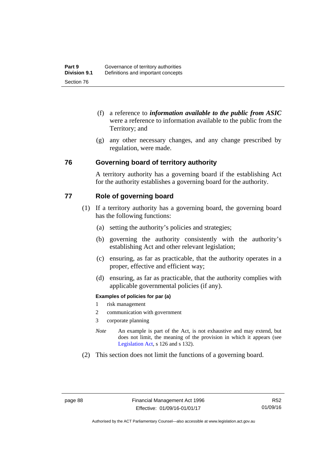- (f) a reference to *information available to the public from ASIC*  were a reference to information available to the public from the Territory; and
- (g) any other necessary changes, and any change prescribed by regulation, were made.

### **76 Governing board of territory authority**

A territory authority has a governing board if the establishing Act for the authority establishes a governing board for the authority.

### **77 Role of governing board**

- (1) If a territory authority has a governing board, the governing board has the following functions:
	- (a) setting the authority's policies and strategies;
	- (b) governing the authority consistently with the authority's establishing Act and other relevant legislation;
	- (c) ensuring, as far as practicable, that the authority operates in a proper, effective and efficient way;
	- (d) ensuring, as far as practicable, that the authority complies with applicable governmental policies (if any).

### **Examples of policies for par (a)**

- 1 risk management
- 2 communication with government
- 3 corporate planning
- *Note* An example is part of the Act, is not exhaustive and may extend, but does not limit, the meaning of the provision in which it appears (see [Legislation Act,](http://www.legislation.act.gov.au/a/2001-14) s 126 and s 132).
- (2) This section does not limit the functions of a governing board.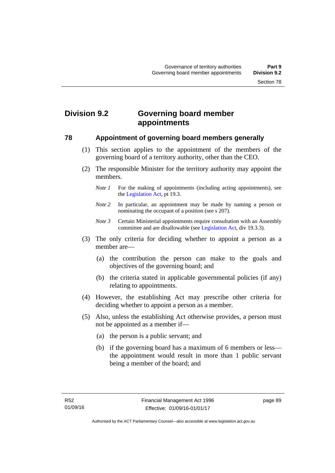# **Division 9.2 Governing board member appointments**

### **78 Appointment of governing board members generally**

- (1) This section applies to the appointment of the members of the governing board of a territory authority, other than the CEO.
- (2) The responsible Minister for the territory authority may appoint the members.
	- *Note 1* For the making of appointments (including acting appointments), see the [Legislation Act,](http://www.legislation.act.gov.au/a/2001-14) pt 19.3.
	- *Note 2* In particular, an appointment may be made by naming a person or nominating the occupant of a position (see s 207).
	- *Note 3* Certain Ministerial appointments require consultation with an Assembly committee and are disallowable (see [Legislation Act,](http://www.legislation.act.gov.au/a/2001-14) div 19.3.3).
- (3) The only criteria for deciding whether to appoint a person as a member are—
	- (a) the contribution the person can make to the goals and objectives of the governing board; and
	- (b) the criteria stated in applicable governmental policies (if any) relating to appointments.
- (4) However, the establishing Act may prescribe other criteria for deciding whether to appoint a person as a member.
- (5) Also, unless the establishing Act otherwise provides, a person must not be appointed as a member if—
	- (a) the person is a public servant; and
	- (b) if the governing board has a maximum of 6 members or less the appointment would result in more than 1 public servant being a member of the board; and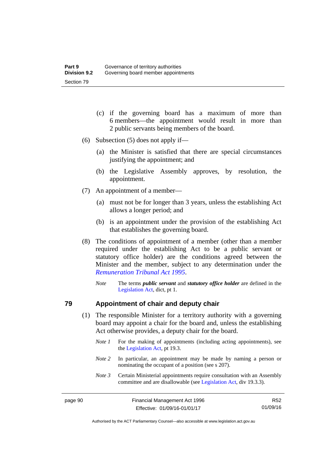- (c) if the governing board has a maximum of more than 6 members—the appointment would result in more than 2 public servants being members of the board.
- (6) Subsection (5) does not apply if—
	- (a) the Minister is satisfied that there are special circumstances justifying the appointment; and
	- (b) the Legislative Assembly approves, by resolution, the appointment.
- (7) An appointment of a member—
	- (a) must not be for longer than 3 years, unless the establishing Act allows a longer period; and
	- (b) is an appointment under the provision of the establishing Act that establishes the governing board.
- (8) The conditions of appointment of a member (other than a member required under the establishing Act to be a public servant or statutory office holder) are the conditions agreed between the Minister and the member, subject to any determination under the *[Remuneration Tribunal Act 1995](http://www.legislation.act.gov.au/a/1995-55)*.
	- *Note* The terms *public servant* and *statutory office holder* are defined in the [Legislation Act,](http://www.legislation.act.gov.au/a/2001-14) dict, pt 1.

### **79 Appointment of chair and deputy chair**

- (1) The responsible Minister for a territory authority with a governing board may appoint a chair for the board and, unless the establishing Act otherwise provides, a deputy chair for the board.
	- *Note 1* For the making of appointments (including acting appointments), see the [Legislation Act,](http://www.legislation.act.gov.au/a/2001-14) pt 19.3.
	- *Note 2* In particular, an appointment may be made by naming a person or nominating the occupant of a position (see s 207).
	- *Note 3* Certain Ministerial appointments require consultation with an Assembly committee and are disallowable (see [Legislation Act,](http://www.legislation.act.gov.au/a/2001-14) div 19.3.3).

R52 01/09/16

Authorised by the ACT Parliamentary Counsel—also accessible at www.legislation.act.gov.au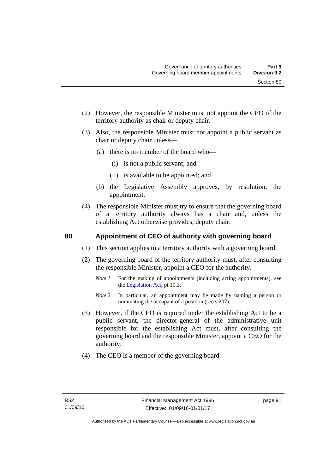- (2) However, the responsible Minister must not appoint the CEO of the territory authority as chair or deputy chair.
- (3) Also, the responsible Minister must not appoint a public servant as chair or deputy chair unless—
	- (a) there is no member of the board who—
		- (i) is not a public servant; and
		- (ii) is available to be appointed; and
	- (b) the Legislative Assembly approves, by resolution, the appointment.
- (4) The responsible Minister must try to ensure that the governing board of a territory authority always has a chair and, unless the establishing Act otherwise provides, deputy chair.

### **80 Appointment of CEO of authority with governing board**

- (1) This section applies to a territory authority with a governing board.
- (2) The governing board of the territory authority must, after consulting the responsible Minister, appoint a CEO for the authority.
	- *Note 1* For the making of appointments (including acting appointments), see the [Legislation Act,](http://www.legislation.act.gov.au/a/2001-14) pt 19.3.
	- *Note* 2 In particular, an appointment may be made by naming a person or nominating the occupant of a position (see s 207).
- (3) However, if the CEO is required under the establishing Act to be a public servant, the director-general of the administrative unit responsible for the establishing Act must, after consulting the governing board and the responsible Minister, appoint a CEO for the authority.
- (4) The CEO is a member of the governing board.

page 91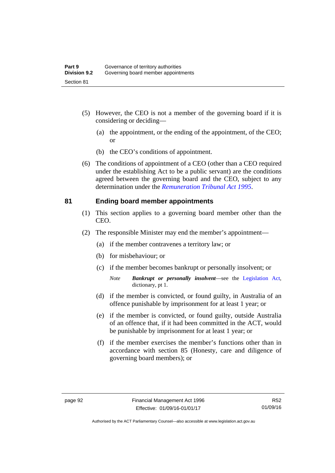- (5) However, the CEO is not a member of the governing board if it is considering or deciding—
	- (a) the appointment, or the ending of the appointment, of the CEO; or
	- (b) the CEO's conditions of appointment.
- (6) The conditions of appointment of a CEO (other than a CEO required under the establishing Act to be a public servant) are the conditions agreed between the governing board and the CEO, subject to any determination under the *[Remuneration Tribunal Act 1995](http://www.legislation.act.gov.au/a/1995-55)*.

### **81 Ending board member appointments**

- (1) This section applies to a governing board member other than the CEO.
- (2) The responsible Minister may end the member's appointment—
	- (a) if the member contravenes a territory law; or
	- (b) for misbehaviour; or
	- (c) if the member becomes bankrupt or personally insolvent; or
		- *Note Bankrupt or personally insolvent*—see the [Legislation Act,](http://www.legislation.act.gov.au/a/2001-14) dictionary, pt 1.
	- (d) if the member is convicted, or found guilty, in Australia of an offence punishable by imprisonment for at least 1 year; or
	- (e) if the member is convicted, or found guilty, outside Australia of an offence that, if it had been committed in the ACT, would be punishable by imprisonment for at least 1 year; or
	- (f) if the member exercises the member's functions other than in accordance with section 85 (Honesty, care and diligence of governing board members); or

Authorised by the ACT Parliamentary Counsel—also accessible at www.legislation.act.gov.au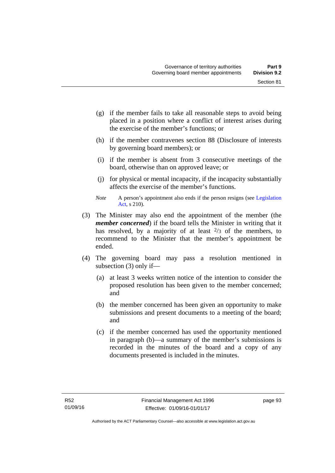- (g) if the member fails to take all reasonable steps to avoid being placed in a position where a conflict of interest arises during the exercise of the member's functions; or
- (h) if the member contravenes section 88 (Disclosure of interests by governing board members); or
- (i) if the member is absent from 3 consecutive meetings of the board, otherwise than on approved leave; or
- (j) for physical or mental incapacity, if the incapacity substantially affects the exercise of the member's functions.
- *Note* A person's appointment also ends if the person resigns (see Legislation [Act](http://www.legislation.act.gov.au/a/2001-14), s 210).
- (3) The Minister may also end the appointment of the member (the *member concerned*) if the board tells the Minister in writing that it has resolved, by a majority of at least  $\frac{2}{3}$  of the members, to recommend to the Minister that the member's appointment be ended.
- (4) The governing board may pass a resolution mentioned in subsection (3) only if—
	- (a) at least 3 weeks written notice of the intention to consider the proposed resolution has been given to the member concerned; and
	- (b) the member concerned has been given an opportunity to make submissions and present documents to a meeting of the board; and
	- (c) if the member concerned has used the opportunity mentioned in paragraph (b)—a summary of the member's submissions is recorded in the minutes of the board and a copy of any documents presented is included in the minutes.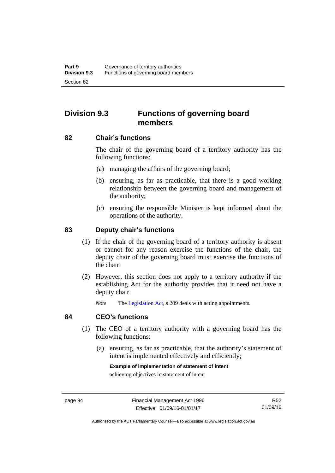# **Division 9.3 Functions of governing board members**

### **82 Chair's functions**

The chair of the governing board of a territory authority has the following functions:

- (a) managing the affairs of the governing board;
- (b) ensuring, as far as practicable, that there is a good working relationship between the governing board and management of the authority;
- (c) ensuring the responsible Minister is kept informed about the operations of the authority.

### **83 Deputy chair's functions**

- (1) If the chair of the governing board of a territory authority is absent or cannot for any reason exercise the functions of the chair, the deputy chair of the governing board must exercise the functions of the chair.
- (2) However, this section does not apply to a territory authority if the establishing Act for the authority provides that it need not have a deputy chair.

*Note* The [Legislation Act,](http://www.legislation.act.gov.au/a/2001-14) s 209 deals with acting appointments.

### **84 CEO's functions**

- (1) The CEO of a territory authority with a governing board has the following functions:
	- (a) ensuring, as far as practicable, that the authority's statement of intent is implemented effectively and efficiently;

#### **Example of implementation of statement of intent**

achieving objectives in statement of intent

R52 01/09/16

Authorised by the ACT Parliamentary Counsel—also accessible at www.legislation.act.gov.au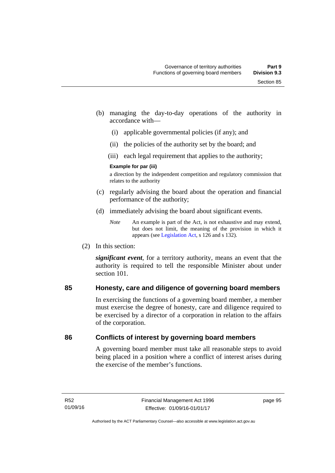- (b) managing the day-to-day operations of the authority in accordance with—
	- (i) applicable governmental policies (if any); and
	- (ii) the policies of the authority set by the board; and
	- (iii) each legal requirement that applies to the authority;

### **Example for par (iii)**

a direction by the independent competition and regulatory commission that relates to the authority

- (c) regularly advising the board about the operation and financial performance of the authority;
- (d) immediately advising the board about significant events.

(2) In this section:

*significant event*, for a territory authority, means an event that the authority is required to tell the responsible Minister about under section 101

# **85 Honesty, care and diligence of governing board members**

In exercising the functions of a governing board member, a member must exercise the degree of honesty, care and diligence required to be exercised by a director of a corporation in relation to the affairs of the corporation.

# **86 Conflicts of interest by governing board members**

A governing board member must take all reasonable steps to avoid being placed in a position where a conflict of interest arises during the exercise of the member's functions.

*Note* An example is part of the Act, is not exhaustive and may extend, but does not limit, the meaning of the provision in which it appears (see [Legislation Act,](http://www.legislation.act.gov.au/a/2001-14) s 126 and s 132).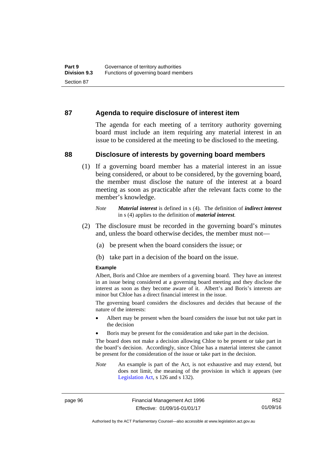### **87 Agenda to require disclosure of interest item**

The agenda for each meeting of a territory authority governing board must include an item requiring any material interest in an issue to be considered at the meeting to be disclosed to the meeting.

### **88 Disclosure of interests by governing board members**

(1) If a governing board member has a material interest in an issue being considered, or about to be considered, by the governing board, the member must disclose the nature of the interest at a board meeting as soon as practicable after the relevant facts come to the member's knowledge.

- (2) The disclosure must be recorded in the governing board's minutes and, unless the board otherwise decides, the member must not—
	- (a) be present when the board considers the issue; or
	- (b) take part in a decision of the board on the issue.

### **Example**

Albert, Boris and Chloe are members of a governing board. They have an interest in an issue being considered at a governing board meeting and they disclose the interest as soon as they become aware of it. Albert's and Boris's interests are minor but Chloe has a direct financial interest in the issue.

The governing board considers the disclosures and decides that because of the nature of the interests:

- Albert may be present when the board considers the issue but not take part in the decision
- Boris may be present for the consideration and take part in the decision.

The board does not make a decision allowing Chloe to be present or take part in the board's decision. Accordingly, since Chloe has a material interest she cannot be present for the consideration of the issue or take part in the decision.

*Note* An example is part of the Act, is not exhaustive and may extend, but does not limit, the meaning of the provision in which it appears (see [Legislation Act,](http://www.legislation.act.gov.au/a/2001-14) s 126 and s 132).

page 96 Financial Management Act 1996 Effective: 01/09/16-01/01/17

R52 01/09/16

Authorised by the ACT Parliamentary Counsel—also accessible at www.legislation.act.gov.au

*Note Material interest* is defined in s (4). The definition of *indirect interest* in s (4) applies to the definition of *material interest*.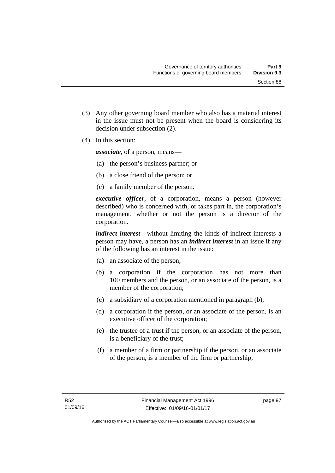(3) Any other governing board member who also has a material interest in the issue must not be present when the board is considering its

(4) In this section:

*associate*, of a person, means—

decision under subsection (2).

- (a) the person's business partner; or
- (b) a close friend of the person; or
- (c) a family member of the person.

*executive officer*, of a corporation, means a person (however described) who is concerned with, or takes part in, the corporation's management, whether or not the person is a director of the corporation.

*indirect interest*—without limiting the kinds of indirect interests a person may have, a person has an *indirect interest* in an issue if any of the following has an interest in the issue:

- (a) an associate of the person;
- (b) a corporation if the corporation has not more than 100 members and the person, or an associate of the person, is a member of the corporation;
- (c) a subsidiary of a corporation mentioned in paragraph (b);
- (d) a corporation if the person, or an associate of the person, is an executive officer of the corporation;
- (e) the trustee of a trust if the person, or an associate of the person, is a beneficiary of the trust;
- (f) a member of a firm or partnership if the person, or an associate of the person, is a member of the firm or partnership;

page 97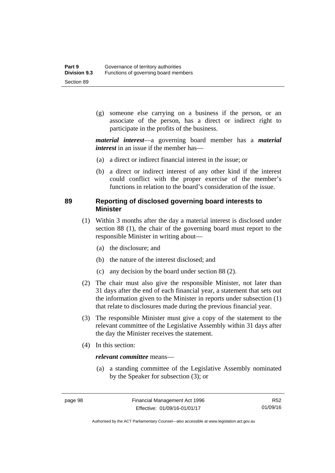(g) someone else carrying on a business if the person, or an associate of the person, has a direct or indirect right to participate in the profits of the business.

*material interest*—a governing board member has a *material interest* in an issue if the member has—

- (a) a direct or indirect financial interest in the issue; or
- (b) a direct or indirect interest of any other kind if the interest could conflict with the proper exercise of the member's functions in relation to the board's consideration of the issue.

## **89 Reporting of disclosed governing board interests to Minister**

- (1) Within 3 months after the day a material interest is disclosed under section 88 (1), the chair of the governing board must report to the responsible Minister in writing about—
	- (a) the disclosure; and
	- (b) the nature of the interest disclosed; and
	- (c) any decision by the board under section 88 (2).
- (2) The chair must also give the responsible Minister, not later than 31 days after the end of each financial year, a statement that sets out the information given to the Minister in reports under subsection (1) that relate to disclosures made during the previous financial year.
- (3) The responsible Minister must give a copy of the statement to the relevant committee of the Legislative Assembly within 31 days after the day the Minister receives the statement.
- (4) In this section:

### *relevant committee* means—

 (a) a standing committee of the Legislative Assembly nominated by the Speaker for subsection (3); or

R52 01/09/16

Authorised by the ACT Parliamentary Counsel—also accessible at www.legislation.act.gov.au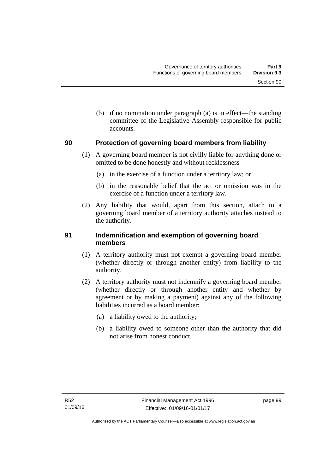(b) if no nomination under paragraph (a) is in effect—the standing committee of the Legislative Assembly responsible for public accounts.

### **90 Protection of governing board members from liability**

- (1) A governing board member is not civilly liable for anything done or omitted to be done honestly and without recklessness—
	- (a) in the exercise of a function under a territory law; or
	- (b) in the reasonable belief that the act or omission was in the exercise of a function under a territory law.
- (2) Any liability that would, apart from this section, attach to a governing board member of a territory authority attaches instead to the authority.

### **91 Indemnification and exemption of governing board members**

- (1) A territory authority must not exempt a governing board member (whether directly or through another entity) from liability to the authority.
- (2) A territory authority must not indemnify a governing board member (whether directly or through another entity and whether by agreement or by making a payment) against any of the following liabilities incurred as a board member:
	- (a) a liability owed to the authority;
	- (b) a liability owed to someone other than the authority that did not arise from honest conduct.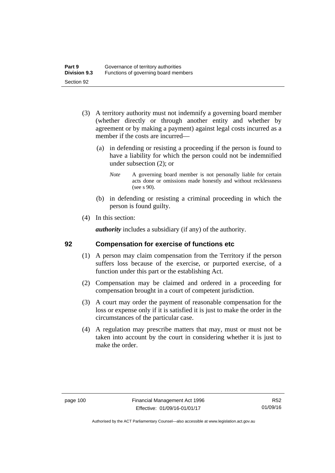- (3) A territory authority must not indemnify a governing board member (whether directly or through another entity and whether by agreement or by making a payment) against legal costs incurred as a member if the costs are incurred—
	- (a) in defending or resisting a proceeding if the person is found to have a liability for which the person could not be indemnified under subsection (2); or
		- *Note* A governing board member is not personally liable for certain acts done or omissions made honestly and without recklessness (see s 90).
	- (b) in defending or resisting a criminal proceeding in which the person is found guilty.
- (4) In this section:

*authority* includes a subsidiary (if any) of the authority.

#### **92 Compensation for exercise of functions etc**

- (1) A person may claim compensation from the Territory if the person suffers loss because of the exercise, or purported exercise, of a function under this part or the establishing Act.
- (2) Compensation may be claimed and ordered in a proceeding for compensation brought in a court of competent jurisdiction.
- (3) A court may order the payment of reasonable compensation for the loss or expense only if it is satisfied it is just to make the order in the circumstances of the particular case.
- (4) A regulation may prescribe matters that may, must or must not be taken into account by the court in considering whether it is just to make the order.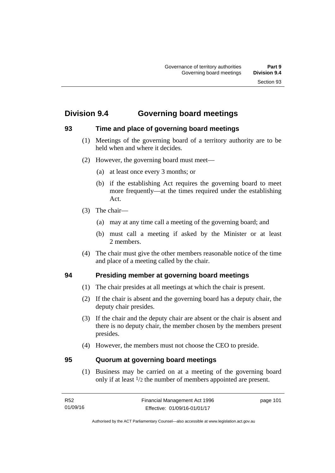# **Division 9.4 Governing board meetings**

# **93 Time and place of governing board meetings**

- (1) Meetings of the governing board of a territory authority are to be held when and where it decides.
- (2) However, the governing board must meet—
	- (a) at least once every 3 months; or
	- (b) if the establishing Act requires the governing board to meet more frequently—at the times required under the establishing Act.
- (3) The chair—
	- (a) may at any time call a meeting of the governing board; and
	- (b) must call a meeting if asked by the Minister or at least 2 members.
- (4) The chair must give the other members reasonable notice of the time and place of a meeting called by the chair.

# **94 Presiding member at governing board meetings**

- (1) The chair presides at all meetings at which the chair is present.
- (2) If the chair is absent and the governing board has a deputy chair, the deputy chair presides.
- (3) If the chair and the deputy chair are absent or the chair is absent and there is no deputy chair, the member chosen by the members present presides.
- (4) However, the members must not choose the CEO to preside.

## **95 Quorum at governing board meetings**

(1) Business may be carried on at a meeting of the governing board only if at least 1/2 the number of members appointed are present.

page 101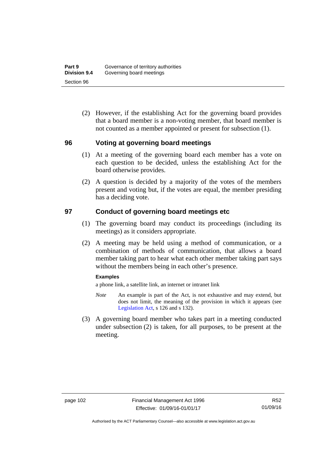(2) However, if the establishing Act for the governing board provides that a board member is a non-voting member, that board member is not counted as a member appointed or present for subsection (1).

#### **96 Voting at governing board meetings**

- (1) At a meeting of the governing board each member has a vote on each question to be decided, unless the establishing Act for the board otherwise provides.
- (2) A question is decided by a majority of the votes of the members present and voting but, if the votes are equal, the member presiding has a deciding vote.

#### **97 Conduct of governing board meetings etc**

- (1) The governing board may conduct its proceedings (including its meetings) as it considers appropriate.
- (2) A meeting may be held using a method of communication, or a combination of methods of communication, that allows a board member taking part to hear what each other member taking part says without the members being in each other's presence.

#### **Examples**

a phone link, a satellite link, an internet or intranet link

- *Note* An example is part of the Act, is not exhaustive and may extend, but does not limit, the meaning of the provision in which it appears (see [Legislation Act,](http://www.legislation.act.gov.au/a/2001-14) s 126 and s 132).
- (3) A governing board member who takes part in a meeting conducted under subsection (2) is taken, for all purposes, to be present at the meeting.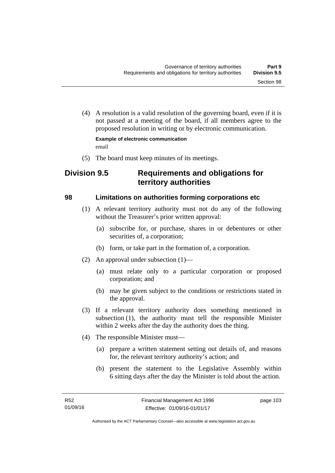(4) A resolution is a valid resolution of the governing board, even if it is not passed at a meeting of the board, if all members agree to the proposed resolution in writing or by electronic communication.

**Example of electronic communication**  email

(5) The board must keep minutes of its meetings.

# **Division 9.5 Requirements and obligations for territory authorities**

### **98 Limitations on authorities forming corporations etc**

- (1) A relevant territory authority must not do any of the following without the Treasurer's prior written approval:
	- (a) subscribe for, or purchase, shares in or debentures or other securities of, a corporation;
	- (b) form, or take part in the formation of, a corporation.
- (2) An approval under subsection (1)—
	- (a) must relate only to a particular corporation or proposed corporation; and
	- (b) may be given subject to the conditions or restrictions stated in the approval.
- (3) If a relevant territory authority does something mentioned in subsection (1), the authority must tell the responsible Minister within 2 weeks after the day the authority does the thing.
- (4) The responsible Minister must—
	- (a) prepare a written statement setting out details of, and reasons for, the relevant territory authority's action; and
	- (b) present the statement to the Legislative Assembly within 6 sitting days after the day the Minister is told about the action.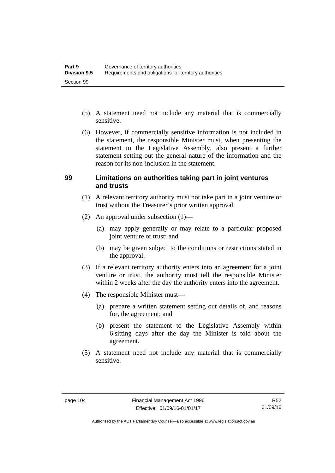- (5) A statement need not include any material that is commercially sensitive.
- (6) However, if commercially sensitive information is not included in the statement, the responsible Minister must, when presenting the statement to the Legislative Assembly, also present a further statement setting out the general nature of the information and the reason for its non-inclusion in the statement.

#### **99 Limitations on authorities taking part in joint ventures and trusts**

- (1) A relevant territory authority must not take part in a joint venture or trust without the Treasurer's prior written approval.
- (2) An approval under subsection (1)—
	- (a) may apply generally or may relate to a particular proposed joint venture or trust; and
	- (b) may be given subject to the conditions or restrictions stated in the approval.
- (3) If a relevant territory authority enters into an agreement for a joint venture or trust, the authority must tell the responsible Minister within 2 weeks after the day the authority enters into the agreement.
- (4) The responsible Minister must—
	- (a) prepare a written statement setting out details of, and reasons for, the agreement; and
	- (b) present the statement to the Legislative Assembly within 6 sitting days after the day the Minister is told about the agreement.
- (5) A statement need not include any material that is commercially sensitive.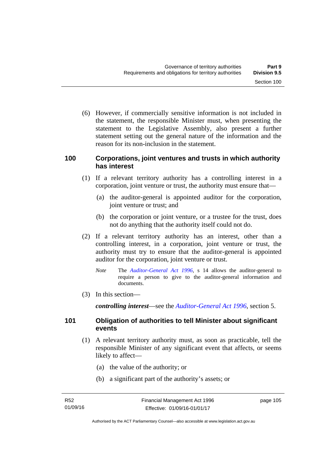(6) However, if commercially sensitive information is not included in the statement, the responsible Minister must, when presenting the statement to the Legislative Assembly, also present a further statement setting out the general nature of the information and the reason for its non-inclusion in the statement.

#### **100 Corporations, joint ventures and trusts in which authority has interest**

- (1) If a relevant territory authority has a controlling interest in a corporation, joint venture or trust, the authority must ensure that—
	- (a) the auditor-general is appointed auditor for the corporation, joint venture or trust; and
	- (b) the corporation or joint venture, or a trustee for the trust, does not do anything that the authority itself could not do.
- (2) If a relevant territory authority has an interest, other than a controlling interest, in a corporation, joint venture or trust, the authority must try to ensure that the auditor-general is appointed auditor for the corporation, joint venture or trust.
	- *Note* The *[Auditor-General Act 1996](http://www.legislation.act.gov.au/a/1996-23)*, s 14 allows the auditor-general to require a person to give to the auditor-general information and documents.
- (3) In this section—

*controlling interest*—see the *[Auditor-General Act 1996](http://www.legislation.act.gov.au/a/1996-23)*, section 5.

### **101 Obligation of authorities to tell Minister about significant events**

- (1) A relevant territory authority must, as soon as practicable, tell the responsible Minister of any significant event that affects, or seems likely to affect—
	- (a) the value of the authority; or
	- (b) a significant part of the authority's assets; or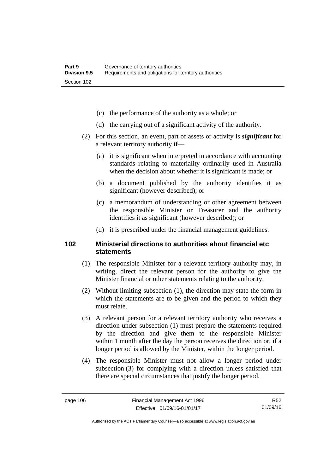- (c) the performance of the authority as a whole; or
- (d) the carrying out of a significant activity of the authority.
- (2) For this section, an event, part of assets or activity is *significant* for a relevant territory authority if—
	- (a) it is significant when interpreted in accordance with accounting standards relating to materiality ordinarily used in Australia when the decision about whether it is significant is made; or
	- (b) a document published by the authority identifies it as significant (however described); or
	- (c) a memorandum of understanding or other agreement between the responsible Minister or Treasurer and the authority identifies it as significant (however described); or
	- (d) it is prescribed under the financial management guidelines.

#### **102 Ministerial directions to authorities about financial etc statements**

- (1) The responsible Minister for a relevant territory authority may, in writing, direct the relevant person for the authority to give the Minister financial or other statements relating to the authority.
- (2) Without limiting subsection (1), the direction may state the form in which the statements are to be given and the period to which they must relate.
- (3) A relevant person for a relevant territory authority who receives a direction under subsection (1) must prepare the statements required by the direction and give them to the responsible Minister within 1 month after the day the person receives the direction or, if a longer period is allowed by the Minister, within the longer period.
- (4) The responsible Minister must not allow a longer period under subsection (3) for complying with a direction unless satisfied that there are special circumstances that justify the longer period.

R52 01/09/16

Authorised by the ACT Parliamentary Counsel—also accessible at www.legislation.act.gov.au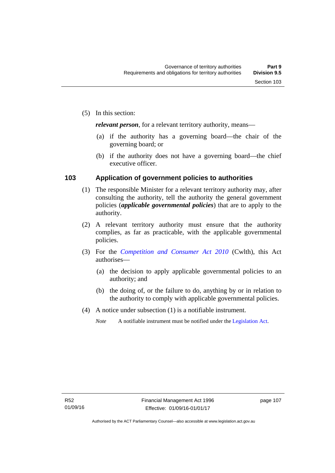*relevant person*, for a relevant territory authority, means—

- (a) if the authority has a governing board—the chair of the governing board; or
- (b) if the authority does not have a governing board—the chief executive officer.

### **103 Application of government policies to authorities**

- (1) The responsible Minister for a relevant territory authority may, after consulting the authority, tell the authority the general government policies (*applicable governmental policies*) that are to apply to the authority.
- (2) A relevant territory authority must ensure that the authority complies, as far as practicable, with the applicable governmental policies.
- (3) For the *[Competition and Consumer Act 2010](http://www.comlaw.gov.au/Series/C2004A00109)* (Cwlth), this Act authorises—
	- (a) the decision to apply applicable governmental policies to an authority; and
	- (b) the doing of, or the failure to do, anything by or in relation to the authority to comply with applicable governmental policies.
- (4) A notice under subsection (1) is a notifiable instrument.
	- *Note* A notifiable instrument must be notified under the [Legislation Act](http://www.legislation.act.gov.au/a/2001-14).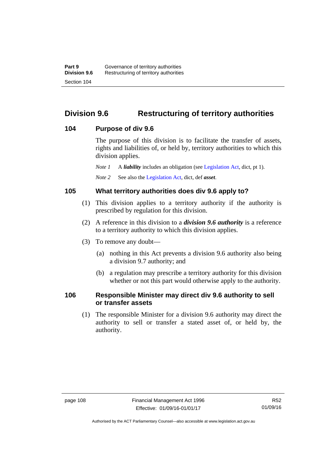# **Division 9.6 Restructuring of territory authorities**

#### **104 Purpose of div 9.6**

The purpose of this division is to facilitate the transfer of assets, rights and liabilities of, or held by, territory authorities to which this division applies.

*Note 1* A *liability* includes an obligation (see [Legislation Act,](http://www.legislation.act.gov.au/a/2001-14) dict, pt 1).

*Note 2* See also the [Legislation Act](http://www.legislation.act.gov.au/a/2001-14), dict, def *asset*.

#### **105 What territory authorities does div 9.6 apply to?**

- (1) This division applies to a territory authority if the authority is prescribed by regulation for this division.
- (2) A reference in this division to a *division 9.6 authority* is a reference to a territory authority to which this division applies.
- (3) To remove any doubt—
	- (a) nothing in this Act prevents a division 9.6 authority also being a division 9.7 authority; and
	- (b) a regulation may prescribe a territory authority for this division whether or not this part would otherwise apply to the authority.

#### **106 Responsible Minister may direct div 9.6 authority to sell or transfer assets**

 (1) The responsible Minister for a division 9.6 authority may direct the authority to sell or transfer a stated asset of, or held by, the authority.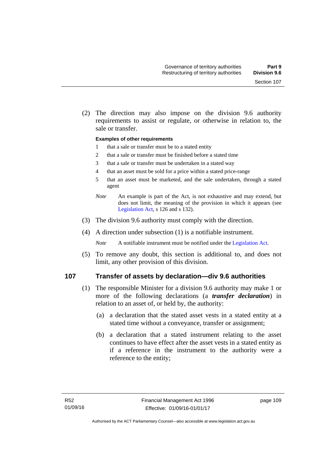(2) The direction may also impose on the division 9.6 authority requirements to assist or regulate, or otherwise in relation to, the sale or transfer.

#### **Examples of other requirements**

- 1 that a sale or transfer must be to a stated entity
- 2 that a sale or transfer must be finished before a stated time
- 3 that a sale or transfer must be undertaken in a stated way
- 4 that an asset must be sold for a price within a stated price-range
- 5 that an asset must be marketed, and the sale undertaken, through a stated agent
- *Note* An example is part of the Act, is not exhaustive and may extend, but does not limit, the meaning of the provision in which it appears (see [Legislation Act,](http://www.legislation.act.gov.au/a/2001-14) s 126 and s 132).
- (3) The division 9.6 authority must comply with the direction.
- (4) A direction under subsection (1) is a notifiable instrument.

*Note* A notifiable instrument must be notified under the [Legislation Act](http://www.legislation.act.gov.au/a/2001-14).

 (5) To remove any doubt, this section is additional to, and does not limit, any other provision of this division.

#### **107 Transfer of assets by declaration—div 9.6 authorities**

- (1) The responsible Minister for a division 9.6 authority may make 1 or more of the following declarations (a *transfer declaration*) in relation to an asset of, or held by, the authority:
	- (a) a declaration that the stated asset vests in a stated entity at a stated time without a conveyance, transfer or assignment;
	- (b) a declaration that a stated instrument relating to the asset continues to have effect after the asset vests in a stated entity as if a reference in the instrument to the authority were a reference to the entity;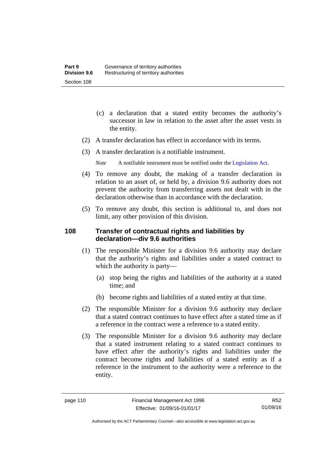- (c) a declaration that a stated entity becomes the authority's successor in law in relation to the asset after the asset vests in the entity.
- (2) A transfer declaration has effect in accordance with its terms.
- (3) A transfer declaration is a notifiable instrument.
	- *Note* A notifiable instrument must be notified under the [Legislation Act](http://www.legislation.act.gov.au/a/2001-14).
- (4) To remove any doubt, the making of a transfer declaration in relation to an asset of, or held by, a division 9.6 authority does not prevent the authority from transferring assets not dealt with in the declaration otherwise than in accordance with the declaration.
- (5) To remove any doubt, this section is additional to, and does not limit, any other provision of this division.

### **108 Transfer of contractual rights and liabilities by declaration—div 9.6 authorities**

- (1) The responsible Minister for a division 9.6 authority may declare that the authority's rights and liabilities under a stated contract to which the authority is party—
	- (a) stop being the rights and liabilities of the authority at a stated time; and
	- (b) become rights and liabilities of a stated entity at that time.
- (2) The responsible Minister for a division 9.6 authority may declare that a stated contract continues to have effect after a stated time as if a reference in the contract were a reference to a stated entity.
- (3) The responsible Minister for a division 9.6 authority may declare that a stated instrument relating to a stated contract continues to have effect after the authority's rights and liabilities under the contract become rights and liabilities of a stated entity as if a reference in the instrument to the authority were a reference to the entity.

R52 01/09/16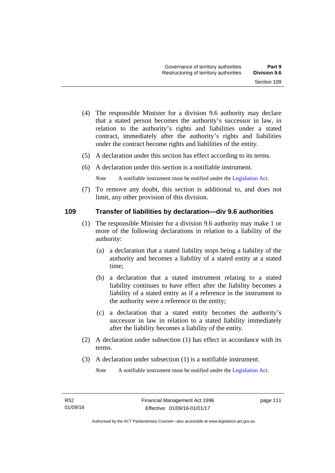- (4) The responsible Minister for a division 9.6 authority may declare that a stated person becomes the authority's successor in law, in relation to the authority's rights and liabilities under a stated contract, immediately after the authority's rights and liabilities under the contract become rights and liabilities of the entity.
- (5) A declaration under this section has effect according to its terms.
- (6) A declaration under this section is a notifiable instrument.

*Note* A notifiable instrument must be notified under the [Legislation Act](http://www.legislation.act.gov.au/a/2001-14).

 (7) To remove any doubt, this section is additional to, and does not limit, any other provision of this division.

#### **109 Transfer of liabilities by declaration—div 9.6 authorities**

- (1) The responsible Minister for a division 9.6 authority may make 1 or more of the following declarations in relation to a liability of the authority:
	- (a) a declaration that a stated liability stops being a liability of the authority and becomes a liability of a stated entity at a stated time;
	- (b) a declaration that a stated instrument relating to a stated liability continues to have effect after the liability becomes a liability of a stated entity as if a reference in the instrument to the authority were a reference to the entity;
	- (c) a declaration that a stated entity becomes the authority's successor in law in relation to a stated liability immediately after the liability becomes a liability of the entity.
- (2) A declaration under subsection (1) has effect in accordance with its terms.
- (3) A declaration under subsection (1) is a notifiable instrument.

*Note* A notifiable instrument must be notified under the [Legislation Act](http://www.legislation.act.gov.au/a/2001-14).

page 111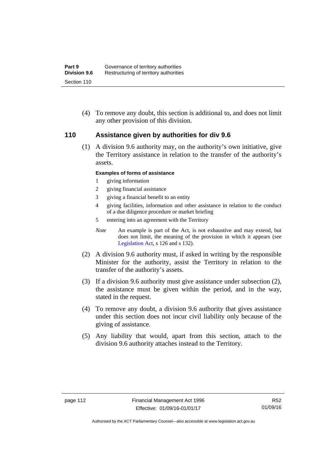(4) To remove any doubt, this section is additional to, and does not limit any other provision of this division.

#### **110 Assistance given by authorities for div 9.6**

(1) A division 9.6 authority may, on the authority's own initiative, give the Territory assistance in relation to the transfer of the authority's assets.

#### **Examples of forms of assistance**

- 1 giving information
- 2 giving financial assistance
- 3 giving a financial benefit to an entity
- 4 giving facilities, information and other assistance in relation to the conduct of a due diligence procedure or market briefing
- 5 entering into an agreement with the Territory
- *Note* An example is part of the Act, is not exhaustive and may extend, but does not limit, the meaning of the provision in which it appears (see [Legislation Act,](http://www.legislation.act.gov.au/a/2001-14) s 126 and s 132).
- (2) A division 9.6 authority must, if asked in writing by the responsible Minister for the authority, assist the Territory in relation to the transfer of the authority's assets.
- (3) If a division 9.6 authority must give assistance under subsection (2), the assistance must be given within the period, and in the way, stated in the request.
- (4) To remove any doubt, a division 9.6 authority that gives assistance under this section does not incur civil liability only because of the giving of assistance.
- (5) Any liability that would, apart from this section, attach to the division 9.6 authority attaches instead to the Territory.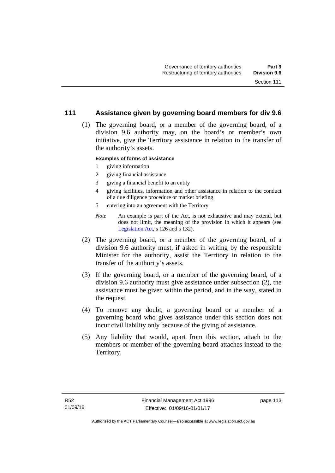#### **111 Assistance given by governing board members for div 9.6**

 (1) The governing board, or a member of the governing board, of a division 9.6 authority may, on the board's or member's own initiative, give the Territory assistance in relation to the transfer of the authority's assets.

#### **Examples of forms of assistance**

- 1 giving information
- 2 giving financial assistance
- 3 giving a financial benefit to an entity
- 4 giving facilities, information and other assistance in relation to the conduct of a due diligence procedure or market briefing
- 5 entering into an agreement with the Territory
- *Note* An example is part of the Act, is not exhaustive and may extend, but does not limit, the meaning of the provision in which it appears (see [Legislation Act,](http://www.legislation.act.gov.au/a/2001-14) s 126 and s 132).
- (2) The governing board, or a member of the governing board, of a division 9.6 authority must, if asked in writing by the responsible Minister for the authority, assist the Territory in relation to the transfer of the authority's assets.
- (3) If the governing board, or a member of the governing board, of a division 9.6 authority must give assistance under subsection (2), the assistance must be given within the period, and in the way, stated in the request.
- (4) To remove any doubt, a governing board or a member of a governing board who gives assistance under this section does not incur civil liability only because of the giving of assistance.
- (5) Any liability that would, apart from this section, attach to the members or member of the governing board attaches instead to the Territory.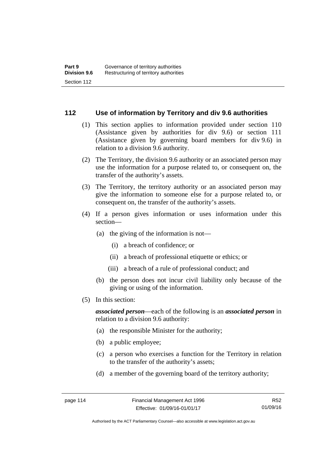#### **112 Use of information by Territory and div 9.6 authorities**

- (1) This section applies to information provided under section 110 (Assistance given by authorities for div 9.6) or section 111 (Assistance given by governing board members for div 9.6) in relation to a division 9.6 authority.
- (2) The Territory, the division 9.6 authority or an associated person may use the information for a purpose related to, or consequent on, the transfer of the authority's assets.
- (3) The Territory, the territory authority or an associated person may give the information to someone else for a purpose related to, or consequent on, the transfer of the authority's assets.
- (4) If a person gives information or uses information under this section—
	- (a) the giving of the information is not—
		- (i) a breach of confidence; or
		- (ii) a breach of professional etiquette or ethics; or
		- (iii) a breach of a rule of professional conduct; and
	- (b) the person does not incur civil liability only because of the giving or using of the information.
- (5) In this section:

*associated person*—each of the following is an *associated person* in relation to a division 9.6 authority:

- (a) the responsible Minister for the authority;
- (b) a public employee;
- (c) a person who exercises a function for the Territory in relation to the transfer of the authority's assets;
- (d) a member of the governing board of the territory authority;

R52 01/09/16

Authorised by the ACT Parliamentary Counsel—also accessible at www.legislation.act.gov.au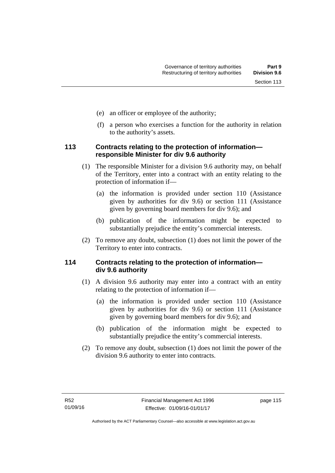- (e) an officer or employee of the authority;
- (f) a person who exercises a function for the authority in relation to the authority's assets.

## **113 Contracts relating to the protection of information responsible Minister for div 9.6 authority**

- (1) The responsible Minister for a division 9.6 authority may, on behalf of the Territory, enter into a contract with an entity relating to the protection of information if—
	- (a) the information is provided under section 110 (Assistance given by authorities for div 9.6) or section 111 (Assistance given by governing board members for div 9.6); and
	- (b) publication of the information might be expected to substantially prejudice the entity's commercial interests.
- (2) To remove any doubt, subsection (1) does not limit the power of the Territory to enter into contracts.

# **114 Contracts relating to the protection of information div 9.6 authority**

- (1) A division 9.6 authority may enter into a contract with an entity relating to the protection of information if—
	- (a) the information is provided under section 110 (Assistance given by authorities for div 9.6) or section 111 (Assistance given by governing board members for div 9.6); and
	- (b) publication of the information might be expected to substantially prejudice the entity's commercial interests.
- (2) To remove any doubt, subsection (1) does not limit the power of the division 9.6 authority to enter into contracts.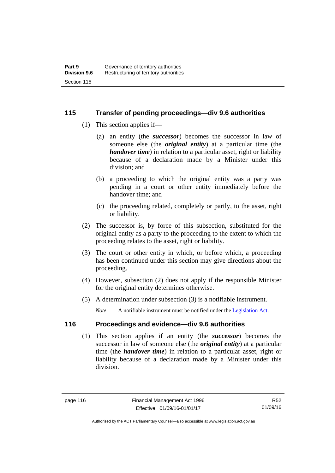### **115 Transfer of pending proceedings—div 9.6 authorities**

- (1) This section applies if—
	- (a) an entity (the *successor*) becomes the successor in law of someone else (the *original entity*) at a particular time (the *handover time*) in relation to a particular asset, right or liability because of a declaration made by a Minister under this division; and
	- (b) a proceeding to which the original entity was a party was pending in a court or other entity immediately before the handover time; and
	- (c) the proceeding related, completely or partly, to the asset, right or liability.
- (2) The successor is, by force of this subsection, substituted for the original entity as a party to the proceeding to the extent to which the proceeding relates to the asset, right or liability.
- (3) The court or other entity in which, or before which, a proceeding has been continued under this section may give directions about the proceeding.
- (4) However, subsection (2) does not apply if the responsible Minister for the original entity determines otherwise.
- (5) A determination under subsection (3) is a notifiable instrument.

*Note* A notifiable instrument must be notified under the [Legislation Act](http://www.legislation.act.gov.au/a/2001-14).

# **116 Proceedings and evidence—div 9.6 authorities**

 (1) This section applies if an entity (the *successor*) becomes the successor in law of someone else (the *original entity*) at a particular time (the *handover time*) in relation to a particular asset, right or liability because of a declaration made by a Minister under this division.

Authorised by the ACT Parliamentary Counsel—also accessible at www.legislation.act.gov.au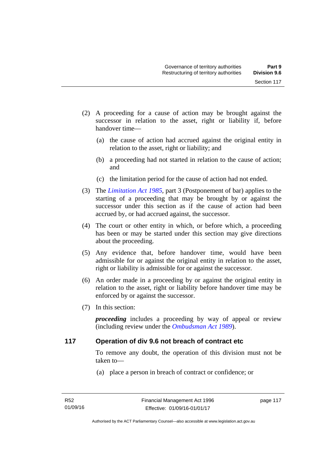- (2) A proceeding for a cause of action may be brought against the successor in relation to the asset, right or liability if, before handover time—
	- (a) the cause of action had accrued against the original entity in relation to the asset, right or liability; and
	- (b) a proceeding had not started in relation to the cause of action; and
	- (c) the limitation period for the cause of action had not ended.
- (3) The *[Limitation Act 1985](http://www.legislation.act.gov.au/a/1985-66),* part 3 (Postponement of bar) applies to the starting of a proceeding that may be brought by or against the successor under this section as if the cause of action had been accrued by, or had accrued against, the successor.
- (4) The court or other entity in which, or before which, a proceeding has been or may be started under this section may give directions about the proceeding.
- (5) Any evidence that, before handover time, would have been admissible for or against the original entity in relation to the asset, right or liability is admissible for or against the successor.
- (6) An order made in a proceeding by or against the original entity in relation to the asset, right or liability before handover time may be enforced by or against the successor.
- (7) In this section:

*proceeding* includes a proceeding by way of appeal or review (including review under the *[Ombudsman Act 1989](http://www.legislation.act.gov.au/a/alt_a1989-45co)*).

#### **117 Operation of div 9.6 not breach of contract etc**

To remove any doubt, the operation of this division must not be taken to—

(a) place a person in breach of contract or confidence; or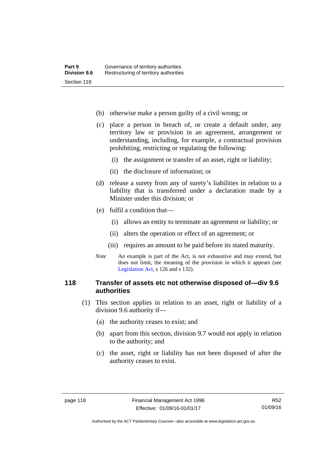- (b) otherwise make a person guilty of a civil wrong; or
- (c) place a person in breach of, or create a default under, any territory law or provision in an agreement, arrangement or understanding, including, for example, a contractual provision prohibiting, restricting or regulating the following:
	- (i) the assignment or transfer of an asset, right or liability;
	- (ii) the disclosure of information; or
- (d) release a surety from any of surety's liabilities in relation to a liability that is transferred under a declaration made by a Minister under this division; or
- (e) fulfil a condition that—
	- (i) allows an entity to terminate an agreement or liability; or
	- (ii) alters the operation or effect of an agreement; or
	- (iii) requires an amount to be paid before its stated maturity.
- *Note* An example is part of the Act, is not exhaustive and may extend, but does not limit, the meaning of the provision in which it appears (see [Legislation Act,](http://www.legislation.act.gov.au/a/2001-14) s 126 and s 132).

#### **118 Transfer of assets etc not otherwise disposed of—div 9.6 authorities**

- (1) This section applies in relation to an asset, right or liability of a division 9.6 authority if—
	- (a) the authority ceases to exist; and
	- (b) apart from this section, division 9.7 would not apply in relation to the authority; and
	- (c) the asset, right or liability has not been disposed of after the authority ceases to exist.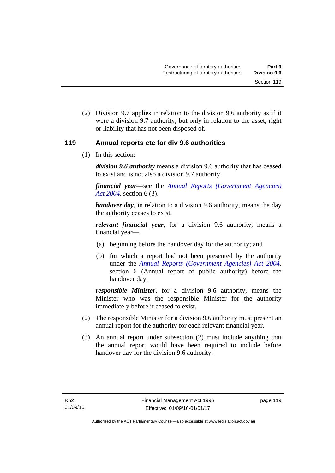(2) Division 9.7 applies in relation to the division 9.6 authority as if it were a division 9.7 authority, but only in relation to the asset, right or liability that has not been disposed of.

### **119 Annual reports etc for div 9.6 authorities**

(1) In this section:

*division 9.6 authority* means a division 9.6 authority that has ceased to exist and is not also a division 9.7 authority.

*financial year*––see the *[Annual Reports \(Government Agencies\)](http://www.legislation.act.gov.au/a/2004-8)  [Act 2004](http://www.legislation.act.gov.au/a/2004-8)*, section 6 (3).

*handover day*, in relation to a division 9.6 authority, means the day the authority ceases to exist.

*relevant financial year*, for a division 9.6 authority, means a financial year—

- (a) beginning before the handover day for the authority; and
- (b) for which a report had not been presented by the authority under the *[Annual Reports \(Government Agencies\) Act 2004](http://www.legislation.act.gov.au/a/2004-8)*, section 6 (Annual report of public authority) before the handover day.

*responsible Minister*, for a division 9.6 authority, means the Minister who was the responsible Minister for the authority immediately before it ceased to exist.

- (2) The responsible Minister for a division 9.6 authority must present an annual report for the authority for each relevant financial year.
- (3) An annual report under subsection (2) must include anything that the annual report would have been required to include before handover day for the division 9.6 authority.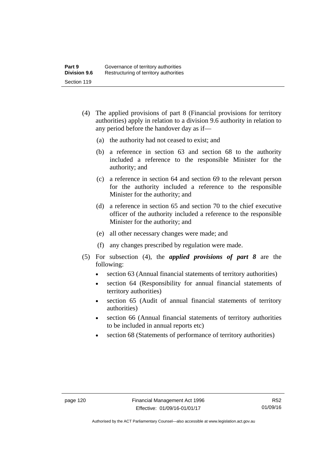- (4) The applied provisions of part 8 (Financial provisions for territory authorities) apply in relation to a division 9.6 authority in relation to any period before the handover day as if—
	- (a) the authority had not ceased to exist; and
	- (b) a reference in section 63 and section 68 to the authority included a reference to the responsible Minister for the authority; and
	- (c) a reference in section 64 and section 69 to the relevant person for the authority included a reference to the responsible Minister for the authority; and
	- (d) a reference in section 65 and section 70 to the chief executive officer of the authority included a reference to the responsible Minister for the authority; and
	- (e) all other necessary changes were made; and
	- (f) any changes prescribed by regulation were made.
- (5) For subsection (4), the *applied provisions of part 8* are the following:
	- section 63 (Annual financial statements of territory authorities)
	- section 64 (Responsibility for annual financial statements of territory authorities)
	- section 65 (Audit of annual financial statements of territory authorities)
	- section 66 (Annual financial statements of territory authorities to be included in annual reports etc)
	- section 68 (Statements of performance of territory authorities)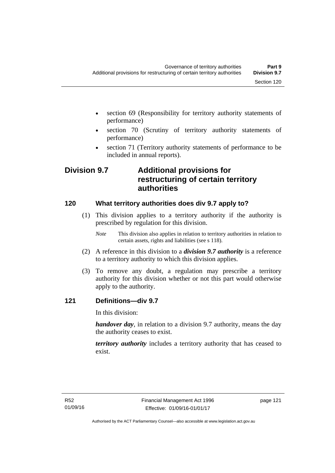- section 69 (Responsibility for territory authority statements of performance)
- section 70 (Scrutiny of territory authority statements of performance)
- section 71 (Territory authority statements of performance to be included in annual reports).

# **Division 9.7 Additional provisions for restructuring of certain territory authorities**

# **120 What territory authorities does div 9.7 apply to?**

- (1) This division applies to a territory authority if the authority is prescribed by regulation for this division.
	- *Note* This division also applies in relation to territory authorities in relation to certain assets, rights and liabilities (see s 118).
- (2) A reference in this division to a *division 9.7 authority* is a reference to a territory authority to which this division applies.
- (3) To remove any doubt, a regulation may prescribe a territory authority for this division whether or not this part would otherwise apply to the authority.

## **121 Definitions—div 9.7**

In this division:

*handover day*, in relation to a division 9.7 authority, means the day the authority ceases to exist.

*territory authority* includes a territory authority that has ceased to exist.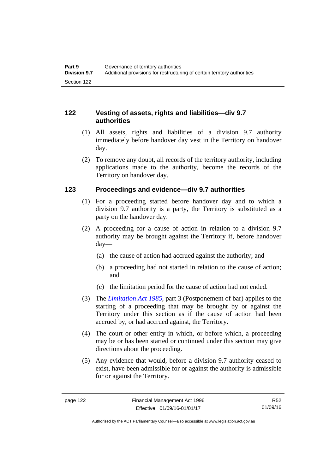## **122 Vesting of assets, rights and liabilities—div 9.7 authorities**

- (1) All assets, rights and liabilities of a division 9.7 authority immediately before handover day vest in the Territory on handover day.
- (2) To remove any doubt, all records of the territory authority, including applications made to the authority, become the records of the Territory on handover day.

## **123 Proceedings and evidence—div 9.7 authorities**

- (1) For a proceeding started before handover day and to which a division 9.7 authority is a party, the Territory is substituted as a party on the handover day.
- (2) A proceeding for a cause of action in relation to a division 9.7 authority may be brought against the Territory if, before handover day—
	- (a) the cause of action had accrued against the authority; and
	- (b) a proceeding had not started in relation to the cause of action; and
	- (c) the limitation period for the cause of action had not ended.
- (3) The *[Limitation Act 1985](http://www.legislation.act.gov.au/a/1985-66),* part 3 (Postponement of bar) applies to the starting of a proceeding that may be brought by or against the Territory under this section as if the cause of action had been accrued by, or had accrued against, the Territory.
- (4) The court or other entity in which, or before which, a proceeding may be or has been started or continued under this section may give directions about the proceeding.
- (5) Any evidence that would, before a division 9.7 authority ceased to exist, have been admissible for or against the authority is admissible for or against the Territory.

R52 01/09/16

Authorised by the ACT Parliamentary Counsel—also accessible at www.legislation.act.gov.au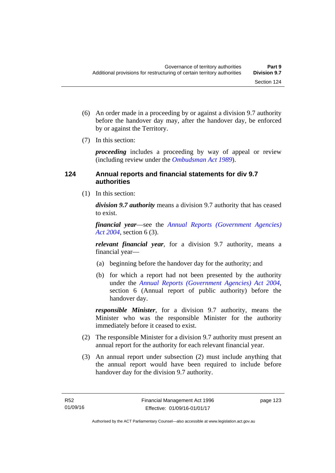- (6) An order made in a proceeding by or against a division 9.7 authority before the handover day may, after the handover day, be enforced by or against the Territory.
- (7) In this section:

*proceeding* includes a proceeding by way of appeal or review (including review under the *[Ombudsman Act 1989](http://www.legislation.act.gov.au/a/alt_a1989-45co)*).

## **124 Annual reports and financial statements for div 9.7 authorities**

(1) In this section:

*division 9.7 authority* means a division 9.7 authority that has ceased to exist.

*financial year*––see the *[Annual Reports \(Government Agencies\)](http://www.legislation.act.gov.au/a/2004-8)  [Act 2004](http://www.legislation.act.gov.au/a/2004-8)*, section 6 (3).

*relevant financial year*, for a division 9.7 authority, means a financial year—

- (a) beginning before the handover day for the authority; and
- (b) for which a report had not been presented by the authority under the *[Annual Reports \(Government Agencies\) Act 2004](http://www.legislation.act.gov.au/a/2004-8)*, section 6 (Annual report of public authority) before the handover day.

*responsible Minister*, for a division 9.7 authority, means the Minister who was the responsible Minister for the authority immediately before it ceased to exist.

- (2) The responsible Minister for a division 9.7 authority must present an annual report for the authority for each relevant financial year.
- (3) An annual report under subsection (2) must include anything that the annual report would have been required to include before handover day for the division 9.7 authority.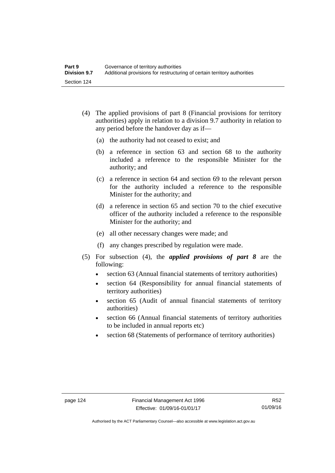- (4) The applied provisions of part 8 (Financial provisions for territory authorities) apply in relation to a division 9.7 authority in relation to any period before the handover day as if—
	- (a) the authority had not ceased to exist; and
	- (b) a reference in section 63 and section 68 to the authority included a reference to the responsible Minister for the authority; and
	- (c) a reference in section 64 and section 69 to the relevant person for the authority included a reference to the responsible Minister for the authority; and
	- (d) a reference in section 65 and section 70 to the chief executive officer of the authority included a reference to the responsible Minister for the authority; and
	- (e) all other necessary changes were made; and
	- (f) any changes prescribed by regulation were made.
- (5) For subsection (4), the *applied provisions of part 8* are the following:
	- section 63 (Annual financial statements of territory authorities)
	- section 64 (Responsibility for annual financial statements of territory authorities)
	- section 65 (Audit of annual financial statements of territory authorities)
	- section 66 (Annual financial statements of territory authorities to be included in annual reports etc)
	- section 68 (Statements of performance of territory authorities)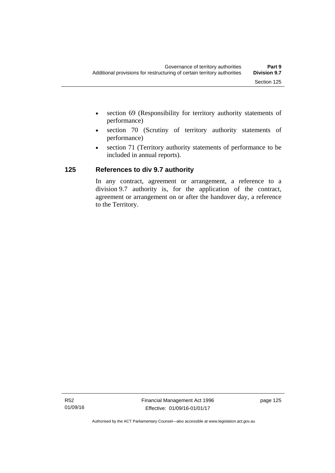- section 69 (Responsibility for territory authority statements of performance)
- section 70 (Scrutiny of territory authority statements of performance)
- section 71 (Territory authority statements of performance to be included in annual reports).

# **125 References to div 9.7 authority**

In any contract, agreement or arrangement, a reference to a division 9.7 authority is, for the application of the contract, agreement or arrangement on or after the handover day, a reference to the Territory.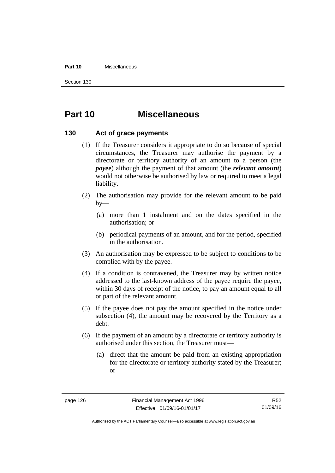#### **Part 10** Miscellaneous

Section 130

# **Part 10 Miscellaneous**

#### **130 Act of grace payments**

- (1) If the Treasurer considers it appropriate to do so because of special circumstances, the Treasurer may authorise the payment by a directorate or territory authority of an amount to a person (the *payee*) although the payment of that amount (the *relevant amount*) would not otherwise be authorised by law or required to meet a legal liability.
- (2) The authorisation may provide for the relevant amount to be paid  $by-$ 
	- (a) more than 1 instalment and on the dates specified in the authorisation; or
	- (b) periodical payments of an amount, and for the period, specified in the authorisation.
- (3) An authorisation may be expressed to be subject to conditions to be complied with by the payee.
- (4) If a condition is contravened, the Treasurer may by written notice addressed to the last-known address of the payee require the payee, within 30 days of receipt of the notice, to pay an amount equal to all or part of the relevant amount.
- (5) If the payee does not pay the amount specified in the notice under subsection (4), the amount may be recovered by the Territory as a debt.
- (6) If the payment of an amount by a directorate or territory authority is authorised under this section, the Treasurer must—
	- (a) direct that the amount be paid from an existing appropriation for the directorate or territory authority stated by the Treasurer; or

Authorised by the ACT Parliamentary Counsel—also accessible at www.legislation.act.gov.au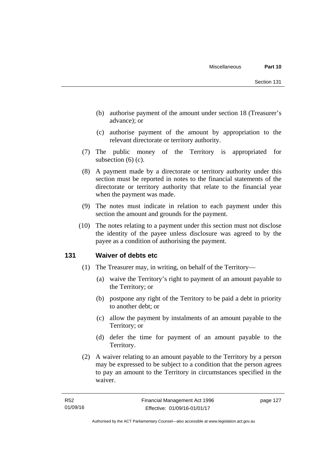- (b) authorise payment of the amount under section 18 (Treasurer's advance); or
- (c) authorise payment of the amount by appropriation to the relevant directorate or territory authority.
- (7) The public money of the Territory is appropriated for subsection (6) (c).
- (8) A payment made by a directorate or territory authority under this section must be reported in notes to the financial statements of the directorate or territory authority that relate to the financial year when the payment was made.
- (9) The notes must indicate in relation to each payment under this section the amount and grounds for the payment.
- (10) The notes relating to a payment under this section must not disclose the identity of the payee unless disclosure was agreed to by the payee as a condition of authorising the payment.

#### **131 Waiver of debts etc**

- (1) The Treasurer may, in writing, on behalf of the Territory—
	- (a) waive the Territory's right to payment of an amount payable to the Territory; or
	- (b) postpone any right of the Territory to be paid a debt in priority to another debt; or
	- (c) allow the payment by instalments of an amount payable to the Territory; or
	- (d) defer the time for payment of an amount payable to the Territory.
- (2) A waiver relating to an amount payable to the Territory by a person may be expressed to be subject to a condition that the person agrees to pay an amount to the Territory in circumstances specified in the waiver.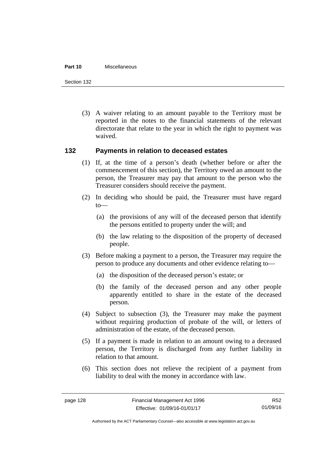#### **Part 10** Miscellaneous

Section 132

 (3) A waiver relating to an amount payable to the Territory must be reported in the notes to the financial statements of the relevant directorate that relate to the year in which the right to payment was waived.

#### **132 Payments in relation to deceased estates**

- (1) If, at the time of a person's death (whether before or after the commencement of this section), the Territory owed an amount to the person, the Treasurer may pay that amount to the person who the Treasurer considers should receive the payment.
- (2) In deciding who should be paid, the Treasurer must have regard to—
	- (a) the provisions of any will of the deceased person that identify the persons entitled to property under the will; and
	- (b) the law relating to the disposition of the property of deceased people.
- (3) Before making a payment to a person, the Treasurer may require the person to produce any documents and other evidence relating to—
	- (a) the disposition of the deceased person's estate; or
	- (b) the family of the deceased person and any other people apparently entitled to share in the estate of the deceased person.
- (4) Subject to subsection (3), the Treasurer may make the payment without requiring production of probate of the will, or letters of administration of the estate, of the deceased person.
- (5) If a payment is made in relation to an amount owing to a deceased person, the Territory is discharged from any further liability in relation to that amount.
- (6) This section does not relieve the recipient of a payment from liability to deal with the money in accordance with law.

R52 01/09/16

Authorised by the ACT Parliamentary Counsel—also accessible at www.legislation.act.gov.au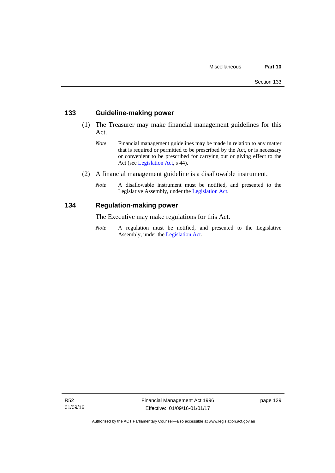#### **133 Guideline-making power**

- (1) The Treasurer may make financial management guidelines for this Act.
	- *Note* Financial management guidelines may be made in relation to any matter that is required or permitted to be prescribed by the Act, or is necessary or convenient to be prescribed for carrying out or giving effect to the Act (see [Legislation Act,](http://www.legislation.act.gov.au/a/2001-14) s 44).
- (2) A financial management guideline is a disallowable instrument.
	- *Note* A disallowable instrument must be notified, and presented to the Legislative Assembly, under the [Legislation Act.](http://www.legislation.act.gov.au/a/2001-14)

#### **134 Regulation-making power**

The Executive may make regulations for this Act.

*Note* A regulation must be notified, and presented to the Legislative Assembly, under the [Legislation Act](http://www.legislation.act.gov.au/a/2001-14).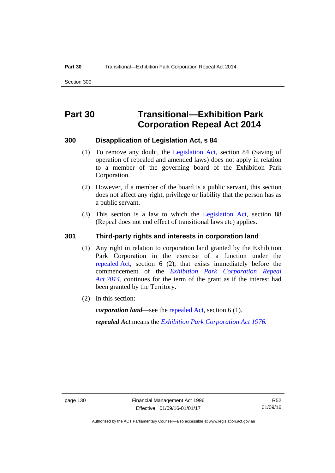# **Part 30 Transitional—Exhibition Park Corporation Repeal Act 2014**

#### **300 Disapplication of Legislation Act, s 84**

- (1) To remove any doubt, the [Legislation Act,](http://www.legislation.act.gov.au/a/2001-14) section 84 (Saving of operation of repealed and amended laws) does not apply in relation to a member of the governing board of the Exhibition Park Corporation.
- (2) However, if a member of the board is a public servant, this section does not affect any right, privilege or liability that the person has as a public servant.
- (3) This section is a law to which the [Legislation Act](http://www.legislation.act.gov.au/a/2001-14), section 88 (Repeal does not end effect of transitional laws etc) applies.

#### **301 Third-party rights and interests in corporation land**

- (1) Any right in relation to corporation land granted by the Exhibition Park Corporation in the exercise of a function under the [repealed Act,](http://www.legislation.act.gov.au/a/1976-1/default.asp) section 6 (2), that exists immediately before the commencement of the *[Exhibition Park Corporation Repeal](http://www.legislation.act.gov.au/a/2014-54/default.asp)  [Act 2014](http://www.legislation.act.gov.au/a/2014-54/default.asp)*, continues for the term of the grant as if the interest had been granted by the Territory.
- (2) In this section:

*corporation land*—see the [repealed Act](http://www.legislation.act.gov.au/a/1976-1/default.asp), section 6 (1).

*repealed Act* means the *[Exhibition Park Corporation Act 1976](http://www.legislation.act.gov.au/a/1976-1).*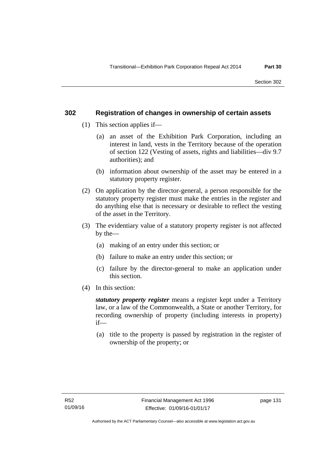#### **302 Registration of changes in ownership of certain assets**

- (1) This section applies if—
	- (a) an asset of the Exhibition Park Corporation, including an interest in land, vests in the Territory because of the operation of section 122 (Vesting of assets, rights and liabilities—div 9.7 authorities); and
	- (b) information about ownership of the asset may be entered in a statutory property register.
- (2) On application by the director-general, a person responsible for the statutory property register must make the entries in the register and do anything else that is necessary or desirable to reflect the vesting of the asset in the Territory.
- (3) The evidentiary value of a statutory property register is not affected by the—
	- (a) making of an entry under this section; or
	- (b) failure to make an entry under this section; or
	- (c) failure by the director-general to make an application under this section.
- (4) In this section:

*statutory property register* means a register kept under a Territory law, or a law of the Commonwealth, a State or another Territory, for recording ownership of property (including interests in property) if—

 (a) title to the property is passed by registration in the register of ownership of the property; or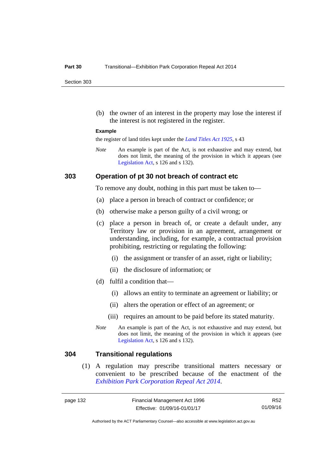Section 303

 (b) the owner of an interest in the property may lose the interest if the interest is not registered in the register.

#### **Example**

the register of land titles kept under the *[Land Titles Act 1925](http://www.legislation.act.gov.au/a/1925-1)*, s 43

*Note* An example is part of the Act, is not exhaustive and may extend, but does not limit, the meaning of the provision in which it appears (see [Legislation Act,](http://www.legislation.act.gov.au/a/2001-14) s 126 and s 132).

#### **303 Operation of pt 30 not breach of contract etc**

To remove any doubt, nothing in this part must be taken to—

- (a) place a person in breach of contract or confidence; or
- (b) otherwise make a person guilty of a civil wrong; or
- (c) place a person in breach of, or create a default under, any Territory law or provision in an agreement, arrangement or understanding, including, for example, a contractual provision prohibiting, restricting or regulating the following:
	- (i) the assignment or transfer of an asset, right or liability;
	- (ii) the disclosure of information; or
- (d) fulfil a condition that—
	- (i) allows an entity to terminate an agreement or liability; or
	- (ii) alters the operation or effect of an agreement; or
	- (iii) requires an amount to be paid before its stated maturity.
- *Note* An example is part of the Act, is not exhaustive and may extend, but does not limit, the meaning of the provision in which it appears (see [Legislation Act,](http://www.legislation.act.gov.au/a/2001-14) s 126 and s 132).

#### **304 Transitional regulations**

 (1) A regulation may prescribe transitional matters necessary or convenient to be prescribed because of the enactment of the *[Exhibition Park Corporation Repeal Act 2014](http://www.legislation.act.gov.au/a/2014-54/default.asp)*.

R52 01/09/16

Authorised by the ACT Parliamentary Counsel—also accessible at www.legislation.act.gov.au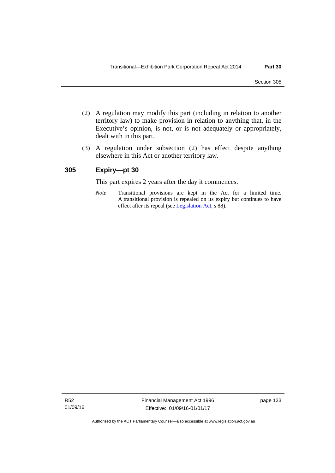- (2) A regulation may modify this part (including in relation to another territory law) to make provision in relation to anything that, in the Executive's opinion, is not, or is not adequately or appropriately, dealt with in this part.
- (3) A regulation under subsection (2) has effect despite anything elsewhere in this Act or another territory law.

## **305 Expiry—pt 30**

This part expires 2 years after the day it commences.

*Note* Transitional provisions are kept in the Act for a limited time. A transitional provision is repealed on its expiry but continues to have effect after its repeal (see [Legislation Act,](http://www.legislation.act.gov.au/a/2001-14) s 88).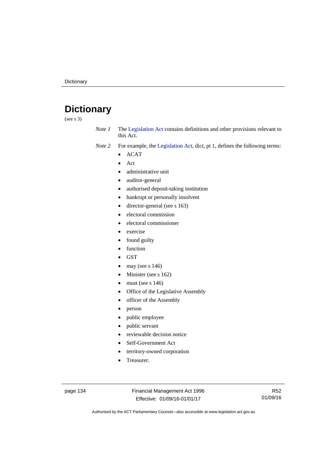# **Dictionary**

(see s 3)

- *Note 1* The [Legislation Act](http://www.legislation.act.gov.au/a/2001-14) contains definitions and other provisions relevant to this Act.
- *Note 2* For example, the [Legislation Act,](http://www.legislation.act.gov.au/a/2001-14) dict, pt 1, defines the following terms:
	- ACAT
	- Act
	- administrative unit
	- auditor-general
	- authorised deposit-taking institution
	- bankrupt or personally insolvent
	- director-general (see s 163)
	- electoral commission
	- electoral commissioner
	- exercise
	- found guilty
	- function
	- **GST**
	- may (see s 146)
	- Minister (see s 162)
	- must (see s 146)
	- Office of the Legislative Assembly
	- officer of the Assembly
	- person
	- public employee
	- public servant
	- reviewable decision notice
	- Self-Government Act
	- territory-owned corporation
	- Treasurer.

page 134 Financial Management Act 1996 Effective: 01/09/16-01/01/17

R52 01/09/16

Authorised by the ACT Parliamentary Counsel—also accessible at www.legislation.act.gov.au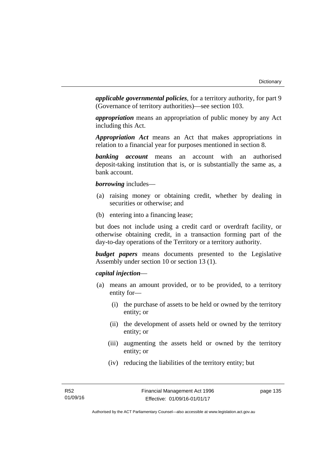*applicable governmental policies*, for a territory authority, for part 9 (Governance of territory authorities)—see section 103.

*appropriation* means an appropriation of public money by any Act including this Act.

*Appropriation Act* means an Act that makes appropriations in relation to a financial year for purposes mentioned in section 8.

*banking account* means an account with an authorised deposit-taking institution that is, or is substantially the same as, a bank account.

*borrowing* includes—

- (a) raising money or obtaining credit, whether by dealing in securities or otherwise; and
- (b) entering into a financing lease;

but does not include using a credit card or overdraft facility, or otherwise obtaining credit, in a transaction forming part of the day-to-day operations of the Territory or a territory authority.

*budget papers* means documents presented to the Legislative Assembly under section 10 or section 13 (1).

# *capital injection*—

- (a) means an amount provided, or to be provided, to a territory entity for—
	- (i) the purchase of assets to be held or owned by the territory entity; or
	- (ii) the development of assets held or owned by the territory entity; or
	- (iii) augmenting the assets held or owned by the territory entity; or
	- (iv) reducing the liabilities of the territory entity; but

page 135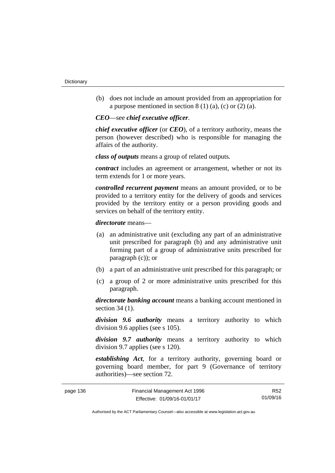(b) does not include an amount provided from an appropriation for a purpose mentioned in section  $8(1)(a)$ , (c) or  $(2)(a)$ .

*CEO*—see *chief executive officer*.

*chief executive officer* (or *CEO*), of a territory authority, means the person (however described) who is responsible for managing the affairs of the authority.

*class of outputs* means a group of related outputs*.*

*contract* includes an agreement or arrangement, whether or not its term extends for 1 or more years.

*controlled recurrent payment* means an amount provided, or to be provided to a territory entity for the delivery of goods and services provided by the territory entity or a person providing goods and services on behalf of the territory entity.

*directorate* means––

- (a) an administrative unit (excluding any part of an administrative unit prescribed for paragraph (b) and any administrative unit forming part of a group of administrative units prescribed for paragraph (c)); or
- (b) a part of an administrative unit prescribed for this paragraph; or
- (c) a group of 2 or more administrative units prescribed for this paragraph.

*directorate banking account* means a banking account mentioned in section 34 (1).

*division 9.6 authority* means a territory authority to which division 9.6 applies (see s 105).

*division 9.7 authority* means a territory authority to which division 9.7 applies (see s 120).

*establishing Act*, for a territory authority, governing board or governing board member, for part 9 (Governance of territory authorities)—see section 72.

| page 136 | Financial Management Act 1996 | R52      |
|----------|-------------------------------|----------|
|          | Effective: 01/09/16-01/01/17  | 01/09/16 |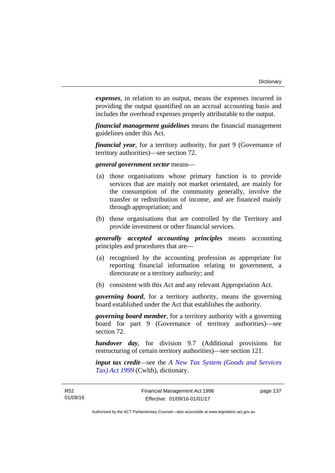*expenses*, in relation to an output, means the expenses incurred in providing the output quantified on an accrual accounting basis and includes the overhead expenses properly attributable to the output.

*financial management guidelines* means the financial management guidelines under this Act.

*financial year*, for a territory authority, for part 9 (Governance of territory authorities)—see section 72.

# *general government sector* means—

- (a) those organisations whose primary function is to provide services that are mainly not market orientated, are mainly for the consumption of the community generally, involve the transfer or redistribution of income, and are financed mainly through appropriation; and
- (b) those organisations that are controlled by the Territory and provide investment or other financial services.

*generally accepted accounting principles* means accounting principles and procedures that are—

- (a) recognised by the accounting profession as appropriate for reporting financial information relating to government, a directorate or a territory authority; and
- (b) consistent with this Act and any relevant Appropriation Act.

*governing board*, for a territory authority, means the governing board established under the Act that establishes the authority.

*governing board member*, for a territory authority with a governing board for part 9 (Governance of territory authorities)—see section 72.

*handover day*, for division 9.7 (Additional provisions for restructuring of certain territory authorities)—see section 121.

*input tax credit*—see the *[A New Tax System \(Goods and Services](http://www.comlaw.gov.au/Series/C2004A00446)  [Tax\) Act 1999](http://www.comlaw.gov.au/Series/C2004A00446)* (Cwlth), dictionary.

page 137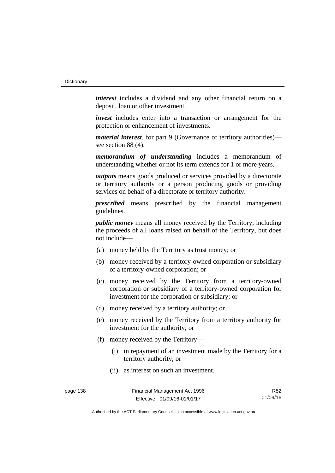*interest* includes a dividend and any other financial return on a deposit, loan or other investment.

*invest* includes enter into a transaction or arrangement for the protection or enhancement of investments.

*material interest*, for part 9 (Governance of territory authorities) see section 88 (4).

*memorandum of understanding* includes a memorandum of understanding whether or not its term extends for 1 or more years.

*outputs* means goods produced or services provided by a directorate or territory authority or a person producing goods or providing services on behalf of a directorate or territory authority.

*prescribed* means prescribed by the financial management guidelines.

*public money* means all money received by the Territory, including the proceeds of all loans raised on behalf of the Territory, but does not include—

- (a) money held by the Territory as trust money; or
- (b) money received by a territory-owned corporation or subsidiary of a territory-owned corporation; or
- (c) money received by the Territory from a territory-owned corporation or subsidiary of a territory-owned corporation for investment for the corporation or subsidiary; or
- (d) money received by a territory authority; or
- (e) money received by the Territory from a territory authority for investment for the authority; or
- (f) money received by the Territory—
	- (i) in repayment of an investment made by the Territory for a territory authority; or
	- (ii) as interest on such an investment.

R52 01/09/16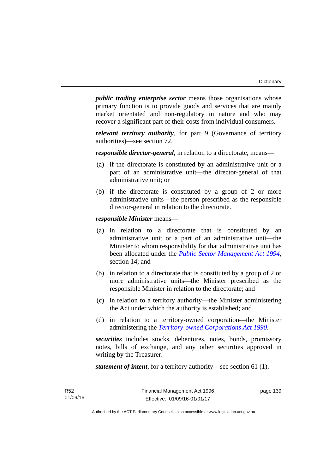*public trading enterprise sector* means those organisations whose primary function is to provide goods and services that are mainly market orientated and non-regulatory in nature and who may recover a significant part of their costs from individual consumers.

*relevant territory authority*, for part 9 (Governance of territory authorities)—see section 72.

*responsible director-general*, in relation to a directorate, means—

- (a) if the directorate is constituted by an administrative unit or a part of an administrative unit—the director-general of that administrative unit; or
- (b) if the directorate is constituted by a group of 2 or more administrative units—the person prescribed as the responsible director-general in relation to the directorate.

*responsible Minister* means—

- (a) in relation to a directorate that is constituted by an administrative unit or a part of an administrative unit—the Minister to whom responsibility for that administrative unit has been allocated under the *[Public Sector Management Act 1994](http://www.legislation.act.gov.au/a/1994-37)*, section 14; and
- (b) in relation to a directorate that is constituted by a group of 2 or more administrative units—the Minister prescribed as the responsible Minister in relation to the directorate; and
- (c) in relation to a territory authority—the Minister administering the Act under which the authority is established; and
- (d) in relation to a territory-owned corporation—the Minister administering the *[Territory-owned Corporations Act 1990](http://www.legislation.act.gov.au/a/1990-53)*.

*securities* includes stocks, debentures, notes, bonds, promissory notes, bills of exchange, and any other securities approved in writing by the Treasurer.

*statement of intent*, for a territory authority—see section 61 (1).

page 139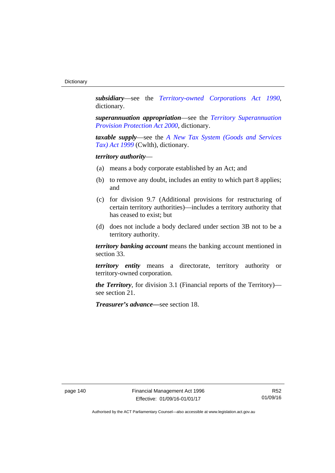*subsidiary*—see the *[Territory-owned Corporations Act 1990](http://www.legislation.act.gov.au/a/1990-53)*, dictionary.

*superannuation appropriation*—see the *[Territory Superannuation](http://www.legislation.act.gov.au/a/2000-21)  [Provision Protection Act 2000](http://www.legislation.act.gov.au/a/2000-21)*, dictionary.

*taxable supply*—see the *[A New Tax System \(Goods and Services](http://www.comlaw.gov.au/Series/C2004A00446)  [Tax\) Act 1999](http://www.comlaw.gov.au/Series/C2004A00446)* (Cwlth), dictionary.

# *territory authority*—

- (a) means a body corporate established by an Act; and
- (b) to remove any doubt, includes an entity to which part 8 applies; and
- (c) for division 9.7 (Additional provisions for restructuring of certain territory authorities)—includes a territory authority that has ceased to exist; but
- (d) does not include a body declared under section 3B not to be a territory authority.

*territory banking account* means the banking account mentioned in section 33.

*territory entity* means a directorate, territory authority or territory-owned corporation.

*the Territory*, for division 3.1 (Financial reports of the Territory) see section 21.

*Treasurer's advance—*see section 18.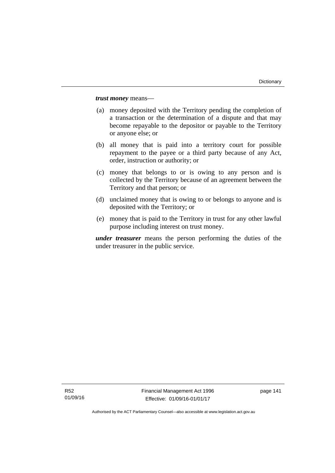*trust money* means—

- (a) money deposited with the Territory pending the completion of a transaction or the determination of a dispute and that may become repayable to the depositor or payable to the Territory or anyone else; or
- (b) all money that is paid into a territory court for possible repayment to the payee or a third party because of any Act, order, instruction or authority; or
- (c) money that belongs to or is owing to any person and is collected by the Territory because of an agreement between the Territory and that person; or
- (d) unclaimed money that is owing to or belongs to anyone and is deposited with the Territory; or
- (e) money that is paid to the Territory in trust for any other lawful purpose including interest on trust money.

*under treasurer* means the person performing the duties of the under treasurer in the public service.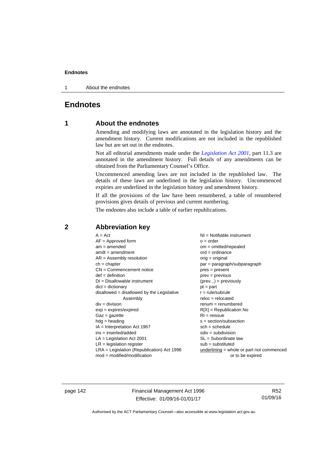1 About the endnotes

# **Endnotes**

# **1 About the endnotes**

Amending and modifying laws are annotated in the legislation history and the amendment history. Current modifications are not included in the republished law but are set out in the endnotes.

Not all editorial amendments made under the *[Legislation Act 2001](http://www.legislation.act.gov.au/a/2001-14)*, part 11.3 are annotated in the amendment history. Full details of any amendments can be obtained from the Parliamentary Counsel's Office.

Uncommenced amending laws are not included in the republished law. The details of these laws are underlined in the legislation history. Uncommenced expiries are underlined in the legislation history and amendment history.

If all the provisions of the law have been renumbered, a table of renumbered provisions gives details of previous and current numbering.

The endnotes also include a table of earlier republications.

|                                                   | $A = Act$<br>$AF =$ Approved form<br>$am = amended$<br>$amdt = amendment$<br>$AR = Assembly resolution$<br>$ch = chapter$<br>$CN =$ Commencement notice<br>$def = definition$<br>$DI = Disallowable instrument$<br>$dict = dictionary$<br>$disallowed = disallowed by the Legislative$<br>Assembly<br>$div = division$<br>$exp = expires/expired$<br>$Gaz = gazette$<br>$hdg = heading$<br>$IA = Interpretation Act 1967$<br>$ins = inserted/added$<br>$LA =$ Legislation Act 2001<br>$LR =$ legislation register | NI = Notifiable instrument<br>$o = order$<br>$om = omitted/repealed$<br>$ord = ordinance$<br>$orig = original$<br>par = paragraph/subparagraph<br>$pres = present$<br>$prev = previous$<br>$(\text{prev}) = \text{previously}$<br>$pt = part$<br>$r = rule/subrule$<br>$reloc = relocated$<br>$remum = renumbered$<br>$R[X]$ = Republication No<br>$RI = reissue$<br>$s = section/subsection$<br>$sch = schedule$<br>$sdiv = subdivision$<br>$SL = Subordinate$ law<br>$sub =$ substituted |
|---------------------------------------------------|-------------------------------------------------------------------------------------------------------------------------------------------------------------------------------------------------------------------------------------------------------------------------------------------------------------------------------------------------------------------------------------------------------------------------------------------------------------------------------------------------------------------|--------------------------------------------------------------------------------------------------------------------------------------------------------------------------------------------------------------------------------------------------------------------------------------------------------------------------------------------------------------------------------------------------------------------------------------------------------------------------------------------|
| $mod = modified/modification$<br>or to be expired | $LRA =$ Legislation (Republication) Act 1996                                                                                                                                                                                                                                                                                                                                                                                                                                                                      | $underlining = whole or part not commenced$                                                                                                                                                                                                                                                                                                                                                                                                                                                |

# **2 Abbreviation key**

page 142 Financial Management Act 1996 Effective: 01/09/16-01/01/17

R52 01/09/16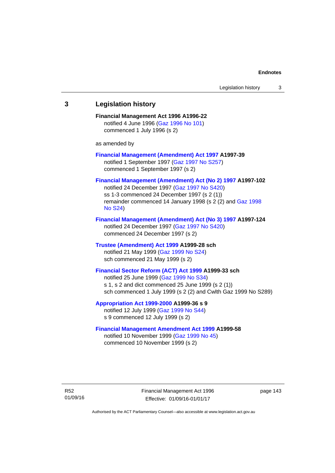# **3 Legislation history Financial Management Act 1996 A1996-22**  notified 4 June 1996 [\(Gaz 1996 No 101\)](http://www.legislation.act.gov.au/gaz/1996-101/default.asp) commenced 1 July 1996 (s 2) as amended by **[Financial Management \(Amendment\) Act 1997](http://www.legislation.act.gov.au/a/1997-39) A1997-39**  notified 1 September 1997 [\(Gaz 1997 No S257\)](http://www.legislation.act.gov.au/gaz/1997-S257/default.asp) commenced 1 September 1997 (s 2) **[Financial Management \(Amendment\) Act \(No 2\) 1997](http://www.legislation.act.gov.au/a/1997-102) A1997-102**  notified 24 December 1997 [\(Gaz 1997 No S420](http://www.legislation.act.gov.au/gaz/1997-S420/default.asp)) ss 1-3 commenced 24 December 1997 (s 2 (1)) remainder commenced 14 January 1998 (s 2 (2) and [Gaz 1998](http://www.legislation.act.gov.au/gaz/1998-S24/default.asp)  [No S24](http://www.legislation.act.gov.au/gaz/1998-S24/default.asp)) **[Financial Management \(Amendment\) Act \(No 3\) 1997](http://www.legislation.act.gov.au/a/1997-124) A1997-124**  notified 24 December 1997 [\(Gaz 1997 No S420](http://www.legislation.act.gov.au/gaz/1997-S420/default.asp)) commenced 24 December 1997 (s 2) **[Trustee \(Amendment\) Act 1999](http://www.legislation.act.gov.au/a/1999-28) A1999-28 sch**  notified 21 May 1999 ([Gaz 1999 No S24](http://www.legislation.act.gov.au/gaz/1999-S24/default.asp)) sch commenced 21 May 1999 (s 2) **[Financial Sector Reform \(ACT\) Act 1999](http://www.legislation.act.gov.au/a/1999-33) A1999-33 sch**  notified 25 June 1999 ([Gaz 1999 No S34](http://www.legislation.act.gov.au/gaz/1999-S34/default.asp)) s 1, s 2 and dict commenced 25 June 1999 (s 2 (1)) sch commenced 1 July 1999 (s 2 (2) and Cwlth Gaz 1999 No S289) **[Appropriation Act 1999-2000](http://www.legislation.act.gov.au/a/1999-36/default.asp) A1999-36 s 9**  notified 12 July 1999 ([Gaz 1999 No S44](http://www.legislation.act.gov.au/gaz/1999-S44/default.asp)) s 9 commenced 12 July 1999 (s 2) **[Financial Management Amendment Act 1999](http://www.legislation.act.gov.au/a/1999-58) A1999-58**  notified 10 November 1999 [\(Gaz 1999 No 45](http://www.legislation.act.gov.au/gaz/1999-45/default.asp))

commenced 10 November 1999 (s 2)

R52 01/09/16 Financial Management Act 1996 Effective: 01/09/16-01/01/17

page 143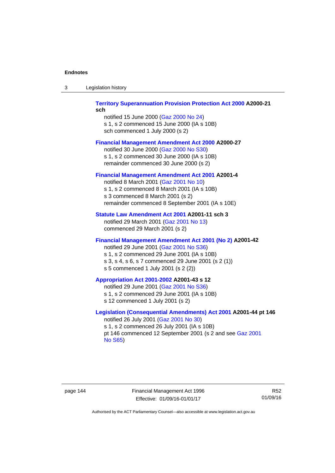| -3 | Legislation history |  |
|----|---------------------|--|
|----|---------------------|--|

## **[Territory Superannuation Provision Protection Act 2000](http://www.legislation.act.gov.au/a/2000-21) A2000-21 sch**

notified 15 June 2000 ([Gaz 2000 No 24\)](http://www.legislation.act.gov.au/gaz/2000-24/default.asp) s 1, s 2 commenced 15 June 2000 (IA s 10B) sch commenced 1 July 2000 (s 2)

## **[Financial Management Amendment Act 2000](http://www.legislation.act.gov.au/a/2000-27) A2000-27**

notified 30 June 2000 ([Gaz 2000 No S30](http://www.legislation.act.gov.au/gaz/2000-S30/default.asp)) s 1, s 2 commenced 30 June 2000 (IA s 10B) remainder commenced 30 June 2000 (s 2)

## **[Financial Management Amendment Act 2001](http://www.legislation.act.gov.au/a/2001-4) A2001-4**

notified 8 March 2001 [\(Gaz 2001 No 10](http://www.legislation.act.gov.au/gaz/2001-10/default.asp)) s 1, s 2 commenced 8 March 2001 (IA s 10B) s 3 commenced 8 March 2001 (s 2) remainder commenced 8 September 2001 (IA s 10E)

## **[Statute Law Amendment Act 2001](http://www.legislation.act.gov.au/a/2001-11) A2001-11 sch 3**

notified 29 March 2001 ([Gaz 2001 No 13\)](http://www.legislation.act.gov.au/gaz/2001-13/default.asp) commenced 29 March 2001 (s 2)

## **[Financial Management Amendment Act 2001 \(No 2\)](http://www.legislation.act.gov.au/a/2001-42) A2001-42**

notified 29 June 2001 ([Gaz 2001 No S36](http://www.legislation.act.gov.au/gaz/2001-S36/default.asp)) s 1, s 2 commenced 29 June 2001 (IA s 10B) s 3, s 4, s 6, s 7 commenced 29 June 2001 (s 2 (1)) s 5 commenced 1 July 2001 (s 2 (2))

## **[Appropriation Act 2001-2002](http://www.legislation.act.gov.au/a/2001-43/default.asp) A2001-43 s 12**

notified 29 June 2001 ([Gaz 2001 No S36](http://www.legislation.act.gov.au/gaz/2001-S36/default.asp)) s 1, s 2 commenced 29 June 2001 (IA s 10B) s 12 commenced 1 July 2001 (s 2)

## **[Legislation \(Consequential Amendments\) Act 2001](http://www.legislation.act.gov.au/a/2001-44) A2001-44 pt 146**  notified 26 July 2001 ([Gaz 2001 No 30\)](http://www.legislation.act.gov.au/gaz/2001-30/default.asp)

s 1, s 2 commenced 26 July 2001 (IA s 10B) pt 146 commenced 12 September 2001 (s 2 and see [Gaz 2001](http://www.legislation.act.gov.au/gaz/2001-S65/default.asp)  [No S65](http://www.legislation.act.gov.au/gaz/2001-S65/default.asp))

page 144 Financial Management Act 1996 Effective: 01/09/16-01/01/17

R52 01/09/16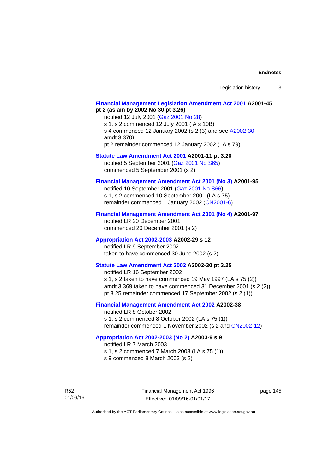## **[Financial Management Legislation Amendment Act 2001](http://www.legislation.act.gov.au/a/2001-45) A2001-45 pt 2 (as am by 2002 No 30 pt 3.26)**

notified 12 July 2001 ([Gaz 2001 No 28\)](http://www.legislation.act.gov.au/gaz/2001-28/default.asp) s 1, s 2 commenced 12 July 2001 (IA s 10B) s 4 commenced 12 January 2002 (s 2 (3) and see [A2002-30](http://www.legislation.act.gov.au/a/2002-30/default.asp) amdt 3.370) pt 2 remainder commenced 12 January 2002 (LA s 79)

**[Statute Law Amendment Act 2001](http://www.legislation.act.gov.au/a/2001-11) A2001-11 pt 3.20** 

notified 5 September 2001 [\(Gaz 2001 No S65\)](http://www.legislation.act.gov.au/gaz/2001-S65/default.asp) commenced 5 September 2001 (s 2)

# **[Financial Management Amendment Act 2001 \(No 3\)](http://www.legislation.act.gov.au/a/2001-95) A2001-95**

notified 10 September 2001 [\(Gaz 2001 No S66\)](http://www.legislation.act.gov.au/gaz/2001-S66/default.asp) s 1, s 2 commenced 10 September 2001 (LA s 75) remainder commenced 1 January 2002 [\(CN2001-6\)](http://www.legislation.act.gov.au/cn/2001-6/default.asp)

## **[Financial Management Amendment Act 2001 \(No 4\)](http://www.legislation.act.gov.au/a/2001-97) A2001-97**

notified LR 20 December 2001 commenced 20 December 2001 (s 2)

## **[Appropriation Act 2002-2003](http://www.legislation.act.gov.au/a/2002-29/default.asp) A2002-29 s 12**

notified LR 9 September 2002 taken to have commenced 30 June 2002 (s 2)

# **[Statute Law Amendment Act 2002](http://www.legislation.act.gov.au/a/2002-30) A2002-30 pt 3.25**

notified LR 16 September 2002 s 1, s 2 taken to have commenced 19 May 1997 (LA s 75 (2)) amdt 3.369 taken to have commenced 31 December 2001 (s 2 (2)) pt 3.25 remainder commenced 17 September 2002 (s 2 (1))

# **[Financial Management Amendment Act 2002](http://www.legislation.act.gov.au/a/2002-38) A2002-38**

notified LR 8 October 2002 s 1, s 2 commenced 8 October 2002 (LA s 75 (1)) remainder commenced 1 November 2002 (s 2 and [CN2002-12](http://www.legislation.act.gov.au/cn/2002-12/default.asp))

## **[Appropriation Act 2002-2003 \(No 2\)](http://www.legislation.act.gov.au/a/2003-9/default.asp) A2003-9 s 9**

notified LR 7 March 2003

s 1, s 2 commenced 7 March 2003 (LA s 75 (1))

s 9 commenced 8 March 2003 (s 2)

R52 01/09/16 page 145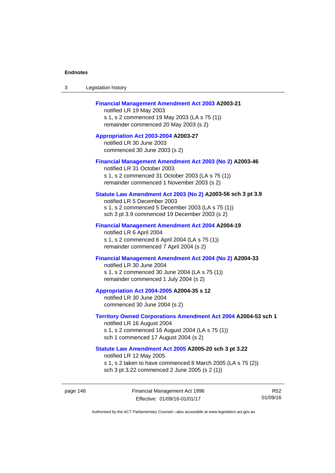| -3 | Legislation history |  |
|----|---------------------|--|
|----|---------------------|--|

## **[Financial Management Amendment Act 2003](http://www.legislation.act.gov.au/a/2003-21) A2003-21**

notified LR 19 May 2003 s 1, s 2 commenced 19 May 2003 (LA s 75 (1)) remainder commenced 20 May 2003 (s 2)

**[Appropriation Act 2003-2004](http://www.legislation.act.gov.au/a/2003-27/default.asp) A2003-27**  notified LR 30 June 2003 commenced 30 June 2003 (s 2)

#### **[Financial Management Amendment Act 2003 \(No 2\)](http://www.legislation.act.gov.au/a/2003-46) A2003-46**

notified LR 31 October 2003 s 1, s 2 commenced 31 October 2003 (LA s 75 (1)) remainder commenced 1 November 2003 (s 2)

## **[Statute Law Amendment Act 2003 \(No 2\)](http://www.legislation.act.gov.au/a/2003-56) A2003-56 sch 3 pt 3.9**

notified LR 5 December 2003 s 1, s 2 commenced 5 December 2003 (LA s 75 (1)) sch 3 pt 3.9 commenced 19 December 2003 (s 2)

#### **[Financial Management Amendment Act 2004](http://www.legislation.act.gov.au/a/2004-19) A2004-19**

notified LR 6 April 2004 s 1, s 2 commenced 6 April 2004 (LA s 75 (1)) remainder commenced 7 April 2004 (s 2)

# **[Financial Management Amendment Act 2004 \(No 2\)](http://www.legislation.act.gov.au/a/2004-33) A2004-33**

notified LR 30 June 2004 s 1, s 2 commenced 30 June 2004 (LA s 75 (1)) remainder commenced 1 July 2004 (s 2)

#### **[Appropriation Act 2004-2005](http://www.legislation.act.gov.au/a/2004-35/default.asp) A2004-35 s 12**

notified LR 30 June 2004 commenced 30 June 2004 (s 2)

#### **[Territory Owned Corporations Amendment Act 2004](http://www.legislation.act.gov.au/a/2004-53) A2004-53 sch 1**  notified LR 16 August 2004

s 1, s 2 commenced 16 August 2004 (LA s 75 (1)) sch 1 commenced 17 August 2004 (s 2)

## **[Statute Law Amendment Act 2005](http://www.legislation.act.gov.au/a/2005-20) A2005-20 sch 3 pt 3.22**

notified LR 12 May 2005

- s 1, s 2 taken to have commenced 8 March 2005 (LA s 75 (2))
- sch 3 pt 3.22 commenced 2 June 2005 (s 2 (1))

page 146 Financial Management Act 1996 Effective: 01/09/16-01/01/17

R52 01/09/16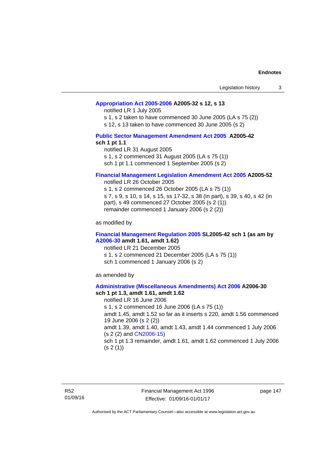## **[Appropriation Act 2005-2006](http://www.legislation.act.gov.au/a/2005-32/default.asp) A2005-32 s 12, s 13**

notified LR 1 July 2005

s 1, s 2 taken to have commenced 30 June 2005 (LA s 75 (2))

s 12, s 13 taken to have commenced 30 June 2005 (s 2)

## **[Public Sector Management Amendment Act 2005](http://www.legislation.act.gov.au/a/2005-42/default.asp) A2005-42 sch 1 pt 1.1**

notified LR 31 August 2005 s 1, s 2 commenced 31 August 2005 (LA s 75 (1)) sch 1 pt 1.1 commenced 1 September 2005 (s 2)

#### **[Financial Management Legislation Amendment Act 2005](http://www.legislation.act.gov.au/a/2005-52) A2005-52**

notified LR 26 October 2005

s 1, s 2 commenced 26 October 2005 (LA s 75 (1)) s 7, s 9, s 10, s 14, s 15, ss 17-32, s 38 (in part), s 39, s 40, s 42 (in part), s 49 commenced 27 October 2005 (s 2 (1)) remainder commenced 1 January 2006 (s 2 (2))

as modified by

## **[Financial Management Regulation 2005](http://www.legislation.act.gov.au/sl/2005-42) SL2005-42 sch 1 (as am by [A2006-30](http://www.legislation.act.gov.au/a/2006-30) amdt 1.61, amdt 1.62)**

notified LR 21 December 2005 s 1, s 2 commenced 21 December 2005 (LA s 75 (1)) sch 1 commenced 1 January 2006 (s 2)

as amended by

#### **[Administrative \(Miscellaneous Amendments\) Act 2006](http://www.legislation.act.gov.au/a/2006-30) A2006-30 sch 1 pt 1.3, amdt 1.61, amdt 1.62**

notified LR 16 June 2006 s 1, s 2 commenced 16 June 2006 (LA s 75 (1)) amdt 1.45, amdt 1.52 so far as it inserts s 220, amdt 1.56 commenced 19 June 2006 (s 2 (2)) amdt 1.39, amdt 1.40, amdt 1.43, amdt 1.44 commenced 1 July 2006 (s 2 (2) and [CN2006-15](http://www.legislation.act.gov.au/cn/2006-15/default.asp)) sch 1 pt 1.3 remainder, amdt 1.61, amdt 1.62 commenced 1 July 2006  $(s 2(1))$ 

R52 01/09/16 Financial Management Act 1996 Effective: 01/09/16-01/01/17

page 147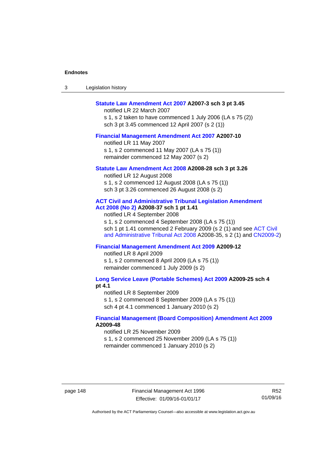| -3 | Legislation history |  |
|----|---------------------|--|
|----|---------------------|--|

#### **[Statute Law Amendment Act 2007](http://www.legislation.act.gov.au/a/2007-3) A2007-3 sch 3 pt 3.45**

notified LR 22 March 2007 s 1, s 2 taken to have commenced 1 July 2006 (LA s 75 (2)) sch 3 pt 3.45 commenced 12 April 2007 (s 2 (1))

#### **[Financial Management Amendment Act 2007](http://www.legislation.act.gov.au/a/2007-10) A2007-10**

notified LR 11 May 2007 s 1, s 2 commenced 11 May 2007 (LA s 75 (1)) remainder commenced 12 May 2007 (s 2)

#### **[Statute Law Amendment Act 2008](http://www.legislation.act.gov.au/a/2008-28) A2008-28 sch 3 pt 3.26**

notified LR 12 August 2008 s 1, s 2 commenced 12 August 2008 (LA s 75 (1)) sch 3 pt 3.26 commenced 26 August 2008 (s 2)

## **[ACT Civil and Administrative Tribunal Legislation Amendment](http://www.legislation.act.gov.au/a/2008-37)**

**[Act 2008 \(No 2\)](http://www.legislation.act.gov.au/a/2008-37) A2008-37 sch 1 pt 1.41** 

notified LR 4 September 2008

s 1, s 2 commenced 4 September 2008 (LA s 75 (1)) sch 1 pt 1.41 commenced 2 February 2009 (s 2 (1) and see [ACT Civil](http://www.legislation.act.gov.au/a/2008-35)  [and Administrative Tribunal Act 2008](http://www.legislation.act.gov.au/a/2008-35) A2008-35, s 2 (1) and [CN2009-2](http://www.legislation.act.gov.au/cn/2009-2/default.asp))

## **[Financial Management Amendment Act 2009](http://www.legislation.act.gov.au/a/2009-12) A2009-12**

notified LR 8 April 2009

s 1, s 2 commenced 8 April 2009 (LA s 75 (1)) remainder commenced 1 July 2009 (s 2)

**[Long Service Leave \(Portable Schemes\) Act 2009](http://www.legislation.act.gov.au/a/2009-25) A2009-25 sch 4 pt 4.1** 

notified LR 8 September 2009

s 1, s 2 commenced 8 September 2009 (LA s 75 (1))

sch 4 pt 4.1 commenced 1 January 2010 (s 2)

## **[Financial Management \(Board Composition\) Amendment Act 2009](http://www.legislation.act.gov.au/a/2009-48) A2009-48**

notified LR 25 November 2009

s 1, s 2 commenced 25 November 2009 (LA s 75 (1))

remainder commenced 1 January 2010 (s 2)

page 148 Financial Management Act 1996 Effective: 01/09/16-01/01/17

R52 01/09/16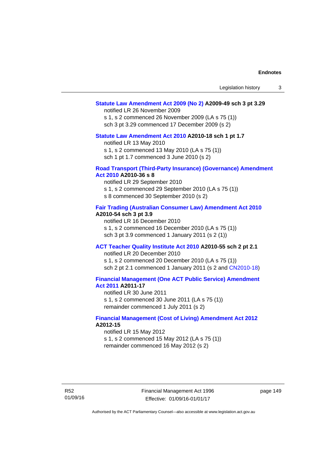## **[Statute Law Amendment Act 2009 \(No 2\)](http://www.legislation.act.gov.au/a/2009-49) A2009-49 sch 3 pt 3.29**

notified LR 26 November 2009

s 1, s 2 commenced 26 November 2009 (LA s 75 (1)) sch 3 pt 3.29 commenced 17 December 2009 (s 2)

## **[Statute Law Amendment Act 2010](http://www.legislation.act.gov.au/a/2010-18) A2010-18 sch 1 pt 1.7**

notified LR 13 May 2010

s 1, s 2 commenced 13 May 2010 (LA s 75 (1))

sch 1 pt 1.7 commenced 3 June 2010 (s 2)

#### **[Road Transport \(Third-Party Insurance\) \(Governance\) Amendment](http://www.legislation.act.gov.au/a/2010-36)  [Act 2010](http://www.legislation.act.gov.au/a/2010-36) A2010-36 s 8**

notified LR 29 September 2010 s 1, s 2 commenced 29 September 2010 (LA s 75 (1)) s 8 commenced 30 September 2010 (s 2)

## **[Fair Trading \(Australian Consumer Law\) Amendment Act 2010](http://www.legislation.act.gov.au/a/2010-54) A2010-54 sch 3 pt 3.9**

notified LR 16 December 2010 s 1, s 2 commenced 16 December 2010 (LA s 75 (1)) sch 3 pt 3.9 commenced 1 January 2011 (s 2 (1))

## **[ACT Teacher Quality Institute Act 2010](http://www.legislation.act.gov.au/a/2010-55) A2010-55 sch 2 pt 2.1**

notified LR 20 December 2010

s 1, s 2 commenced 20 December 2010 (LA s 75 (1)) sch 2 pt 2.1 commenced 1 January 2011 (s 2 and [CN2010-18\)](http://www.legislation.act.gov.au/cn/2010-18/default.asp)

## **[Financial Management \(One ACT Public Service\) Amendment](http://www.legislation.act.gov.au/a/2011-17)  [Act 2011](http://www.legislation.act.gov.au/a/2011-17) A2011-17**

notified LR 30 June 2011 s 1, s 2 commenced 30 June 2011 (LA s 75 (1)) remainder commenced 1 July 2011 (s 2)

## **[Financial Management \(Cost of Living\) Amendment Act 2012](http://www.legislation.act.gov.au/a/2012-15) A2012-15**

notified LR 15 May 2012 s 1, s 2 commenced 15 May 2012 (LA s 75 (1)) remainder commenced 16 May 2012 (s 2)

R52 01/09/16 Financial Management Act 1996 Effective: 01/09/16-01/01/17

page 149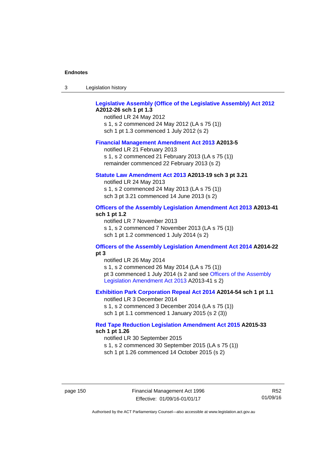| -3 | Legislation history |  |
|----|---------------------|--|
|----|---------------------|--|

## **[Legislative Assembly \(Office of the Legislative Assembly\) Act 2012](http://www.legislation.act.gov.au/a/2012-26) A2012-26 sch 1 pt 1.3**

notified LR 24 May 2012 s 1, s 2 commenced 24 May 2012 (LA s 75 (1)) sch 1 pt 1.3 commenced 1 July 2012 (s 2)

#### **[Financial Management Amendment Act 2013](http://www.legislation.act.gov.au/a/2013-5/default.asp) A2013-5**

notified LR 21 February 2013 s 1, s 2 commenced 21 February 2013 (LA s 75 (1)) remainder commenced 22 February 2013 (s 2)

## **[Statute Law Amendment Act 2013](http://www.legislation.act.gov.au/a/2013-19) A2013-19 sch 3 pt 3.21**

notified LR 24 May 2013 s 1, s 2 commenced 24 May 2013 (LA s 75 (1)) sch 3 pt 3.21 commenced 14 June 2013 (s 2)

## **[Officers of the Assembly Legislation Amendment Act 2013](http://www.legislation.act.gov.au/a/2013-41/default.asp) A2013-41 sch 1 pt 1.2**

notified LR 7 November 2013 s 1, s 2 commenced 7 November 2013 (LA s 75 (1)) sch 1 pt 1.2 commenced 1 July 2014 (s 2)

## **[Officers of the Assembly Legislation Amendment Act 2014](http://www.legislation.act.gov.au/a/2014-22/default.asp) A2014-22 pt 3**

notified LR 26 May 2014 s 1, s 2 commenced 26 May 2014 (LA s 75 (1)) pt 3 commenced 1 July 2014 (s 2 and see [Officers of the Assembly](http://www.legislation.act.gov.au/a/2013-41/default.asp)  [Legislation Amendment Act 2013](http://www.legislation.act.gov.au/a/2013-41/default.asp) A2013-41 s 2)

## **[Exhibition Park Corporation Repeal Act 2014](http://www.legislation.act.gov.au/a/2014-54/default.asp) A2014-54 sch 1 pt 1.1**

notified LR 3 December 2014 s 1, s 2 commenced 3 December 2014 (LA s 75 (1)) sch 1 pt 1.1 commenced 1 January 2015 (s 2 (3))

## **[Red Tape Reduction Legislation Amendment Act 2015](http://www.legislation.act.gov.au/a/2015-33/default.asp) A2015-33 sch 1 pt 1.26**

notified LR 30 September 2015 s 1, s 2 commenced 30 September 2015 (LA s 75 (1)) sch 1 pt 1.26 commenced 14 October 2015 (s 2)

page 150 Financial Management Act 1996 Effective: 01/09/16-01/01/17

R52 01/09/16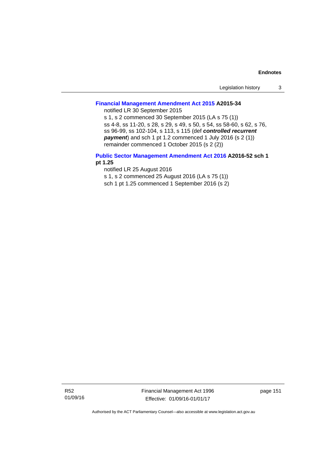| Legislation history |  |
|---------------------|--|
|---------------------|--|

# **[Financial Management Amendment Act 2015](http://www.legislation.act.gov.au/a/2015-34/default.asp) A2015-34**

notified LR 30 September 2015

s 1, s 2 commenced 30 September 2015 (LA s 75 (1)) ss 4-8, ss 11-20, s 28, s 29, s 49, s 50, s 54, ss 58-60, s 62, s 76, ss 96-99, ss 102-104, s 113, s 115 (def *controlled recurrent payment*) and sch 1 pt 1.2 commenced 1 July 2016 (s 2 (1)) remainder commenced 1 October 2015 (s 2 (2))

## **[Public Sector Management Amendment Act 2016](http://www.legislation.act.gov.au/a/2016-52/default.asp) A2016-52 sch 1 pt 1.25**

notified LR 25 August 2016

s 1, s 2 commenced 25 August 2016 (LA s 75 (1))

sch 1 pt 1.25 commenced 1 September 2016 (s 2)

R52 01/09/16 Financial Management Act 1996 Effective: 01/09/16-01/01/17

page 151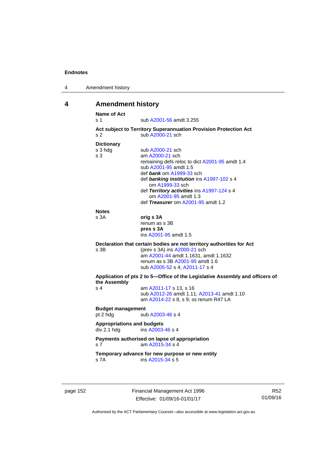| 4 | Amendment history |
|---|-------------------|
|---|-------------------|

# **4 Amendment history**

| Act subject to Territory Superannuation Provision Protection Act<br>sub A2000-21 sch<br>sub A2000-21 sch<br>am A2000-21 sch<br>remaining defs reloc to dict A2001-95 amdt 1.4<br>sub A2001-95 amdt 1.5<br>def bank om A1999-33 sch<br>def banking institution ins A1997-102 s 4<br>om A1999-33 sch<br>def Territory activities ins A1997-124 s 4<br>om A2001-95 amdt 1.3<br>def Treasurer om A2001-95 amdt 1.2<br>orig s 3A<br>renum as s 3B |  |  |
|----------------------------------------------------------------------------------------------------------------------------------------------------------------------------------------------------------------------------------------------------------------------------------------------------------------------------------------------------------------------------------------------------------------------------------------------|--|--|
|                                                                                                                                                                                                                                                                                                                                                                                                                                              |  |  |
|                                                                                                                                                                                                                                                                                                                                                                                                                                              |  |  |
|                                                                                                                                                                                                                                                                                                                                                                                                                                              |  |  |
|                                                                                                                                                                                                                                                                                                                                                                                                                                              |  |  |
|                                                                                                                                                                                                                                                                                                                                                                                                                                              |  |  |
|                                                                                                                                                                                                                                                                                                                                                                                                                                              |  |  |
|                                                                                                                                                                                                                                                                                                                                                                                                                                              |  |  |
|                                                                                                                                                                                                                                                                                                                                                                                                                                              |  |  |
|                                                                                                                                                                                                                                                                                                                                                                                                                                              |  |  |
|                                                                                                                                                                                                                                                                                                                                                                                                                                              |  |  |
|                                                                                                                                                                                                                                                                                                                                                                                                                                              |  |  |
|                                                                                                                                                                                                                                                                                                                                                                                                                                              |  |  |
|                                                                                                                                                                                                                                                                                                                                                                                                                                              |  |  |
|                                                                                                                                                                                                                                                                                                                                                                                                                                              |  |  |
|                                                                                                                                                                                                                                                                                                                                                                                                                                              |  |  |
| pres s 3A                                                                                                                                                                                                                                                                                                                                                                                                                                    |  |  |
| ins A2001-95 amdt 1.5                                                                                                                                                                                                                                                                                                                                                                                                                        |  |  |
| Declaration that certain bodies are not territory authorities for Act                                                                                                                                                                                                                                                                                                                                                                        |  |  |
| (prev s 3A) ins A2000-21 sch                                                                                                                                                                                                                                                                                                                                                                                                                 |  |  |
| am A2001-44 amdt 1.1631, amdt 1.1632                                                                                                                                                                                                                                                                                                                                                                                                         |  |  |
| renum as s 3B A2001-95 amdt 1.6                                                                                                                                                                                                                                                                                                                                                                                                              |  |  |
| sub A2005-52 s 4; A2011-17 s 4                                                                                                                                                                                                                                                                                                                                                                                                               |  |  |
| Application of pts 2 to 5-Office of the Legislative Assembly and officers of<br>the Assembly                                                                                                                                                                                                                                                                                                                                                 |  |  |
| am A2011-17 s 13, s 16                                                                                                                                                                                                                                                                                                                                                                                                                       |  |  |
| sub A2012-26 amdt 1.11; A2013-41 amdt 1.10                                                                                                                                                                                                                                                                                                                                                                                                   |  |  |
| am A2014-22 s 8, s 9; ss renum R47 LA                                                                                                                                                                                                                                                                                                                                                                                                        |  |  |
|                                                                                                                                                                                                                                                                                                                                                                                                                                              |  |  |
|                                                                                                                                                                                                                                                                                                                                                                                                                                              |  |  |
| sub A2003-46 s 4                                                                                                                                                                                                                                                                                                                                                                                                                             |  |  |
| <b>Appropriations and budgets</b>                                                                                                                                                                                                                                                                                                                                                                                                            |  |  |
| ins A2003-46 s 4                                                                                                                                                                                                                                                                                                                                                                                                                             |  |  |
| Payments authorised on lapse of appropriation<br>am A2015-34 s 4                                                                                                                                                                                                                                                                                                                                                                             |  |  |
| Temporary advance for new purpose or new entity                                                                                                                                                                                                                                                                                                                                                                                              |  |  |
|                                                                                                                                                                                                                                                                                                                                                                                                                                              |  |  |

page 152 Financial Management Act 1996 Effective: 01/09/16-01/01/17

R52 01/09/16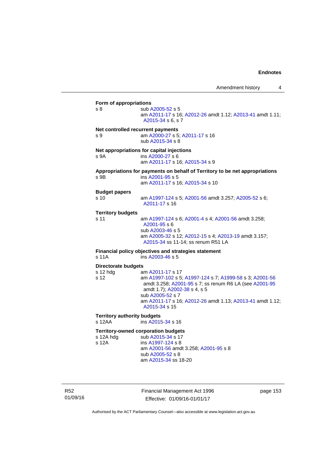**Form of appropriations**  s 8 sub [A2005-52](http://www.legislation.act.gov.au/a/2005-52) s 5 am [A2011-17](http://www.legislation.act.gov.au/a/2011-17) s 16; [A2012-26](http://www.legislation.act.gov.au/a/2012-26) amdt 1.12; [A2013-41](http://www.legislation.act.gov.au/a/2013-41/default.asp) amdt 1.11; [A2015-34](http://www.legislation.act.gov.au/a/2015-34/default.asp) s 6, s 7 **Net controlled recurrent payments** s 9 am [A2000-27](http://www.legislation.act.gov.au/a/2000-27) s 5; [A2011-17](http://www.legislation.act.gov.au/a/2011-17) s 16 sub [A2015-34](http://www.legislation.act.gov.au/a/2015-34/default.asp) s 8 **Net appropriations for capital injections** s 9A ins [A2000-27](http://www.legislation.act.gov.au/a/2000-27) s 6 am [A2011-17](http://www.legislation.act.gov.au/a/2011-17) s 16; [A2015-34](http://www.legislation.act.gov.au/a/2015-34/default.asp) s 9 **Appropriations for payments on behalf of Territory to be net appropriations**  s 9B ins [A2001-95](http://www.legislation.act.gov.au/a/2001-95) s 5 am [A2011-17](http://www.legislation.act.gov.au/a/2011-17) s 16; [A2015-34](http://www.legislation.act.gov.au/a/2015-34/default.asp) s 10 **Budget papers**  s 10 am [A1997-124](http://www.legislation.act.gov.au/a/1997-124) s 5; [A2001-56](http://www.legislation.act.gov.au/a/2001-56) amdt 3.257; [A2005-52](http://www.legislation.act.gov.au/a/2005-52) s 6; [A2011-17](http://www.legislation.act.gov.au/a/2011-17) s 16 **Territory budgets**  s 11 am [A1997-124](http://www.legislation.act.gov.au/a/1997-124) s 6; [A2001-4](http://www.legislation.act.gov.au/a/2001-4) s 4; [A2001-56](http://www.legislation.act.gov.au/a/2001-56) amdt 3.258; [A2001-95](http://www.legislation.act.gov.au/a/2001-95) s 6 sub [A2003-46](http://www.legislation.act.gov.au/a/2003-46) s 5 am [A2005-32](http://www.legislation.act.gov.au/a/2005-32) s 12; [A2012-15](http://www.legislation.act.gov.au/a/2012-15) s 4; [A2013-19](http://www.legislation.act.gov.au/a/2013-19) amdt 3.157; [A2015-34](http://www.legislation.act.gov.au/a/2015-34/default.asp) ss 11-14; ss renum R51 LA **Financial policy objectives and strategies statement**  s 11A ins [A2003-46](http://www.legislation.act.gov.au/a/2003-46) s 5 **Directorate budgets** s 12 hdg am [A2011-17](http://www.legislation.act.gov.au/a/2011-17) s 17 s 12 am [A1997-102](http://www.legislation.act.gov.au/a/1997-102) s 5; [A1997-124](http://www.legislation.act.gov.au/a/1997-124) s 7; [A1999-58](http://www.legislation.act.gov.au/a/1999-58) s 3; [A2001-56](http://www.legislation.act.gov.au/a/2001-56) amdt 3.258; [A2001-95](http://www.legislation.act.gov.au/a/2001-95) s 7; ss renum R6 LA (see [A2001-95](http://www.legislation.act.gov.au/a/2001-95) amdt 1.7); [A2002-38](http://www.legislation.act.gov.au/a/2002-38) s 4, s 5 sub [A2005-52](http://www.legislation.act.gov.au/a/2005-52) s 7 am [A2011-17](http://www.legislation.act.gov.au/a/2011-17) s 16; [A2012-26](http://www.legislation.act.gov.au/a/2012-26) amdt 1.13; [A2013-41](http://www.legislation.act.gov.au/a/2013-41/default.asp) amdt 1.12; [A2015-34](http://www.legislation.act.gov.au/a/2015-34/default.asp) s 15 **Territory authority budgets**  s 12AA **ins [A2015-34](http://www.legislation.act.gov.au/a/2015-34/default.asp) s** 16 **Territory-owned corporation budgets**  s 12A hdg sub [A2015-34](http://www.legislation.act.gov.au/a/2015-34/default.asp) s 17<br>s 12A ins A1997-124 s 8 ins [A1997-124](http://www.legislation.act.gov.au/a/1997-124) s 8 am [A2001-56](http://www.legislation.act.gov.au/a/2001-56) amdt 3.258; [A2001-95](http://www.legislation.act.gov.au/a/2001-95) s 8 sub [A2005-52](http://www.legislation.act.gov.au/a/2005-52) s 8 am [A2015-34](http://www.legislation.act.gov.au/a/2015-34/default.asp) ss 18-20

R52 01/09/16 Financial Management Act 1996 Effective: 01/09/16-01/01/17

page 153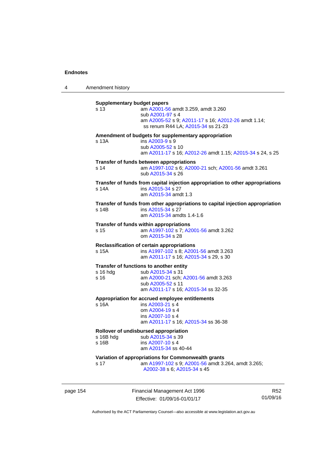4 Amendment history

| s 13            | am A2001-56 amdt 3.259, amdt 3.260                                                                  |
|-----------------|-----------------------------------------------------------------------------------------------------|
|                 | sub A2001-97 s 4<br>am A2005-52 s 9; A2011-17 s 16; A2012-26 amdt 1.14;                             |
|                 | ss renum R44 LA; A2015-34 ss 21-23                                                                  |
|                 | Amendment of budgets for supplementary appropriation                                                |
| s 13A           | ins A2003-9 s 9                                                                                     |
|                 | sub A2005-52 s 10<br>am A2011-17 s 16; A2012-26 amdt 1.15; A2015-34 s 24, s 25                      |
|                 | Transfer of funds between appropriations                                                            |
| s 14            | am A1997-102 s 6; A2000-21 sch; A2001-56 amdt 3.261                                                 |
|                 | sub A2015-34 s 26                                                                                   |
|                 | Transfer of funds from capital injection appropriation to other appropriations                      |
| s 14A           | ins A2015-34 s 27                                                                                   |
|                 | am A2015-34 amdt 1.3                                                                                |
|                 | Transfer of funds from other appropriations to capital injection appropriation<br>ins A2015-34 s 27 |
| s 14B           | am A2015-34 amdts 1.4-1.6                                                                           |
|                 |                                                                                                     |
|                 | Transfer of funds within appropriations                                                             |
| s 15            | am A1997-102 s 7; A2001-56 amdt 3.262                                                               |
|                 | om A2015-34 s 28                                                                                    |
|                 | Reclassification of certain appropriations                                                          |
| s 15A           | ins A1997-102 s 8; A2001-56 amdt 3.263                                                              |
|                 | am A2011-17 s 16; A2015-34 s 29, s 30                                                               |
|                 | Transfer of functions to another entity                                                             |
| $s$ 16 hdg      | sub A2015-34 s 31                                                                                   |
| s <sub>16</sub> | am A2000-21 sch; A2001-56 amdt 3.263                                                                |
|                 | sub A2005-52 s 11                                                                                   |
|                 | am A2011-17 s 16; A2015-34 ss 32-35                                                                 |
|                 | Appropriation for accrued employee entitlements                                                     |
| s 16A           | ins A2003-21 s 4                                                                                    |
|                 | om A2004-19 s 4                                                                                     |
|                 | ins A2007-10 s 4                                                                                    |
|                 | am A2011-17 s 16; A2015-34 ss 36-38                                                                 |
|                 | Rollover of undisbursed appropriation                                                               |
| s 16B hdg       | sub A2015-34 s 39                                                                                   |
| s 16B           | ins A2007-10 s 4                                                                                    |
|                 | am A2015-34 ss 40-44                                                                                |
|                 | Variation of appropriations for Commonwealth grants                                                 |
| s 17            | am A1997-102 s 9; A2001-56 amdt 3.264, amdt 3.265;                                                  |
|                 | A2002-38 s 6; A2015-34 s 45                                                                         |

page 154 Financial Management Act 1996 Effective: 01/09/16-01/01/17

R52 01/09/16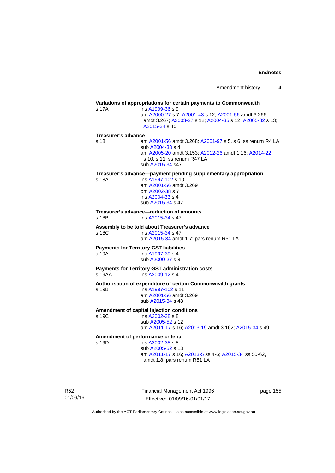|                            |                                                                                                                                                                                          | Amendment history | 4 |
|----------------------------|------------------------------------------------------------------------------------------------------------------------------------------------------------------------------------------|-------------------|---|
| s 17A                      | Variations of appropriations for certain payments to Commonwealth<br>ins A1999-36 s 9                                                                                                    |                   |   |
|                            | am A2000-27 s 7; A2001-43 s 12; A2001-56 amdt 3.266,<br>amdt 3.267; A2003-27 s 12; A2004-35 s 12; A2005-32 s 13;<br>A2015-34 s 46                                                        |                   |   |
| <b>Treasurer's advance</b> |                                                                                                                                                                                          |                   |   |
| s 18                       | am A2001-56 amdt 3.268; A2001-97 s 5, s 6; ss renum R4 LA<br>sub A2004-33 s 4<br>am A2005-20 amdt 3.153; A2012-26 amdt 1.16; A2014-22<br>s 10, s 11; ss renum R47 LA<br>sub A2015-34 s47 |                   |   |
|                            | Treasurer's advance—payment pending supplementary appropriation                                                                                                                          |                   |   |
| s 18A                      | ins A1997-102 s 10<br>am A2001-56 amdt 3.269<br>om A2002-38 s 7<br>ins A2004-33 s 4<br>sub A2015-34 s 47                                                                                 |                   |   |
| s 18B                      | Treasurer's advance—reduction of amounts<br>ins A2015-34 s 47                                                                                                                            |                   |   |
|                            | Assembly to be told about Treasurer's advance                                                                                                                                            |                   |   |
| s 18C                      | ins A2015-34 s 47<br>am A2015-34 amdt 1.7; pars renum R51 LA                                                                                                                             |                   |   |
|                            | <b>Payments for Territory GST liabilities</b>                                                                                                                                            |                   |   |
| s 19A                      | ins A1997-39 s 4<br>sub A2000-27 s 8                                                                                                                                                     |                   |   |
| s 19AA                     | <b>Payments for Territory GST administration costs</b><br>ins A2009-12 s 4                                                                                                               |                   |   |
|                            | Authorisation of expenditure of certain Commonwealth grants                                                                                                                              |                   |   |
| s 19B                      | ins A1997-102 s 11<br>am A2001-56 amdt 3.269<br>sub A2015-34 s 48                                                                                                                        |                   |   |
|                            | Amendment of capital injection conditions                                                                                                                                                |                   |   |
| s 19C                      | ins A2002-38 s 8                                                                                                                                                                         |                   |   |
|                            | sub A2005-52 s 12<br>am A2011-17 s 16; A2013-19 amdt 3.162; A2015-34 s 49                                                                                                                |                   |   |
|                            | Amendment of performance criteria                                                                                                                                                        |                   |   |
| s 19D                      | ins A2002-38 s 8                                                                                                                                                                         |                   |   |
|                            | sub A2005-52 s 13<br>am A2011-17 s 16; A2013-5 ss 4-6; A2015-34 ss 50-62,                                                                                                                |                   |   |
|                            | amdt 1.8; pars renum R51 LA                                                                                                                                                              |                   |   |

R52 01/09/16 Financial Management Act 1996 Effective: 01/09/16-01/01/17

page 155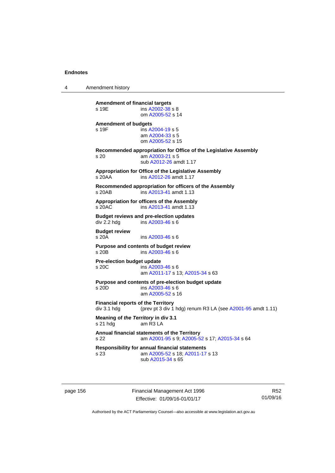4 Amendment history

| <b>Amendment of financial targets</b><br>s 19E           | ins A2002-38 s 8<br>om A2005-52 s 14                                                                          |
|----------------------------------------------------------|---------------------------------------------------------------------------------------------------------------|
| <b>Amendment of budgets</b><br>s 19F                     | ins A2004-19 s 5<br>am A2004-33 s 5<br>om A2005-52 s 15                                                       |
| s 20                                                     | Recommended appropriation for Office of the Legislative Assembly<br>am A2003-21 s 5<br>sub A2012-26 amdt 1.17 |
| s 20AA                                                   | Appropriation for Office of the Legislative Assembly<br>ins A2012-26 amdt 1.17                                |
| s 20AB                                                   | Recommended appropriation for officers of the Assembly<br>ins A2013-41 amdt 1.13                              |
| s 20AC                                                   | Appropriation for officers of the Assembly<br>ins A2013-41 amdt 1.13                                          |
| div 2.2 hdg                                              | <b>Budget reviews and pre-election updates</b><br>ins A2003-46 s 6                                            |
| <b>Budget review</b><br>s 20A                            | ins A2003-46 s 6                                                                                              |
| s 20B                                                    | Purpose and contents of budget review<br>ins A2003-46 s 6                                                     |
| Pre-election budget update<br>s 20C                      | ins A2003-46 s 6<br>am A2011-17 s 13; A2015-34 s 63                                                           |
| s 20D                                                    | Purpose and contents of pre-election budget update<br>ins A2003-46 s 6<br>am A2005-52 s 16                    |
| <b>Financial reports of the Territory</b><br>div 3.1 hdg | (prev pt 3 div 1 hdg) renum R3 LA (see A2001-95 amdt 1.11)                                                    |
| Meaning of the Territory in div 3.1<br>s 21 hdg          | am $R3LA$                                                                                                     |
| s 22                                                     | Annual financial statements of the Territory<br>am A2001-95 s 9; A2005-52 s 17; A2015-34 s 64                 |
| s 23                                                     | <b>Responsibility for annual financial statements</b><br>am A2005-52 s 18; A2011-17 s 13<br>sub A2015-34 s 65 |
|                                                          |                                                                                                               |

page 156 **Financial Management Act 1996** Effective: 01/09/16-01/01/17

R52 01/09/16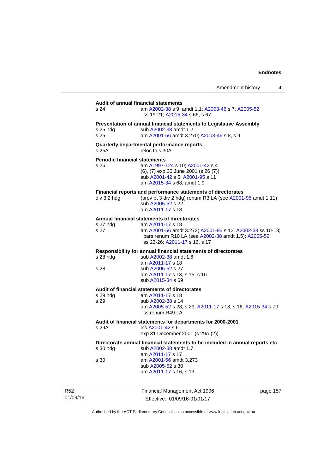| Amendment history |  |
|-------------------|--|
|-------------------|--|

# Financial Management Act 1996 page 157 **Audit of annual financial statements**  s 24 am [A2002-38](http://www.legislation.act.gov.au/a/2002-38) s 9, amdt 1.1; [A2003-46](http://www.legislation.act.gov.au/a/2003-46) s 7; [A2005-52](http://www.legislation.act.gov.au/a/2005-52) ss 19-21; [A2015-34](http://www.legislation.act.gov.au/a/2015-34/default.asp) s 66, s 67 **Presentation of annual financial statements to Legislative Assembly**  s 25 hdg sub [A2002-38](http://www.legislation.act.gov.au/a/2002-38) amdt 1.2 s 25 am [A2001-56](http://www.legislation.act.gov.au/a/2001-56) amdt 3.270; [A2003-46](http://www.legislation.act.gov.au/a/2003-46) s 8, s 9 **Quarterly departmental performance reports**  s 25A reloc to s 30A **Periodic financial statements** s 26 am [A1997-124](http://www.legislation.act.gov.au/a/1997-124) s 10; [A2001-42](http://www.legislation.act.gov.au/a/2001-42) s 4 (6), (7) exp 30 June 2001 (s 26 (7)) sub [A2001-42](http://www.legislation.act.gov.au/a/2001-42) s 5; [A2001-95](http://www.legislation.act.gov.au/a/2001-95) s 11 am [A2015-34](http://www.legislation.act.gov.au/a/2015-34/default.asp) s 68, amdt 1.9 **Financial reports and performance statements of directorates**  div 3.2 hdg (prev pt 3 div 2 hdg) renum R3 LA (see [A2001-95](http://www.legislation.act.gov.au/a/2001-95) amdt 1.11) sub [A2005-52](http://www.legislation.act.gov.au/a/2005-52) s 22 am [A2011-17](http://www.legislation.act.gov.au/a/2011-17) s 18 **Annual financial statements of directorates**  s 27 hdg am [A2011-17](http://www.legislation.act.gov.au/a/2011-17) s 18<br>s 27 am A2001-56 amd am [A2001-56](http://www.legislation.act.gov.au/a/2001-56) amdt 3.272; [A2001-95](http://www.legislation.act.gov.au/a/2001-95) s 12; [A2002-38](http://www.legislation.act.gov.au/a/2002-38) ss 10-13; pars renum R10 LA (see [A2002-38](http://www.legislation.act.gov.au/a/2002-38) amdt 1.5); [A2005-52](http://www.legislation.act.gov.au/a/2005-52) ss 23-26; [A2011-17](http://www.legislation.act.gov.au/a/2011-17) s 16, s 17 **Responsibility for annual financial statements of directorates**  s 28 hdg sub [A2002-38](http://www.legislation.act.gov.au/a/2002-38) amdt 1.6 am [A2011-17](http://www.legislation.act.gov.au/a/2011-17) s 18 s 28 sub [A2005-52](http://www.legislation.act.gov.au/a/2005-52) s 27 am [A2011-17](http://www.legislation.act.gov.au/a/2011-17) s 13, s 15, s 16 sub [A2015-34](http://www.legislation.act.gov.au/a/2015-34/default.asp) s 69 **Audit of financial statements of directorates**  am [A2011-17](http://www.legislation.act.gov.au/a/2011-17) s 18 s 29 sub [A2002-38](http://www.legislation.act.gov.au/a/2002-38) s 14 am [A2005-52](http://www.legislation.act.gov.au/a/2005-52) s 28, s 29; [A2011-17](http://www.legislation.act.gov.au/a/2011-17) s 13, s 16; [A2015-34](http://www.legislation.act.gov.au/a/2015-34/default.asp) s 70; ss renum R49 LA **Audit of financial statements for departments for 2000-2001**  s 29A ins [A2001-42](http://www.legislation.act.gov.au/a/2001-42) s 6 exp 31 December 2001 (s 29A (2)) **Directorate annual financial statements to be included in annual reports etc**  s 30 hdg sub [A2002-38](http://www.legislation.act.gov.au/a/2002-38) amdt 1.7 am [A2011-17](http://www.legislation.act.gov.au/a/2011-17) s 17<br>am A2001-56 amd am [A2001-56](http://www.legislation.act.gov.au/a/2001-56) amdt 3.273 sub [A2005-52](http://www.legislation.act.gov.au/a/2005-52) s 30 am [A2011-17](http://www.legislation.act.gov.au/a/2011-17) s 16, s 19

R52 01/09/16

Effective: 01/09/16-01/01/17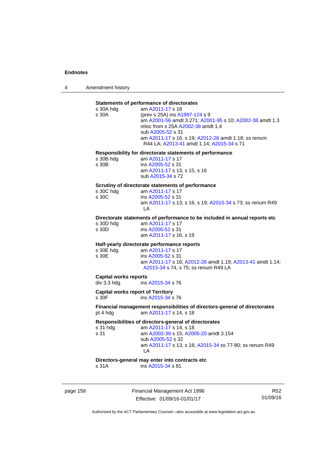4 Amendment history

# **Statements of performance of directorates**

| s 30A hdg                                | am A2011-17 s 18                                                           |
|------------------------------------------|----------------------------------------------------------------------------|
| s 30A                                    | (prev s 25A) ins A1997-124 s 9                                             |
|                                          | am A2001-56 amdt 3.271; A2001-95 s 10; A2002-38 amdt 1.3                   |
|                                          | reloc from s 25A A2002-38 amdt 1.4                                         |
|                                          |                                                                            |
|                                          | sub A2005-52 s 31                                                          |
|                                          | am A2011-17 s 16, s 19; A2012-26 amdt 1.18; ss renum                       |
|                                          | R44 LA; A2013-41 amdt 1.14; A2015-34 s 71                                  |
|                                          |                                                                            |
|                                          | Responsibility for directorate statements of performance                   |
| s 30B hdg                                | am A2011-17 s 17                                                           |
| s 30B                                    | ins A2005-52 s 31                                                          |
|                                          |                                                                            |
|                                          | am A2011-17 s 13, s 15, s 16                                               |
|                                          | sub A2015-34 s 72                                                          |
|                                          |                                                                            |
|                                          | Scrutiny of directorate statements of performance                          |
| s 30C hdg                                | am A2011-17 s 17                                                           |
| s 30C                                    | ins A2005-52 s 31                                                          |
|                                          | am A2011-17 s 13, s 16, s 19; A2015-34 s 73; ss renum R49                  |
|                                          | LA                                                                         |
|                                          |                                                                            |
|                                          | Directorate statements of performance to be included in annual reports etc |
| s 30D hdg                                | am A2011-17 s 17                                                           |
| s 30D                                    | ins A2005-52 s 31                                                          |
|                                          | am A2011-17 s 16, s 19                                                     |
|                                          |                                                                            |
|                                          |                                                                            |
|                                          |                                                                            |
|                                          | Half-yearly directorate performance reports                                |
| s 30E hdg                                | am A2011-17 s 17                                                           |
| s 30E                                    | ins A2005-52 s 31                                                          |
|                                          | am A2011-17 s 16; A2012-26 amdt 1.19; A2013-41 amdt 1.14;                  |
|                                          | A2015-34 s 74, s 75; ss renum R49 LA                                       |
|                                          |                                                                            |
| <b>Capital works reports</b>             |                                                                            |
| div 3.3 hdg                              | ins A2015-34 s 76                                                          |
|                                          |                                                                            |
| <b>Capital works report of Territory</b> |                                                                            |
| s 30F                                    | ins A2015-34 s 76                                                          |
|                                          |                                                                            |
|                                          | Financial management responsibilities of directors-general of directorates |
| pt 4 hdg                                 | am A2011-17 s 14, s 18                                                     |
|                                          |                                                                            |
|                                          | Responsibilities of directors-general of directorates                      |
| s 31 hdg                                 | am A2011-17 s 14, s 18                                                     |
| s 31                                     | am A2002-38 s 15; A2005-20 amdt 3.154                                      |
|                                          | sub A2005-52 s 32                                                          |
|                                          | am A2011-17 s 13, s 16; A2015-34 ss 77-80; ss renum R49                    |
|                                          | LA                                                                         |
|                                          |                                                                            |
|                                          | Directors-general may enter into contracts etc<br>ins A2015-34 s 81        |

page 158 Financial Management Act 1996 Effective: 01/09/16-01/01/17

R52 01/09/16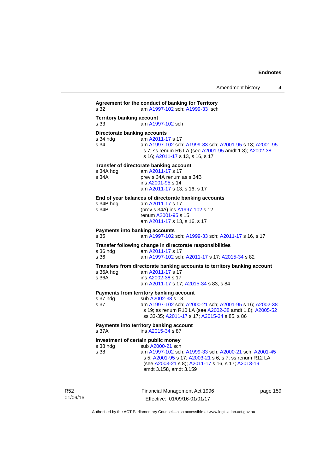**Agreement for the conduct of banking for Territory** s 32 am [A1997-102](http://www.legislation.act.gov.au/a/1997-102) sch; [A1999-33](http://www.legislation.act.gov.au/a/1999-33) sch **Territory banking account** s 33 am [A1997-102](http://www.legislation.act.gov.au/a/1997-102) sch **Directorate banking accounts**  s 34 hdg am [A2011-17](http://www.legislation.act.gov.au/a/2011-17) s 17 s 34 am [A1997-102](http://www.legislation.act.gov.au/a/1997-102) sch; [A1999-33](http://www.legislation.act.gov.au/a/1999-33) sch; [A2001-95](http://www.legislation.act.gov.au/a/2001-95) s 13; [A2001-95](http://www.legislation.act.gov.au/a/2001-95) s 7; ss renum R6 LA (see [A2001-95](http://www.legislation.act.gov.au/a/2001-95) amdt 1.8); [A2002-38](http://www.legislation.act.gov.au/a/2002-38) s 16; [A2011-17](http://www.legislation.act.gov.au/a/2011-17) s 13, s 16, s 17 **Transfer of directorate banking account**  s 34A hdg am [A2011-17](http://www.legislation.act.gov.au/a/2011-17) s 17<br>s 34A **brev** s 34A renum prev s 34A renum as s 34B ins [A2001-95](http://www.legislation.act.gov.au/a/2001-95) s 14 am [A2011-17](http://www.legislation.act.gov.au/a/2011-17) s 13, s 16, s 17 **End of year balances of directorate banking accounts** s 34B hdg am [A2011-17](http://www.legislation.act.gov.au/a/2011-17) s 17 s 34B (prev s 34A) ins [A1997-102](http://www.legislation.act.gov.au/a/1997-102) s 12 renum [A2001-95](http://www.legislation.act.gov.au/a/2001-95) s 15 am [A2011-17](http://www.legislation.act.gov.au/a/2011-17) s 13, s 16, s 17 **Payments into banking accounts** s 35 am [A1997-102](http://www.legislation.act.gov.au/a/1997-102) sch; [A1999-33](http://www.legislation.act.gov.au/a/1999-33) sch; [A2011-17](http://www.legislation.act.gov.au/a/2011-17) s 16, s 17 **Transfer following change in directorate responsibilities** am [A2011-17](http://www.legislation.act.gov.au/a/2011-17) s 17 s 36 am [A1997-102](http://www.legislation.act.gov.au/a/1997-102) sch; [A2011-17](http://www.legislation.act.gov.au/a/2011-17) s 17; [A2015-34](http://www.legislation.act.gov.au/a/2015-34/default.asp) s 82 **Transfers from directorate banking accounts to territory banking account**  s 36A hdg am [A2011-17](http://www.legislation.act.gov.au/a/2011-17) s 17 s 36A ins [A2002-38](http://www.legislation.act.gov.au/a/2002-38) s 17 am [A2011-17](http://www.legislation.act.gov.au/a/2011-17) s 17; [A2015-34](http://www.legislation.act.gov.au/a/2015-34/default.asp) s 83, s 84 **Payments from territory banking account**  s 37 hdg sub [A2002-38](http://www.legislation.act.gov.au/a/2002-38) s 18<br>s 37 am A1997-102 sch s 37 am [A1997-102](http://www.legislation.act.gov.au/a/1997-102) sch; [A2000-21](http://www.legislation.act.gov.au/a/2000-21) sch; [A2001-95](http://www.legislation.act.gov.au/a/2001-95) s 16; [A2002-38](http://www.legislation.act.gov.au/a/2002-38) s 19; ss renum R10 LA (see [A2002-38](http://www.legislation.act.gov.au/a/2002-38) amdt 1.8); [A2005-52](http://www.legislation.act.gov.au/a/2005-52) ss 33-35; [A2011-17](http://www.legislation.act.gov.au/a/2011-17) s 17; [A2015-34](http://www.legislation.act.gov.au/a/2015-34/default.asp) s 85, s 86 **Payments into territory banking account**  s 37A ins [A2015-34](http://www.legislation.act.gov.au/a/2015-34/default.asp) s 87 **Investment of certain public money**  s 38 hdg sub [A2000-21](http://www.legislation.act.gov.au/a/2000-21) sch s 38 am [A1997-102](http://www.legislation.act.gov.au/a/1997-102) sch; [A1999-33](http://www.legislation.act.gov.au/a/1999-33) sch; [A2000-21](http://www.legislation.act.gov.au/a/2000-21) sch; [A2001-45](http://www.legislation.act.gov.au/a/2001-45) s 5; [A2001-95](http://www.legislation.act.gov.au/a/2001-95) s 17; [A2003-21](http://www.legislation.act.gov.au/a/2003-21) s 6, s 7; ss renum R12 LA (see [A2003-21](http://www.legislation.act.gov.au/a/2003-21) s 8); [A2011-17](http://www.legislation.act.gov.au/a/2011-17) s 16, s 17; [A2013-19](http://www.legislation.act.gov.au/a/2013-19) amdt 3.158, amdt 3.159

R52 01/09/16 Financial Management Act 1996 Effective: 01/09/16-01/01/17

page 159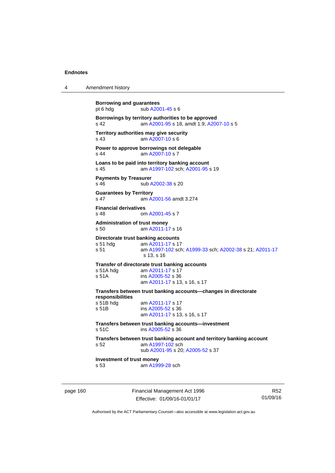| 4 | Amendment history |
|---|-------------------|
|---|-------------------|

| <b>Borrowing and guarantees</b><br>pt 6 hdg             | sub A2001-45 s 6                                                                                                                |
|---------------------------------------------------------|---------------------------------------------------------------------------------------------------------------------------------|
| s <sub>42</sub>                                         | Borrowings by territory authorities to be approved<br>am A2001-95 s 18, amdt 1.9; A2007-10 s 5                                  |
| s 43                                                    | Territory authorities may give security<br>am A2007-10 s 6                                                                      |
| $s$ 44                                                  | Power to approve borrowings not delegable<br>am A2007-10 s 7                                                                    |
| s 45                                                    | Loans to be paid into territory banking account<br>am A1997-102 sch; A2001-95 s 19                                              |
| <b>Payments by Treasurer</b><br>s <sub>46</sub>         | sub A2002-38 s 20                                                                                                               |
| <b>Guarantees by Territory</b><br>s <sub>47</sub>       | am A2001-56 amdt 3.274                                                                                                          |
| <b>Financial derivatives</b><br>s 48                    | om A2001-45 s 7                                                                                                                 |
| <b>Administration of trust money</b><br>s <sub>50</sub> | am A2011-17 s 16                                                                                                                |
| s 51 hda<br>s 51                                        | Directorate trust banking accounts<br>am A2011-17 s 17<br>am A1997-102 sch; A1999-33 sch; A2002-38 s 21; A2011-17<br>s 13, s 16 |
| s 51A hdg<br>s 51A                                      | Transfer of directorate trust banking accounts<br>am A2011-17 s 17<br>ins A2005-52 s 36<br>am A2011-17 s 13, s 16, s 17         |
| responsibilities                                        | Transfers between trust banking accounts-changes in directorate                                                                 |
| s 51B hdg<br>s 51B                                      | am A2011-17 s 17<br>ins A2005-52 s 36<br>am A2011-17 s 13, s 16, s 17                                                           |
| s 51C                                                   | Transfers between trust banking accounts—investment<br>ins A2005-52 s 36                                                        |
| s <sub>52</sub>                                         | Transfers between trust banking account and territory banking account<br>am A1997-102 sch<br>sub A2001-95 s 20; A2005-52 s 37   |
| Investment of trust money<br>s <sub>53</sub>            | am A1999-28 sch                                                                                                                 |
|                                                         |                                                                                                                                 |

page 160 Financial Management Act 1996 Effective: 01/09/16-01/01/17

R52 01/09/16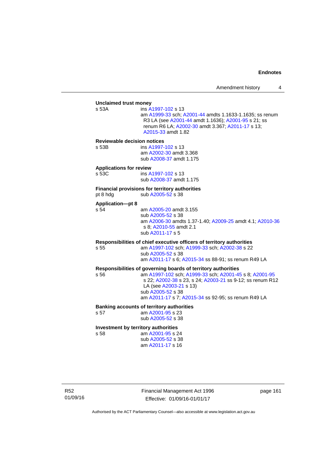## **Unclaimed trust money**  ins [A1997-102](http://www.legislation.act.gov.au/a/1997-102) s 13 am [A1999-33](http://www.legislation.act.gov.au/a/1999-33) sch; [A2001-44](http://www.legislation.act.gov.au/a/2001-44) amdts 1.1633-1.1635; ss renum R3 LA (see [A2001-44](http://www.legislation.act.gov.au/a/2001-44) amdt 1.1636); [A2001-95](http://www.legislation.act.gov.au/a/2001-95) s 21; ss renum R6 LA; [A2002-30](http://www.legislation.act.gov.au/a/2002-30) amdt 3.367; [A2011-17](http://www.legislation.act.gov.au/a/2011-17) s 13; [A2015-33](http://www.legislation.act.gov.au/a/2015-33/default.asp) amdt 1.82 **Reviewable decision notices**  s 53B ins [A1997-102](http://www.legislation.act.gov.au/a/1997-102) s 13 am [A2002-30](http://www.legislation.act.gov.au/a/2002-30) amdt 3.368 sub [A2008-37](http://www.legislation.act.gov.au/a/2008-37) amdt 1.175 **Applications for review**  s 53C ins [A1997-102](http://www.legislation.act.gov.au/a/1997-102) s 13 sub [A2008-37](http://www.legislation.act.gov.au/a/2008-37) amdt 1.175

## **Financial provisions for territory authorities**

pt 8 hdg  $sub A2005-52$  s 38

#### **Application—pt 8**

s 54 am [A2005-20](http://www.legislation.act.gov.au/a/2005-20) amdt 3.155 sub [A2005-52](http://www.legislation.act.gov.au/a/2005-52) s 38 am [A2006-30](http://www.legislation.act.gov.au/a/2006-30) amdts 1.37-1.40; [A2009-25](http://www.legislation.act.gov.au/a/2009-25) amdt 4.1; [A2010-36](http://www.legislation.act.gov.au/a/2010-36) s 8; [A2010-55](http://www.legislation.act.gov.au/a/2010-55) amdt 2.1 sub [A2011-17](http://www.legislation.act.gov.au/a/2011-17) s 5

**Responsibilities of chief executive officers of territory authorities**  s 55 am [A1997-102](http://www.legislation.act.gov.au/a/1997-102) sch; [A1999-33](http://www.legislation.act.gov.au/a/1999-33) sch; [A2002-38](http://www.legislation.act.gov.au/a/2002-38) s 22

> sub [A2005-52](http://www.legislation.act.gov.au/a/2005-52) s 38 am [A2011-17](http://www.legislation.act.gov.au/a/2011-17) s 6; [A2015-34](http://www.legislation.act.gov.au/a/2015-34/default.asp) ss 88-91; ss renum R49 LA

# **Responsibilities of governing boards of territory authorities**

am [A1997-102](http://www.legislation.act.gov.au/a/1997-102) sch; [A1999-33](http://www.legislation.act.gov.au/a/1999-33) sch; [A2001-45](http://www.legislation.act.gov.au/a/2001-45) s 8; [A2001-95](http://www.legislation.act.gov.au/a/2001-95) s 22; [A2002-38](http://www.legislation.act.gov.au/a/2002-38) s 23, s 24; [A2003-21](http://www.legislation.act.gov.au/a/2003-21) ss 9-12; ss renum R12 LA (see [A2003-21](http://www.legislation.act.gov.au/a/2003-21) s 13) sub [A2005-52](http://www.legislation.act.gov.au/a/2005-52) s 38 am [A2011-17](http://www.legislation.act.gov.au/a/2011-17) s 7; [A2015-34](http://www.legislation.act.gov.au/a/2015-34/default.asp) ss 92-95; ss renum R49 LA

#### **Banking accounts of territory authorities**

s 57 am [A2001-95](http://www.legislation.act.gov.au/a/2001-95) s 23 sub [A2005-52](http://www.legislation.act.gov.au/a/2005-52) s 38

#### **Investment by territory authorities**

s 58 am [A2001-95](http://www.legislation.act.gov.au/a/2001-95) s 24 sub [A2005-52](http://www.legislation.act.gov.au/a/2005-52) s 38 am [A2011-17](http://www.legislation.act.gov.au/a/2011-17) s 16

Financial Management Act 1996 Effective: 01/09/16-01/01/17

page 161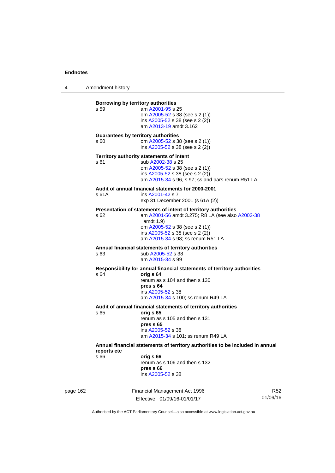4 Amendment history

| page 162 |                     | Financial Management Act 1996<br>Effective: 01/09/16-01/01/17                                                                                                                                                                             | R<br>01/09/1 |
|----------|---------------------|-------------------------------------------------------------------------------------------------------------------------------------------------------------------------------------------------------------------------------------------|--------------|
|          | reports etc<br>s 66 | Annual financial statements of territory authorities to be included in annual<br>orig s 66<br>renum as s 106 and then s 132<br>pres s 66<br>ins A2005-52 s 38                                                                             |              |
|          | s 65                | Audit of annual financial statements of territory authorities<br>orig s 65<br>renum as s 105 and then s 131<br>pres s 65<br>ins A2005-52 s 38<br>am A2015-34 s 101; ss renum R49 LA                                                       |              |
|          | s 64                | Responsibility for annual financial statements of territory authorities<br>orig s 64<br>renum as s 104 and then s 130<br>pres s 64<br>ins A2005-52 s 38<br>am A2015-34 s 100; ss renum R49 LA                                             |              |
|          | s 63                | Annual financial statements of territory authorities<br>sub A2005-52 s 38<br>am A2015-34 s 99                                                                                                                                             |              |
|          | s 62                | Presentation of statements of intent of territory authorities<br>am A2001-56 amdt 3.275; R8 LA (see also A2002-38<br>amdt $1.9$<br>om A2005-52 s 38 (see s 2 (1))<br>ins A2005-52 s 38 (see s 2 (2))<br>am A2015-34 s 98; ss renum R51 LA |              |
|          | s 61A               | Audit of annual financial statements for 2000-2001<br>ins A2001-42 s 7<br>exp 31 December 2001 (s 61A (2))                                                                                                                                |              |
|          | s 61                | Territory authority statements of intent<br>sub A2002-38 s 25<br>om A2005-52 s 38 (see s 2 (1))<br>ins A2005-52 s 38 (see s 2 (2))<br>am A2015-34 s 96, s 97; ss and pars renum R51 LA                                                    |              |
|          | s 60                | <b>Guarantees by territory authorities</b><br>om A2005-52 s 38 (see s 2 (1))<br>ins A2005-52 s 38 (see s 2 (2))                                                                                                                           |              |
|          | s 59                | Borrowing by territory authorities<br>am A2001-95 s 25<br>om A2005-52 s 38 (see s 2 (1))<br>ins $A2005-52$ s 38 (see s 2 (2))<br>am A2013-19 amdt 3.162                                                                                   |              |
|          |                     |                                                                                                                                                                                                                                           |              |

R52 01/09/16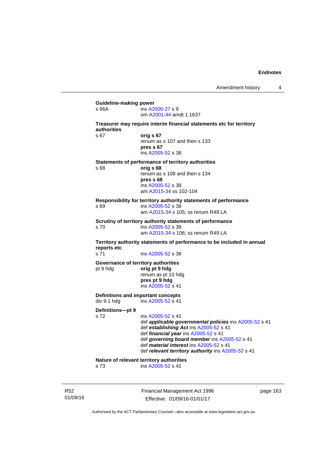| s 66A                    | ins A2000-27 s 9<br>om A2001-44 amdt 1.1637                                                                                                                                                                                                                                                                           |
|--------------------------|-----------------------------------------------------------------------------------------------------------------------------------------------------------------------------------------------------------------------------------------------------------------------------------------------------------------------|
| authorities              | Treasurer may require interim financial statements etc for territory                                                                                                                                                                                                                                                  |
| s 67                     | orig s 67<br>renum as s 107 and then s 133<br>pres s 67<br>ins A2005-52 s 38                                                                                                                                                                                                                                          |
| s 68                     | Statements of performance of territory authorities<br>orig s 68<br>renum as s 108 and then s 134<br>pres s 68<br>ins A2005-52 s 38<br>am A2015-34 ss 102-104                                                                                                                                                          |
| s 69                     | Responsibility for territory authority statements of performance<br>ins A2005-52 s 38<br>am A2015-34 s 105; ss renum R49 LA                                                                                                                                                                                           |
| s <sub>70</sub>          | Scrutiny of territory authority statements of performance<br>ins A2005-52 s 38<br>am A2015-34 s 106; ss renum R49 LA                                                                                                                                                                                                  |
| reports etc              | Territory authority statements of performance to be included in annual                                                                                                                                                                                                                                                |
| s 71                     | ins A2005-52 s 38                                                                                                                                                                                                                                                                                                     |
| pt 9 hdg                 | Governance of territory authorities<br>orig pt 9 hdg<br>renum as pt 10 hdg<br>pres pt 9 hdg<br>ins A2005-52 s 41                                                                                                                                                                                                      |
| div 9.1 hdg              | <b>Definitions and important concepts</b><br>ins A2005-52 s 41                                                                                                                                                                                                                                                        |
| Definitions-pt 9<br>s 72 | ins A2005-52 s 41<br>def applicable governmental policies ins A2005-52 s 41<br>def establishing Act ins A2005-52 s 41<br>def financial year ins A2005-52 s 41<br>def governing board member ins A2005-52 s 41<br>def <i>material interest</i> ins A2005-52 s 41<br>def relevant territory authority ins A2005-52 s 41 |
|                          | Nature of relevant territory authorities                                                                                                                                                                                                                                                                              |

R52 01/09/16 Financial Management Act 1996 Effective: 01/09/16-01/01/17

page 163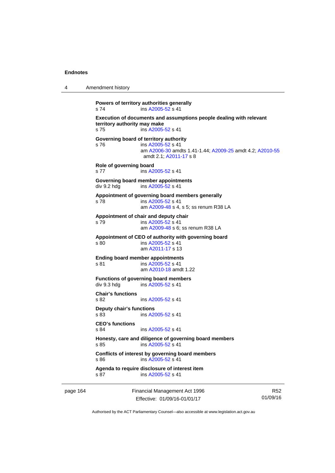| 4 | Amendment history |
|---|-------------------|
|---|-------------------|

```
Powers of territory authorities generally 
s 74 ins A2005-52 s 41 
Execution of documents and assumptions people dealing with relevant 
territory authority may make 
s 75 ins A2005-52 s 41 
Governing board of territory authority 
s 76 ins A2005-52 s 41 
                 am A2006-30 amdts 1.41-1.44; A2009-25 amdt 4.2; A2010-55
                amdt 2.1; A2011-17 s 8 
Role of governing board 
s 77 ins A2005-52 s 41 
Governing board member appointments 
A2005-52 s 41
Appointment of governing board members generally 
s 78 ins A2005-52 s 41 
                 am A2009-48 s 4, s 5; ss renum R38 LA 
Appointment of chair and deputy chair 
s 79 ins A2005-52 s 41 
                 am A2009-48 s 6; ss renum R38 LA
Appointment of CEO of authority with governing board 
s 80 ins A2005-52 s 41 
                 am A2011-17 s 13 
Ending board member appointments 
s 81 ins A2005-52 s 41 
                 am A2010-18 amdt 1.22
Functions of governing board members 
div 9.3 hdg ins A2005-52 s 41 
Chair's functions 
s 82 ins A2005-52 s 41 
Deputy chair's functions 
s 83 ins A2005-52 s 41 
CEO's functions 
                A2005-52 s 41
Honesty, care and diligence of governing board members 
A2005-52 s 41
Conflicts of interest by governing board members 
s 86 ins A2005-52 s 41 
Agenda to require disclosure of interest item 
A2005-52 s 41
```
page 164 Financial Management Act 1996 Effective: 01/09/16-01/01/17

R52 01/09/16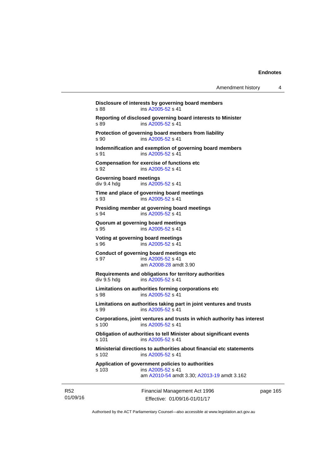**Disclosure of interests by governing board members**  s 88 ins [A2005-52](http://www.legislation.act.gov.au/a/2005-52) s 41 **Reporting of disclosed governing board interests to Minister**  s 89 ins [A2005-52](http://www.legislation.act.gov.au/a/2005-52) s 41 **Protection of governing board members from liability**  s 90 ins [A2005-52](http://www.legislation.act.gov.au/a/2005-52) s 41 **Indemnification and exemption of governing board members**  s 91 ins [A2005-52](http://www.legislation.act.gov.au/a/2005-52) s 41 **Compensation for exercise of functions etc**  s 92 **ins [A2005-52](http://www.legislation.act.gov.au/a/2005-52) s 41 Governing board meetings**  div 9.4 hdg ins [A2005-52](http://www.legislation.act.gov.au/a/2005-52) s 41 **Time and place of governing board meetings**  s 93 ins [A2005-52](http://www.legislation.act.gov.au/a/2005-52) s 41 **Presiding member at governing board meetings**  s 94 ins [A2005-52](http://www.legislation.act.gov.au/a/2005-52) s 41 **Quorum at governing board meetings**  s 95 ins [A2005-52](http://www.legislation.act.gov.au/a/2005-52) s 41 **Voting at governing board meetings**  s 96 ins [A2005-52](http://www.legislation.act.gov.au/a/2005-52) s 41 **Conduct of governing board meetings etc**  s 97 ins [A2005-52](http://www.legislation.act.gov.au/a/2005-52) s 41 am [A2008-28](http://www.legislation.act.gov.au/a/2008-28) amdt 3.90 **Requirements and obligations for territory authorities**<br>div 9.5 hdg ins A2005-52 s 41 ins  $A2005 - 52$  s 41 **Limitations on authorities forming corporations etc**  s 98 ins [A2005-52](http://www.legislation.act.gov.au/a/2005-52) s 41 **Limitations on authorities taking part in joint ventures and trusts**  s 99 ins [A2005-52](http://www.legislation.act.gov.au/a/2005-52) s 41 **Corporations, joint ventures and trusts in which authority has interest**  ins [A2005-52](http://www.legislation.act.gov.au/a/2005-52) s 41 **Obligation of authorities to tell Minister about significant events**  s 101 ins [A2005-52](http://www.legislation.act.gov.au/a/2005-52) s 41 **Ministerial directions to authorities about financial etc statements**  s 102 ins [A2005-52](http://www.legislation.act.gov.au/a/2005-52) s 41 **Application of government policies to authorities**  s 103 ins [A2005-52](http://www.legislation.act.gov.au/a/2005-52) s 41 am [A2010-54](http://www.legislation.act.gov.au/a/2010-54) amdt 3.30; [A2013-19](http://www.legislation.act.gov.au/a/2013-19) amdt 3.162

R52 01/09/16 Financial Management Act 1996 Effective: 01/09/16-01/01/17

page 165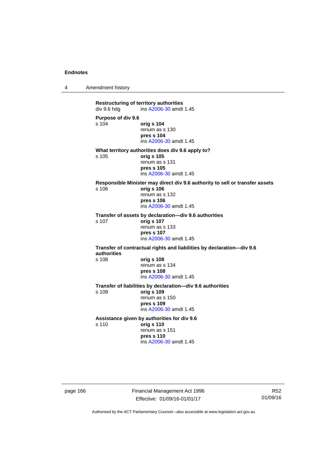4 Amendment history

**Restructuring of territory authorities**<br>div 9.6 hdg ins A2006-30 amdt ins [A2006-30](http://www.legislation.act.gov.au/a/2006-30) amdt 1.45 **Purpose of div 9.6**  s 104 **orig s 104** renum as s 130 **pres s 104**  ins [A2006-30](http://www.legislation.act.gov.au/a/2006-30) amdt 1.45 **What territory authorities does div 9.6 apply to?**  s 105 **orig s 105** renum as s 131 **pres s 105**  ins [A2006-30](http://www.legislation.act.gov.au/a/2006-30) amdt 1.45 **Responsible Minister may direct div 9.6 authority to sell or transfer assets**  s 106 **orig s 106** renum as s 132 **pres s 106**  ins [A2006-30](http://www.legislation.act.gov.au/a/2006-30) amdt 1.45 **Transfer of assets by declaration—div 9.6 authorities**  s 107 **orig s 107** renum as s 133 **pres s 107**  ins [A2006-30](http://www.legislation.act.gov.au/a/2006-30) amdt 1.45 **Transfer of contractual rights and liabilities by declaration—div 9.6 authorities**  s 108 **orig s 108** renum as s 134 **pres s 108**  ins [A2006-30](http://www.legislation.act.gov.au/a/2006-30) amdt 1.45 **Transfer of liabilities by declaration—div 9.6 authorities**  s 109 **orig s 109** renum as s 150 **pres s 109**  ins [A2006-30](http://www.legislation.act.gov.au/a/2006-30) amdt 1.45 **Assistance given by authorities for div 9.6**  s 110 **orig s 110** renum as s 151 **pres s 110**  ins [A2006-30](http://www.legislation.act.gov.au/a/2006-30) amdt 1.45

page 166 Financial Management Act 1996 Effective: 01/09/16-01/01/17

R52 01/09/16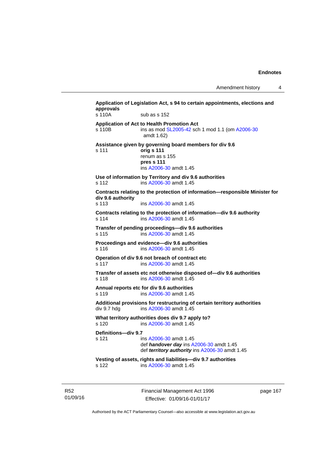Amendment history 4

| s 110A                                | sub as s 152                                                                                                                    |
|---------------------------------------|---------------------------------------------------------------------------------------------------------------------------------|
| s 110B                                | Application of Act to Health Promotion Act<br>ins as mod SL2005-42 sch 1 mod 1.1 (om A2006-30<br>amdt 1.62)                     |
| s 111                                 | Assistance given by governing board members for div 9.6<br>orig s 111<br>renum as s 155<br>pres s 111<br>ins A2006-30 amdt 1.45 |
| s 112                                 | Use of information by Territory and div 9.6 authorities<br>ins A2006-30 amdt 1.45                                               |
| div 9.6 authority<br>s <sub>113</sub> | Contracts relating to the protection of information-responsible Minister for<br>ins A2006-30 amdt 1.45                          |
| s 114                                 | Contracts relating to the protection of information-div 9.6 authority<br>ins A2006-30 amdt 1.45                                 |
| s 115                                 | Transfer of pending proceedings-div 9.6 authorities<br>ins A2006-30 amdt 1.45                                                   |
| $s$ 116                               | Proceedings and evidence—div 9.6 authorities<br>ins A2006-30 amdt 1.45                                                          |
| s 117                                 | Operation of div 9.6 not breach of contract etc<br>ins A2006-30 amdt 1.45                                                       |
| s 118                                 | Transfer of assets etc not otherwise disposed of-div 9.6 authorities<br>ins A2006-30 amdt 1.45                                  |
| s 119                                 | Annual reports etc for div 9.6 authorities<br>ins A2006-30 amdt 1.45                                                            |
| div 9.7 hdg                           | Additional provisions for restructuring of certain territory authorities<br>ins A2006-30 amdt 1.45                              |
| s 120                                 | What territory authorities does div 9.7 apply to?<br>ins A2006-30 amdt 1.45                                                     |
| Definitions-div 9.7<br>s 121          | ins A2006-30 amdt 1.45<br>def handover day ins A2006-30 amdt 1.45<br>def territory authority ins A2006-30 amdt 1.45             |
| s 122                                 | Vesting of assets, rights and liabilities-div 9.7 authorities<br>ins A2006-30 amdt 1.45                                         |

R52 01/09/16 Financial Management Act 1996 Effective: 01/09/16-01/01/17

page 167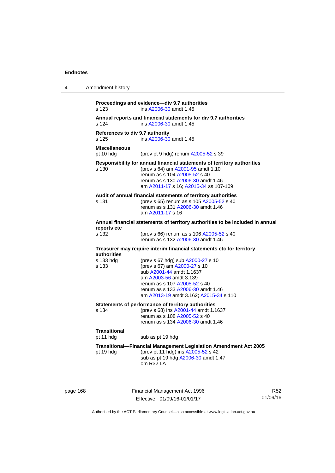| 4 | Amendment history                        |                                                                                                                                                                                                                                        |  |  |
|---|------------------------------------------|----------------------------------------------------------------------------------------------------------------------------------------------------------------------------------------------------------------------------------------|--|--|
|   | s 123                                    | Proceedings and evidence-div 9.7 authorities<br>ins A2006-30 amdt 1.45                                                                                                                                                                 |  |  |
|   | s 124                                    | Annual reports and financial statements for div 9.7 authorities<br>ins A2006-30 amdt 1.45                                                                                                                                              |  |  |
|   | References to div 9.7 authority<br>s 125 | ins A2006-30 amdt 1.45                                                                                                                                                                                                                 |  |  |
|   | <b>Miscellaneous</b><br>pt 10 hdg        | (prev pt 9 hdg) renum A2005-52 s 39                                                                                                                                                                                                    |  |  |
|   | s 130                                    | Responsibility for annual financial statements of territory authorities<br>(prev s 64) am A2001-95 amdt 1.10<br>renum as s 104 A2005-52 s 40<br>renum as s 130 A2006-30 amdt 1.46<br>am A2011-17 s 16; A2015-34 ss 107-109             |  |  |
|   | s 131                                    | Audit of annual financial statements of territory authorities<br>(prev s 65) renum as s 105 A2005-52 s 40<br>renum as s 131 A2006-30 amdt 1.46<br>am A2011-17 s 16                                                                     |  |  |
|   | reports etc                              | Annual financial statements of territory authorities to be included in annual                                                                                                                                                          |  |  |
|   | s 132                                    | (prev s 66) renum as s 106 A2005-52 s 40<br>renum as s 132 A2006-30 amdt 1.46                                                                                                                                                          |  |  |
|   | authorities                              | Treasurer may require interim financial statements etc for territory                                                                                                                                                                   |  |  |
|   | s 133 hdg<br>s 133                       | (prev s 67 hdg) sub A2000-27 s 10<br>(prev s 67) am A2000-27 s 10<br>sub A2001-44 amdt 1.1637<br>am A2003-56 amdt 3.139<br>renum as s 107 A2005-52 s 40<br>renum as s 133 A2006-30 amdt 1.46<br>am A2013-19 amdt 3.162; A2015-34 s 110 |  |  |
|   | s 134                                    | Statements of performance of territory authorities<br>(prev s 68) ins A2001-44 amdt 1.1637<br>renum as s 108 A2005-52 s 40<br>renum as s 134 A2006-30 amdt 1.46                                                                        |  |  |
|   | <b>Transitional</b><br>pt 11 hdg         | sub as pt 19 hdg                                                                                                                                                                                                                       |  |  |
|   | pt 19 hdg                                | <b>Transitional--Financial Management Legislation Amendment Act 2005</b><br>(prev pt 11 hdg) ins A2005-52 s 42<br>sub as pt 19 hdg A2006-30 amdt 1.47<br>om R32 LA                                                                     |  |  |

page 168 Financial Management Act 1996 Effective: 01/09/16-01/01/17

R52 01/09/16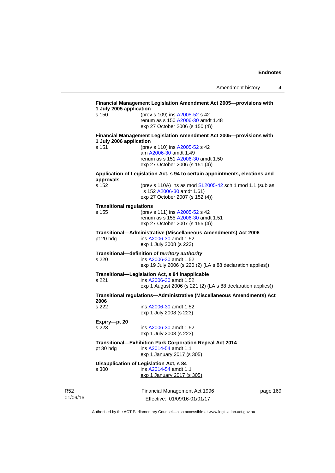| s 150                           | 1 July 2005 application<br>(prev s 109) ins A2005-52 s 42                   |  |
|---------------------------------|-----------------------------------------------------------------------------|--|
|                                 | renum as s 150 A2006-30 amdt 1.48                                           |  |
|                                 | exp 27 October 2006 (s 150 (4))                                             |  |
| 1 July 2006 application         | Financial Management Legislation Amendment Act 2005--- provisions with      |  |
| s 151                           | (prev s 110) ins A2005-52 s 42                                              |  |
|                                 | am A2006-30 amdt 1.49                                                       |  |
|                                 | renum as s 151 A2006-30 amdt 1.50<br>exp 27 October 2006 (s 151 (4))        |  |
|                                 |                                                                             |  |
| approvals                       | Application of Legislation Act, s 94 to certain appointments, elections and |  |
| s 152                           | (prev s 110A) ins as mod SL2005-42 sch 1 mod 1.1 (sub as                    |  |
|                                 | s 152 A2006-30 amdt 1.61)                                                   |  |
|                                 | exp 27 October 2007 (s 152 (4))                                             |  |
| <b>Transitional regulations</b> |                                                                             |  |
| s 155                           | (prev s 111) ins A2005-52 s 42<br>renum as s 155 A2006-30 amdt 1.51         |  |
|                                 | exp 27 October 2007 (s 155 (4))                                             |  |
|                                 | Transitional-Administrative (Miscellaneous Amendments) Act 2006             |  |
| pt 20 hdg                       | ins A2006-30 amdt 1.52                                                      |  |
|                                 | exp 1 July 2008 (s 223)                                                     |  |
|                                 | Transitional-definition of territory authority                              |  |
| s 220                           | ins A2006-30 amdt 1.52                                                      |  |
|                                 | exp 19 July 2006 (s 220 (2) (LA s 88 declaration applies))                  |  |
|                                 | Transitional-Legislation Act, s 84 inapplicable                             |  |
| s 221                           | ins A2006-30 amdt 1.52                                                      |  |
|                                 | exp 1 August 2006 (s 221 (2) (LA s 88 declaration applies))                 |  |
| 2006                            | Transitional regulations—Administrative (Miscellaneous Amendments) Act      |  |
| s 222                           | ins A2006-30 amdt 1.52                                                      |  |
|                                 | exp 1 July 2008 (s 223)                                                     |  |
| Expiry-pt 20                    |                                                                             |  |
| s 223                           | ins A2006-30 amdt 1.52                                                      |  |
|                                 | exp 1 July 2008 (s 223)                                                     |  |
|                                 | Transitional-Exhibition Park Corporation Repeal Act 2014                    |  |
|                                 | ins A2014-54 amdt 1.1                                                       |  |
| pt 30 hdg                       |                                                                             |  |
|                                 | exp 1 January 2017 (s 305)                                                  |  |
|                                 | Disapplication of Legislation Act, s 84                                     |  |
| s 300                           | ins A2014-54 amdt 1.1<br>exp 1 January 2017 (s 305)                         |  |

R52 01/09/16

Effective: 01/09/16-01/01/17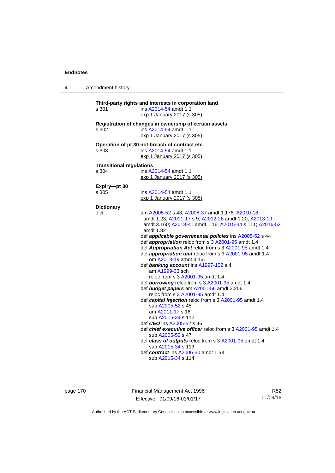4 Amendment history

| s 301                           | Third-party rights and interests in corporation land<br>ins A2014-54 amdt 1.1             |
|---------------------------------|-------------------------------------------------------------------------------------------|
|                                 | exp 1 January 2017 (s 305)                                                                |
|                                 |                                                                                           |
|                                 | Registration of changes in ownership of certain assets                                    |
| s 302                           | ins A2014-54 amdt 1.1                                                                     |
|                                 | exp 1 January 2017 (s 305)                                                                |
|                                 | Operation of pt 30 not breach of contract etc                                             |
| s 303                           | ins A2014-54 amdt 1.1                                                                     |
|                                 | exp 1 January 2017 (s 305)                                                                |
|                                 |                                                                                           |
| <b>Transitional regulations</b> |                                                                                           |
| s 304                           | ins A2014-54 amdt 1.1                                                                     |
|                                 | exp 1 January 2017 (s 305)                                                                |
| Expiry-pt 30                    |                                                                                           |
| s 305                           | ins A2014-54 amdt 1.1                                                                     |
|                                 | exp 1 January 2017 (s 305)                                                                |
|                                 |                                                                                           |
| <b>Dictionary</b><br>dict       | am A2005-52 s 43; A2008-37 amdt 1.176; A2010-18                                           |
|                                 | amdt 1.23; A2011-17 s 9; A2012-26 amdt 1.20; A2013-19                                     |
|                                 | amdt 3.160; A2013-41 amdt 1.16; A2015-34 s 111; A2016-52                                  |
|                                 | amdt 1.82                                                                                 |
|                                 | def applicable governmental policies ins A2005-52 s 44                                    |
|                                 | def <i>appropriation</i> reloc from s 3 A2001-95 amdt 1.4                                 |
|                                 | def Appropriation Act reloc from s 3 A2001-95 amdt 1.4                                    |
|                                 | def appropriation unit reloc from s 3 A2001-95 amdt 1.4                                   |
|                                 | om A2013-19 amdt 3.161                                                                    |
|                                 | def banking account ins A1997-102 s 4                                                     |
|                                 | am A1999-33 sch                                                                           |
|                                 | reloc from s 3 A2001-95 amdt 1.4                                                          |
|                                 | def borrowing reloc from s 3 A2001-95 amdt 1.4                                            |
|                                 | def budget papers am A2001-56 amdt 3.256                                                  |
|                                 | reloc from s 3 A2001-95 amdt 1.4                                                          |
|                                 | def capital injection reloc from s 3 A2001-95 amdt 1.4                                    |
|                                 | sub A2005-52 s 45                                                                         |
|                                 | am A2011-17 s 16                                                                          |
|                                 | sub A2015-34 s 112                                                                        |
|                                 | def CEO ins A2005-52 s 46<br>def chief executive officer reloc from s 3 A2001-95 amdt 1.4 |
|                                 | sub A2005-52 s 47                                                                         |
|                                 | def class of outputs reloc from s 3 A2001-95 amdt 1.4                                     |
|                                 | sub A2015-34 s 113                                                                        |
|                                 | def contract ins A2006-30 amdt 1.53                                                       |
|                                 | sub A2015-34 s 114                                                                        |
|                                 |                                                                                           |

page 170 Financial Management Act 1996 Effective: 01/09/16-01/01/17

R52 01/09/16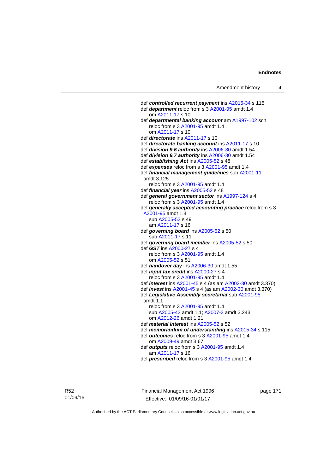def *controlled recurrent payment* ins [A2015-34](http://www.legislation.act.gov.au/a/2015-34/default.asp) s 115 def *department* reloc from s 3 [A2001-95](http://www.legislation.act.gov.au/a/2001-95) amdt 1.4 om [A2011-17](http://www.legislation.act.gov.au/a/2011-17) s 10 def *departmental banking account* am [A1997-102](http://www.legislation.act.gov.au/a/1997-102) sch reloc from s 3 [A2001-95](http://www.legislation.act.gov.au/a/2001-95) amdt 1.4 om [A2011-17](http://www.legislation.act.gov.au/a/2011-17) s 10 def *directorate* ins [A2011-17](http://www.legislation.act.gov.au/a/2011-17) s 10 def *directorate banking account* ins [A2011-17](http://www.legislation.act.gov.au/a/2011-17) s 10 def *division 9.6 authority* ins [A2006-30](http://www.legislation.act.gov.au/a/2006-30) amdt 1.54 def *division 9.7 authority* ins [A2006-30](http://www.legislation.act.gov.au/a/2006-30) amdt 1.54 def *establishing Act* ins [A2005-52](http://www.legislation.act.gov.au/a/2005-52) s 48 def *expenses* reloc from s 3 [A2001-95](http://www.legislation.act.gov.au/a/2001-95) amdt 1.4 def *financial management guidelines* sub [A2001-11](http://www.legislation.act.gov.au/a/2001-11) amdt 3.125 reloc from s 3 [A2001-95](http://www.legislation.act.gov.au/a/2001-95) amdt 1.4 def *financial year* ins [A2005-52](http://www.legislation.act.gov.au/a/2005-52) s 48 def *general government sector* ins [A1997-124](http://www.legislation.act.gov.au/a/1997-124) s 4 reloc from s 3 [A2001-95](http://www.legislation.act.gov.au/a/2001-95) amdt 1.4 def *generally accepted accounting practice* reloc from s 3 [A2001-95](http://www.legislation.act.gov.au/a/2001-95) amdt 1.4 sub [A2005-52](http://www.legislation.act.gov.au/a/2005-52) s 49 am [A2011-17](http://www.legislation.act.gov.au/a/2011-17) s 16 def *governing board* ins [A2005-52](http://www.legislation.act.gov.au/a/2005-52) s 50 sub [A2011-17](http://www.legislation.act.gov.au/a/2011-17) s 11 def *governing board member* ins [A2005-52](http://www.legislation.act.gov.au/a/2005-52) s 50 def *GST* ins [A2000-27](http://www.legislation.act.gov.au/a/2000-27) s 4 reloc from s 3 [A2001-95](http://www.legislation.act.gov.au/a/2001-95) amdt 1.4 om [A2005-52](http://www.legislation.act.gov.au/a/2005-52) s 51 def *handover day* ins [A2006-30](http://www.legislation.act.gov.au/a/2006-30) amdt 1.55 def *input tax credit* ins [A2000-27](http://www.legislation.act.gov.au/a/2000-27) s 4 reloc from s 3 [A2001-95](http://www.legislation.act.gov.au/a/2001-95) amdt 1.4 def *interest* ins [A2001-45](http://www.legislation.act.gov.au/a/2001-45) s 4 (as am [A2002-30](http://www.legislation.act.gov.au/a/2002-30) amdt 3.370) def *invest* ins [A2001-45](http://www.legislation.act.gov.au/a/2001-45) s 4 (as am [A2002-30](http://www.legislation.act.gov.au/a/2002-30) amdt 3.370) def *Legislative Assembly secretariat* sub [A2001-95](http://www.legislation.act.gov.au/a/2001-95) amdt 1.1 reloc from s 3 [A2001-95](http://www.legislation.act.gov.au/a/2001-95) amdt 1.4 sub [A2005-42](http://www.legislation.act.gov.au/a/2005-42) amdt 1.1; [A2007-3](http://www.legislation.act.gov.au/a/2007-3) amdt 3.243 om [A2012-26](http://www.legislation.act.gov.au/a/2012-26) amdt 1.21 def *material interest* ins [A2005-52](http://www.legislation.act.gov.au/a/2005-52) s 52 def *memorandum of understanding* ins [A2015-34](http://www.legislation.act.gov.au/a/2015-34/default.asp) s 115 def *outcomes* reloc from s 3 [A2001-95](http://www.legislation.act.gov.au/a/2001-95) amdt 1.4 om [A2009-49](http://www.legislation.act.gov.au/a/2009-49) amdt 3.67 def *outputs* reloc from s 3 [A2001-95](http://www.legislation.act.gov.au/a/2001-95) amdt 1.4 am [A2011-17](http://www.legislation.act.gov.au/a/2011-17) s 16 def *prescribed* reloc from s 3 [A2001-95](http://www.legislation.act.gov.au/a/2001-95) amdt 1.4

R52 01/09/16 Financial Management Act 1996 Effective: 01/09/16-01/01/17

page 171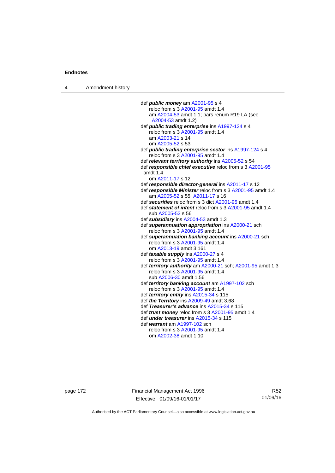4 Amendment history

 def *public money* am [A2001-95](http://www.legislation.act.gov.au/a/2001-95) s 4 reloc from s 3 [A2001-95](http://www.legislation.act.gov.au/a/2001-95) amdt 1.4 am [A2004-53](http://www.legislation.act.gov.au/a/2004-53) amdt 1.1; pars renum R19 LA (see [A2004-53](http://www.legislation.act.gov.au/a/2004-53) amdt 1.2) def *public trading enterprise* ins [A1997-124](http://www.legislation.act.gov.au/a/1997-124) s 4 reloc from s 3 [A2001-95](http://www.legislation.act.gov.au/a/2001-95) amdt 1.4 am [A2003-21](http://www.legislation.act.gov.au/a/2003-21) s 14 om [A2005-52](http://www.legislation.act.gov.au/a/2005-52) s 53 def *public trading enterprise sector* ins [A1997-124](http://www.legislation.act.gov.au/a/1997-124) s 4 reloc from s 3 [A2001-95](http://www.legislation.act.gov.au/a/2001-95) amdt 1.4 def *relevant territory authority* ins [A2005-52](http://www.legislation.act.gov.au/a/2005-52) s 54 def *responsible chief executive* reloc from s 3 [A2001-95](http://www.legislation.act.gov.au/a/2001-95) amdt 1.4 om [A2011-17](http://www.legislation.act.gov.au/a/2011-17) s 12 def *responsible director-general* ins [A2011-17](http://www.legislation.act.gov.au/a/2011-17) s 12 def *responsible Minister* reloc from s 3 [A2001-95](http://www.legislation.act.gov.au/a/2001-95) amdt 1.4 am [A2005-52](http://www.legislation.act.gov.au/a/2005-52) s 55; [A2011-17](http://www.legislation.act.gov.au/a/2011-17) s 16 def *securities* reloc from s 3 dict [A2001-95](http://www.legislation.act.gov.au/a/2001-95) amdt 1.4 def *statement of intent* reloc from s 3 [A2001-95](http://www.legislation.act.gov.au/a/2001-95) amdt 1.4 sub [A2005-52](http://www.legislation.act.gov.au/a/2005-52) s 56 def *subsidiary* ins [A2004-53](http://www.legislation.act.gov.au/a/2004-53) amdt 1.3 def *superannuation appropriation* ins [A2000-21](http://www.legislation.act.gov.au/a/2000-21) sch reloc from s 3 [A2001-95](http://www.legislation.act.gov.au/a/2001-95) amdt 1.4 def *superannuation banking account* ins [A2000-21](http://www.legislation.act.gov.au/a/2000-21) sch reloc from s 3 [A2001-95](http://www.legislation.act.gov.au/a/2001-95) amdt 1.4 om [A2013-19](http://www.legislation.act.gov.au/a/2013-19) amdt 3.161 def *taxable supply* ins [A2000-27](http://www.legislation.act.gov.au/a/2000-27) s 4 reloc from s 3 [A2001-95](http://www.legislation.act.gov.au/a/2001-95) amdt 1.4 def *territory authority* am [A2000-21](http://www.legislation.act.gov.au/a/2000-21) sch; [A2001-95](http://www.legislation.act.gov.au/a/2001-95) amdt 1.3 reloc from s 3 [A2001-95](http://www.legislation.act.gov.au/a/2001-95) amdt 1.4 sub [A2006-30](http://www.legislation.act.gov.au/a/2006-30) amdt 1.56 def *territory banking account* am [A1997-102](http://www.legislation.act.gov.au/a/1997-102) sch reloc from s 3 [A2001-95](http://www.legislation.act.gov.au/a/2001-95) amdt 1.4 def *territory entity* ins [A2015-34](http://www.legislation.act.gov.au/a/2015-34/default.asp) s 115 def *the Territory* ins [A2009-49](http://www.legislation.act.gov.au/a/2009-49) amdt 3.68 def *Treasurer's advance* ins [A2015-34](http://www.legislation.act.gov.au/a/2015-34/default.asp) s 115 def *trust money* reloc from s 3 [A2001-95](http://www.legislation.act.gov.au/a/2001-95) amdt 1.4 def *under treasurer* ins [A2015-34](http://www.legislation.act.gov.au/a/2015-34/default.asp) s 115 def *warrant* am [A1997-102](http://www.legislation.act.gov.au/a/1997-102) sch reloc from s 3 [A2001-95](http://www.legislation.act.gov.au/a/2001-95) amdt 1.4 om [A2002-38](http://www.legislation.act.gov.au/a/2002-38) amdt 1.10

page 172 Financial Management Act 1996 Effective: 01/09/16-01/01/17

R52 01/09/16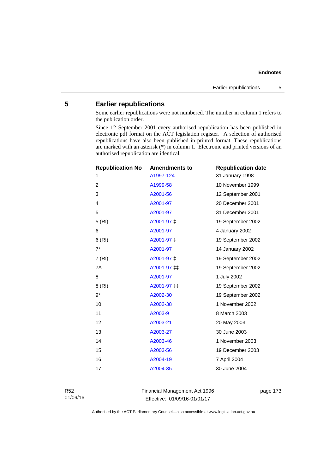# **5 Earlier republications**

Some earlier republications were not numbered. The number in column 1 refers to the publication order.

Since 12 September 2001 every authorised republication has been published in electronic pdf format on the ACT legislation register. A selection of authorised republications have also been published in printed format. These republications are marked with an asterisk (\*) in column 1. Electronic and printed versions of an authorised republication are identical.

| <b>Republication No</b> | <b>Amendments to</b> | <b>Republication date</b> |
|-------------------------|----------------------|---------------------------|
| 1                       | A1997-124            | 31 January 1998           |
| $\overline{c}$          | A1999-58             | 10 November 1999          |
| 3                       | A2001-56             | 12 September 2001         |
| 4                       | A2001-97             | 20 December 2001          |
| 5                       | A2001-97             | 31 December 2001          |
| 5 (RI)                  | A2001-97 ‡           | 19 September 2002         |
| 6                       | A2001-97             | 4 January 2002            |
| 6(RI)                   | A2001-97 ±           | 19 September 2002         |
| $7^*$                   | A2001-97             | 14 January 2002           |
| 7(RI)                   | A2001-97 ‡           | 19 September 2002         |
| 7A                      | A2001-97 ‡‡          | 19 September 2002         |
| 8                       | A2001-97             | 1 July 2002               |
| 8 (RI)                  | A2001-97 ‡‡          | 19 September 2002         |
| $9*$                    | A2002-30             | 19 September 2002         |
| 10                      | A2002-38             | 1 November 2002           |
| 11                      | A2003-9              | 8 March 2003              |
| 12                      | A2003-21             | 20 May 2003               |
| 13                      | A2003-27             | 30 June 2003              |
| 14                      | A2003-46             | 1 November 2003           |
| 15                      | A2003-56             | 19 December 2003          |
| 16                      | A2004-19             | 7 April 2004              |
| 17                      | A2004-35             | 30 June 2004              |
|                         |                      |                           |

R52 01/09/16 Financial Management Act 1996 Effective: 01/09/16-01/01/17

page 173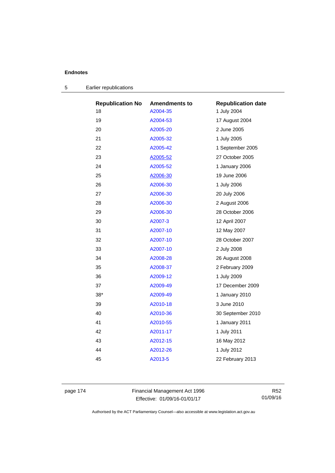| <b>Republication No</b> | <b>Amendments to</b> | <b>Republication date</b> |
|-------------------------|----------------------|---------------------------|
| 18                      | A2004-35             | 1 July 2004               |
| 19                      | A2004-53             | 17 August 2004            |
| 20                      | A2005-20             | 2 June 2005               |
| 21                      | A2005-32             | 1 July 2005               |
| 22                      | A2005-42             | 1 September 2005          |
| 23                      | A2005-52             | 27 October 2005           |
| 24                      | A2005-52             | 1 January 2006            |
| 25                      | A2006-30             | 19 June 2006              |
| 26                      | A2006-30             | 1 July 2006               |
| 27                      | A2006-30             | 20 July 2006              |
| 28                      | A2006-30             | 2 August 2006             |
| 29                      | A2006-30             | 28 October 2006           |
| 30                      | A2007-3              | 12 April 2007             |
| 31                      | A2007-10             | 12 May 2007               |
| 32                      | A2007-10             | 28 October 2007           |
| 33                      | A2007-10             | 2 July 2008               |
| 34                      | A2008-28             | 26 August 2008            |
| 35                      | A2008-37             | 2 February 2009           |
| 36                      | A2009-12             | 1 July 2009               |
| 37                      | A2009-49             | 17 December 2009          |
| $38*$                   | A2009-49             | 1 January 2010            |
| 39                      | A2010-18             | 3 June 2010               |
| 40                      | A2010-36             | 30 September 2010         |
| 41                      | A2010-55             | 1 January 2011            |
| 42                      | A2011-17             | 1 July 2011               |
| 43                      | A2012-15             | 16 May 2012               |
| 44                      | A2012-26             | 1 July 2012               |
| 45                      | A2013-5              | 22 February 2013          |
|                         |                      |                           |

|  | Earlier republications |  |
|--|------------------------|--|
|--|------------------------|--|

page 174 Financial Management Act 1996 Effective: 01/09/16-01/01/17

R52 01/09/16